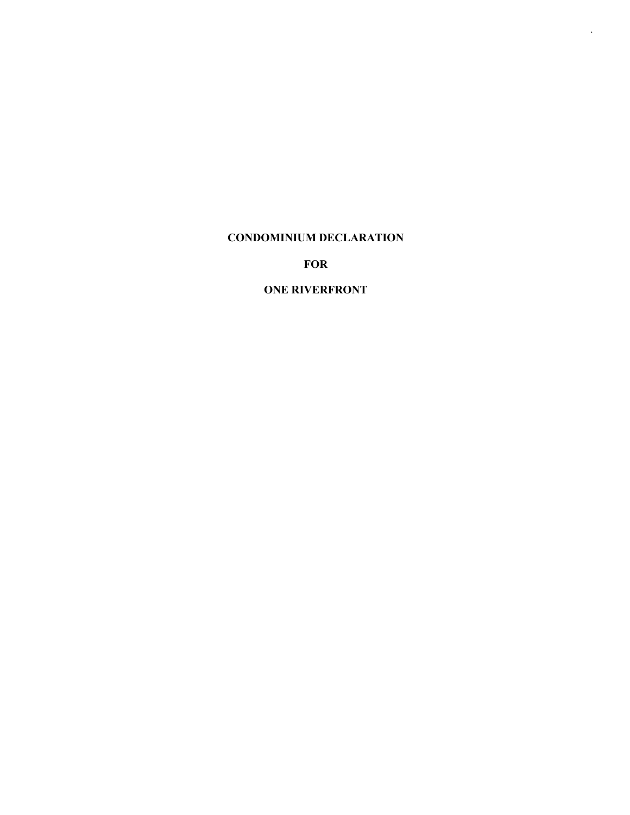## **CONDOMINIUM DECLARATION**

*.*

**FOR**

## **ONE RIVERFRONT**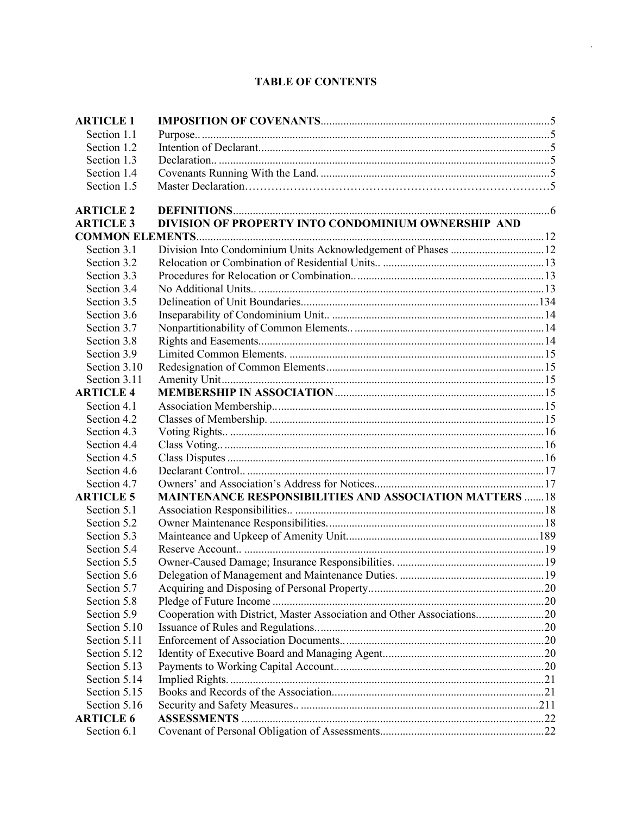# **TABLE OF CONTENTS**

*.*

| <b>ARTICLE 1</b> |                                                                        |  |
|------------------|------------------------------------------------------------------------|--|
| Section 1.1      |                                                                        |  |
| Section 1.2      |                                                                        |  |
| Section 1.3      |                                                                        |  |
| Section 1.4      |                                                                        |  |
| Section 1.5      |                                                                        |  |
| <b>ARTICLE 2</b> |                                                                        |  |
| <b>ARTICLE 3</b> | DIVISION OF PROPERTY INTO CONDOMINIUM OWNERSHIP AND                    |  |
|                  |                                                                        |  |
| Section 3.1      | Division Into Condominium Units Acknowledgement of Phases  12          |  |
| Section 3.2      |                                                                        |  |
| Section 3.3      |                                                                        |  |
| Section 3.4      |                                                                        |  |
| Section 3.5      |                                                                        |  |
| Section 3.6      |                                                                        |  |
| Section 3.7      |                                                                        |  |
| Section 3.8      |                                                                        |  |
| Section 3.9      |                                                                        |  |
| Section 3.10     |                                                                        |  |
| Section 3.11     |                                                                        |  |
| <b>ARTICLE 4</b> |                                                                        |  |
| Section 4.1      |                                                                        |  |
| Section 4.2      |                                                                        |  |
| Section 4.3      |                                                                        |  |
| Section 4.4      |                                                                        |  |
| Section 4.5      |                                                                        |  |
| Section 4.6      |                                                                        |  |
| Section 4.7      |                                                                        |  |
| <b>ARTICLE 5</b> | <b>MAINTENANCE RESPONSIBILITIES AND ASSOCIATION MATTERS 18</b>         |  |
| Section 5.1      |                                                                        |  |
| Section 5.2      |                                                                        |  |
| Section 5.3      |                                                                        |  |
| Section 5.4      |                                                                        |  |
| Section 5.5      |                                                                        |  |
| Section 5.6      |                                                                        |  |
| Section 5.7      |                                                                        |  |
| Section 5.8      |                                                                        |  |
| Section 5.9      | Cooperation with District, Master Association and Other Associations20 |  |
| Section 5.10     |                                                                        |  |
| Section 5.11     |                                                                        |  |
| Section 5.12     |                                                                        |  |
| Section 5.13     |                                                                        |  |
| Section 5.14     |                                                                        |  |
| Section 5.15     |                                                                        |  |
| Section 5.16     |                                                                        |  |
| <b>ARTICLE 6</b> |                                                                        |  |
| Section 6.1      |                                                                        |  |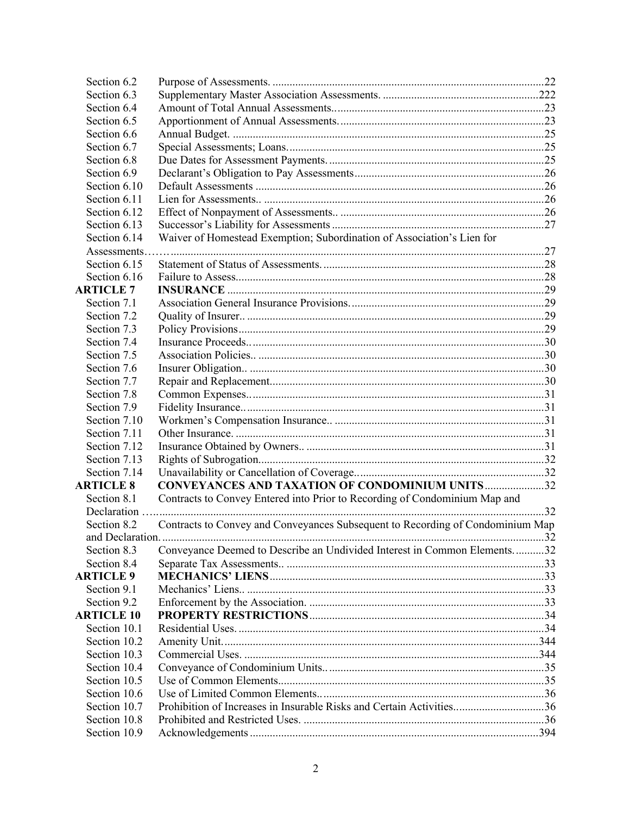| Section 6.2       |                                                                                |    |
|-------------------|--------------------------------------------------------------------------------|----|
| Section 6.3       |                                                                                |    |
| Section 6.4       |                                                                                |    |
| Section 6.5       |                                                                                |    |
| Section 6.6       |                                                                                |    |
| Section 6.7       |                                                                                |    |
| Section 6.8       |                                                                                |    |
| Section 6.9       |                                                                                |    |
| Section 6.10      |                                                                                |    |
| Section 6.11      |                                                                                |    |
| Section 6.12      |                                                                                |    |
| Section 6.13      |                                                                                |    |
| Section 6.14      | Waiver of Homestead Exemption; Subordination of Association's Lien for         |    |
| Assessments.      |                                                                                |    |
| Section 6.15      |                                                                                |    |
| Section 6.16      |                                                                                |    |
| <b>ARTICLE 7</b>  |                                                                                |    |
| Section 7.1       |                                                                                |    |
| Section 7.2       |                                                                                |    |
| Section 7.3       |                                                                                |    |
| Section 7.4       |                                                                                |    |
| Section 7.5       |                                                                                |    |
| Section 7.6       |                                                                                |    |
| Section 7.7       |                                                                                |    |
| Section 7.8       |                                                                                |    |
| Section 7.9       |                                                                                |    |
| Section 7.10      |                                                                                |    |
| Section 7.11      |                                                                                |    |
| Section 7.12      |                                                                                |    |
| Section 7.13      |                                                                                |    |
| Section 7.14      |                                                                                |    |
| <b>ARTICLE 8</b>  | <b>CONVEYANCES AND TAXATION OF CONDOMINIUM UNITS32</b>                         |    |
| Section 8.1       | Contracts to Convey Entered into Prior to Recording of Condominium Map and     |    |
| Declaration       |                                                                                |    |
| Section 8.2       | Contracts to Convey and Conveyances Subsequent to Recording of Condominium Map |    |
| and Declaration.  |                                                                                | 32 |
| Section 8.3       | Conveyance Deemed to Describe an Undivided Interest in Common Elements32       |    |
| Section 8.4       |                                                                                |    |
| <b>ARTICLE 9</b>  |                                                                                |    |
| Section 9.1       |                                                                                |    |
| Section 9.2       |                                                                                |    |
| <b>ARTICLE 10</b> |                                                                                |    |
| Section 10.1      |                                                                                |    |
| Section 10.2      |                                                                                |    |
| Section 10.3      |                                                                                |    |
| Section 10.4      |                                                                                |    |
| Section 10.5      |                                                                                |    |
| Section 10.6      |                                                                                |    |
| Section 10.7      | Prohibition of Increases in Insurable Risks and Certain Activities36           |    |
| Section 10.8      |                                                                                |    |
| Section 10.9      |                                                                                |    |
|                   |                                                                                |    |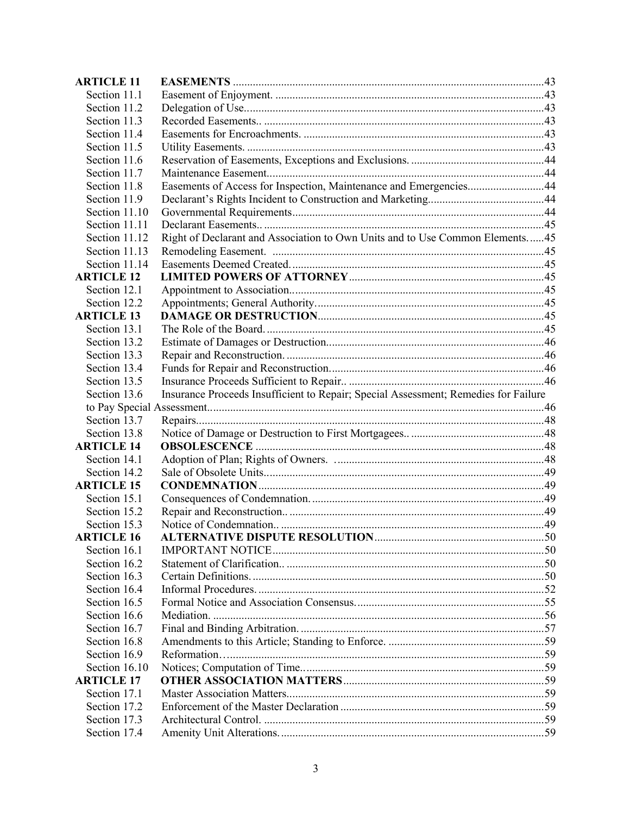| <b>ARTICLE 11</b> |                                                                                     |  |
|-------------------|-------------------------------------------------------------------------------------|--|
| Section 11.1      |                                                                                     |  |
| Section 11.2      |                                                                                     |  |
| Section 11.3      |                                                                                     |  |
| Section 11.4      |                                                                                     |  |
| Section 11.5      |                                                                                     |  |
| Section 11.6      |                                                                                     |  |
| Section 11.7      |                                                                                     |  |
| Section 11.8      | Easements of Access for Inspection, Maintenance and Emergencies44                   |  |
| Section 11.9      |                                                                                     |  |
| Section 11.10     |                                                                                     |  |
| Section 11.11     |                                                                                     |  |
| Section 11.12     | Right of Declarant and Association to Own Units and to Use Common Elements 45       |  |
| Section 11.13     |                                                                                     |  |
| Section 11.14     |                                                                                     |  |
| <b>ARTICLE 12</b> |                                                                                     |  |
| Section 12.1      |                                                                                     |  |
| Section 12.2      |                                                                                     |  |
| <b>ARTICLE 13</b> |                                                                                     |  |
| Section 13.1      |                                                                                     |  |
| Section 13.2      |                                                                                     |  |
| Section 13.3      |                                                                                     |  |
| Section 13.4      |                                                                                     |  |
| Section 13.5      |                                                                                     |  |
| Section 13.6      | Insurance Proceeds Insufficient to Repair; Special Assessment; Remedies for Failure |  |
|                   |                                                                                     |  |
| Section 13.7      |                                                                                     |  |
| Section 13.8      |                                                                                     |  |
| <b>ARTICLE 14</b> |                                                                                     |  |
| Section 14.1      |                                                                                     |  |
| Section 14.2      |                                                                                     |  |
| <b>ARTICLE 15</b> |                                                                                     |  |
| Section 15.1      |                                                                                     |  |
| Section 15.2      |                                                                                     |  |
| Section 15.3      |                                                                                     |  |
| <b>ARTICLE 16</b> |                                                                                     |  |
| Section 16.1      |                                                                                     |  |
| Section 16.2      |                                                                                     |  |
| Section 16.3      |                                                                                     |  |
| Section 16.4      |                                                                                     |  |
| Section 16.5      |                                                                                     |  |
| Section 16.6      |                                                                                     |  |
| Section 16.7      |                                                                                     |  |
| Section 16.8      |                                                                                     |  |
| Section 16.9      |                                                                                     |  |
| Section 16.10     |                                                                                     |  |
| <b>ARTICLE 17</b> |                                                                                     |  |
| Section 17.1      |                                                                                     |  |
| Section 17.2      |                                                                                     |  |
| Section 17.3      |                                                                                     |  |
| Section 17.4      |                                                                                     |  |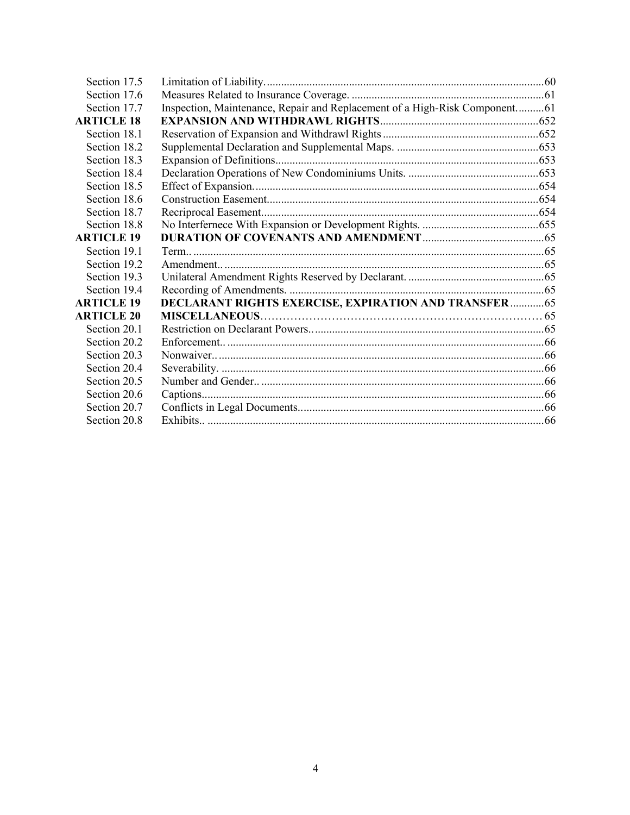| Section 17.5      |                                                                            |  |
|-------------------|----------------------------------------------------------------------------|--|
| Section 17.6      |                                                                            |  |
| Section 17.7      | Inspection, Maintenance, Repair and Replacement of a High-Risk Component61 |  |
| <b>ARTICLE 18</b> |                                                                            |  |
| Section 18.1      |                                                                            |  |
| Section 18.2      |                                                                            |  |
| Section 18.3      |                                                                            |  |
| Section 18.4      |                                                                            |  |
| Section 18.5      |                                                                            |  |
| Section 18.6      |                                                                            |  |
| Section 18.7      |                                                                            |  |
| Section 18.8      |                                                                            |  |
| <b>ARTICLE 19</b> |                                                                            |  |
| Section 19.1      |                                                                            |  |
| Section 19.2      |                                                                            |  |
| Section 19.3      |                                                                            |  |
| Section 19.4      |                                                                            |  |
| <b>ARTICLE 19</b> | <b>DECLARANT RIGHTS EXERCISE, EXPIRATION AND TRANSFER 65</b>               |  |
| <b>ARTICLE 20</b> |                                                                            |  |
| Section 20.1      |                                                                            |  |
| Section 20.2      |                                                                            |  |
| Section 20.3      |                                                                            |  |
| Section 20.4      |                                                                            |  |
| Section 20.5      |                                                                            |  |
| Section 20.6      |                                                                            |  |
| Section 20.7      |                                                                            |  |
| Section 20.8      |                                                                            |  |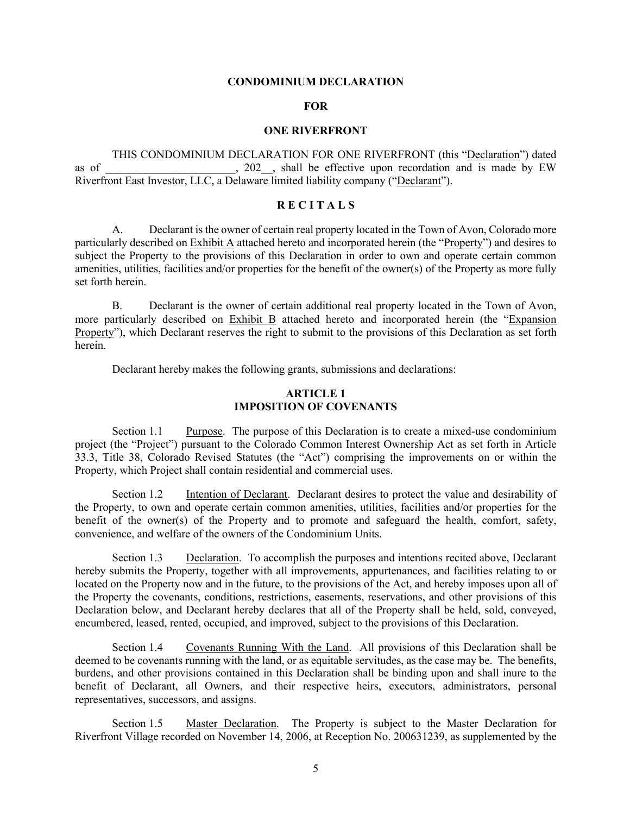#### **CONDOMINIUM DECLARATION**

#### **FOR**

#### **ONE RIVERFRONT**

THIS CONDOMINIUM DECLARATION FOR ONE RIVERFRONT (this "Declaration") dated as of  $\qquad \qquad$ , 202, shall be effective upon recordation and is made by EW Riverfront East Investor, LLC, a Delaware limited liability company ("Declarant").

### **R E C I T A L S**

A. Declarant is the owner of certain real property located in the Town of Avon, Colorado more particularly described on Exhibit A attached hereto and incorporated herein (the "Property") and desires to subject the Property to the provisions of this Declaration in order to own and operate certain common amenities, utilities, facilities and/or properties for the benefit of the owner(s) of the Property as more fully set forth herein.

B. Declarant is the owner of certain additional real property located in the Town of Avon, more particularly described on Exhibit B attached hereto and incorporated herein (the "Expansion Property"), which Declarant reserves the right to submit to the provisions of this Declaration as set forth herein.

Declarant hereby makes the following grants, submissions and declarations:

### **ARTICLE 1 IMPOSITION OF COVENANTS**

Section 1.1 Purpose. The purpose of this Declaration is to create a mixed-use condominium project (the "Project") pursuant to the Colorado Common Interest Ownership Act as set forth in Article 33.3, Title 38, Colorado Revised Statutes (the "Act") comprising the improvements on or within the Property, which Project shall contain residential and commercial uses.

Section 1.2 Intention of Declarant. Declarant desires to protect the value and desirability of the Property, to own and operate certain common amenities, utilities, facilities and/or properties for the benefit of the owner(s) of the Property and to promote and safeguard the health, comfort, safety, convenience, and welfare of the owners of the Condominium Units.

Section 1.3 Declaration. To accomplish the purposes and intentions recited above, Declarant hereby submits the Property, together with all improvements, appurtenances, and facilities relating to or located on the Property now and in the future, to the provisions of the Act, and hereby imposes upon all of the Property the covenants, conditions, restrictions, easements, reservations, and other provisions of this Declaration below, and Declarant hereby declares that all of the Property shall be held, sold, conveyed, encumbered, leased, rented, occupied, and improved, subject to the provisions of this Declaration.

Section 1.4 Covenants Running With the Land. All provisions of this Declaration shall be deemed to be covenants running with the land, or as equitable servitudes, as the case may be. The benefits, burdens, and other provisions contained in this Declaration shall be binding upon and shall inure to the benefit of Declarant, all Owners, and their respective heirs, executors, administrators, personal representatives, successors, and assigns.

Section 1.5 Master Declaration. The Property is subject to the Master Declaration for Riverfront Village recorded on November 14, 2006, at Reception No. 200631239, as supplemented by the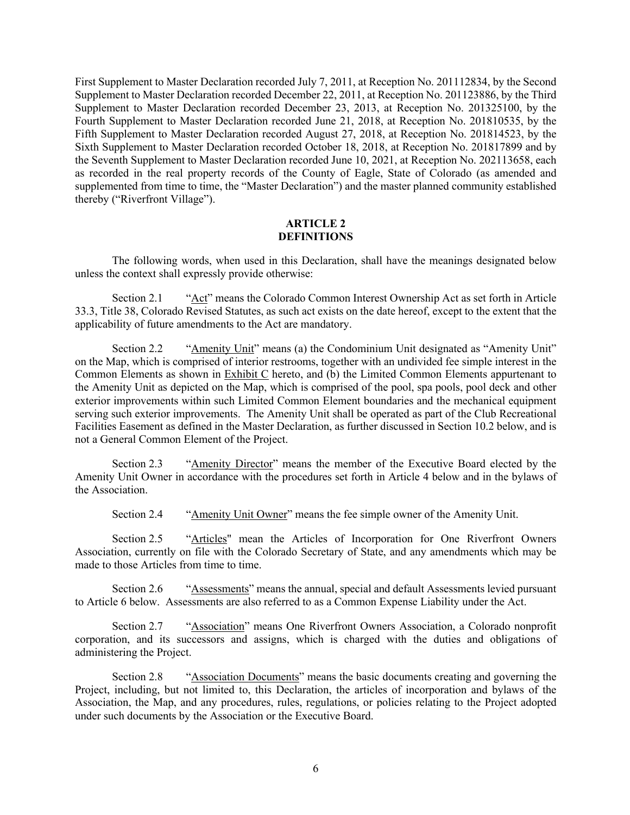First Supplement to Master Declaration recorded July 7, 2011, at Reception No. 201112834, by the Second Supplement to Master Declaration recorded December 22, 2011, at Reception No. 201123886, by the Third Supplement to Master Declaration recorded December 23, 2013, at Reception No. 201325100, by the Fourth Supplement to Master Declaration recorded June 21, 2018, at Reception No. 201810535, by the Fifth Supplement to Master Declaration recorded August 27, 2018, at Reception No. 201814523, by the Sixth Supplement to Master Declaration recorded October 18, 2018, at Reception No. 201817899 and by the Seventh Supplement to Master Declaration recorded June 10, 2021, at Reception No. 202113658, each as recorded in the real property records of the County of Eagle, State of Colorado (as amended and supplemented from time to time, the "Master Declaration") and the master planned community established thereby ("Riverfront Village").

### **ARTICLE 2 DEFINITIONS**

The following words, when used in this Declaration, shall have the meanings designated below unless the context shall expressly provide otherwise:

Section 2.1 "Act" means the Colorado Common Interest Ownership Act as set forth in Article 33.3, Title 38, Colorado Revised Statutes, as such act exists on the date hereof, except to the extent that the applicability of future amendments to the Act are mandatory.

Section 2.2 "Amenity Unit" means (a) the Condominium Unit designated as "Amenity Unit" on the Map, which is comprised of interior restrooms, together with an undivided fee simple interest in the Common Elements as shown in Exhibit C hereto, and (b) the Limited Common Elements appurtenant to the Amenity Unit as depicted on the Map, which is comprised of the pool, spa pools, pool deck and other exterior improvements within such Limited Common Element boundaries and the mechanical equipment serving such exterior improvements. The Amenity Unit shall be operated as part of the Club Recreational Facilities Easement as defined in the Master Declaration, as further discussed in Section 10.2 below, and is not a General Common Element of the Project.

Section 2.3 "Amenity Director" means the member of the Executive Board elected by the Amenity Unit Owner in accordance with the procedures set forth in Article 4 below and in the bylaws of the Association.

Section 2.4 "Amenity Unit Owner" means the fee simple owner of the Amenity Unit.

Section 2.5 "Articles" mean the Articles of Incorporation for One Riverfront Owners Association, currently on file with the Colorado Secretary of State, and any amendments which may be made to those Articles from time to time.

Section 2.6 "Assessments" means the annual, special and default Assessments levied pursuant to Article 6 below. Assessments are also referred to as a Common Expense Liability under the Act.

Section 2.7 "Association" means One Riverfront Owners Association, a Colorado nonprofit corporation, and its successors and assigns, which is charged with the duties and obligations of administering the Project.

Section 2.8 "Association Documents" means the basic documents creating and governing the Project, including, but not limited to, this Declaration, the articles of incorporation and bylaws of the Association, the Map, and any procedures, rules, regulations, or policies relating to the Project adopted under such documents by the Association or the Executive Board.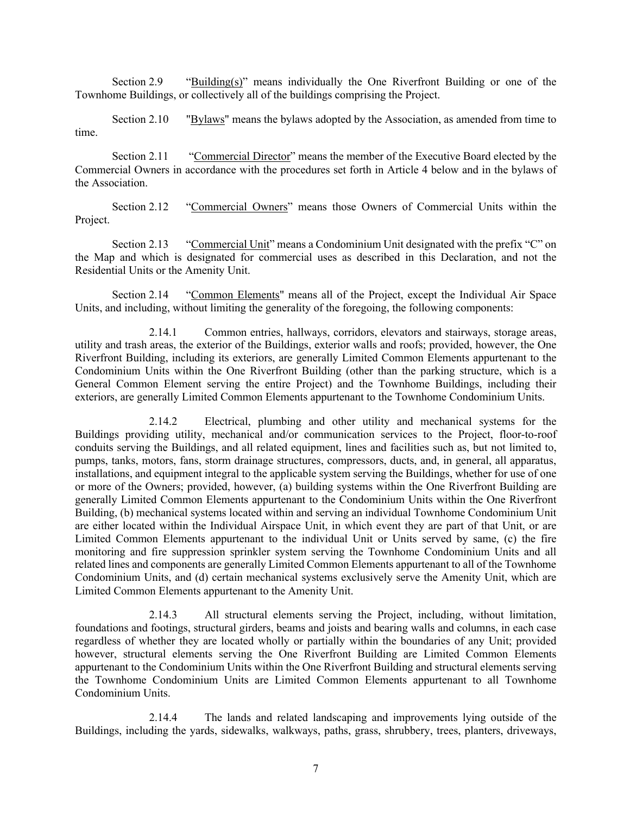Section 2.9 "Building(s)" means individually the One Riverfront Building or one of the Townhome Buildings, or collectively all of the buildings comprising the Project.

Section 2.10 "Bylaws" means the bylaws adopted by the Association, as amended from time to time.

Section 2.11 "Commercial Director" means the member of the Executive Board elected by the Commercial Owners in accordance with the procedures set forth in Article 4 below and in the bylaws of the Association.

Section 2.12 "Commercial Owners" means those Owners of Commercial Units within the Project.

Section 2.13 "Commercial Unit" means a Condominium Unit designated with the prefix "C" on the Map and which is designated for commercial uses as described in this Declaration, and not the Residential Units or the Amenity Unit.

Section 2.14 "Common Elements" means all of the Project, except the Individual Air Space Units, and including, without limiting the generality of the foregoing, the following components:

2.14.1 Common entries, hallways, corridors, elevators and stairways, storage areas, utility and trash areas, the exterior of the Buildings, exterior walls and roofs; provided, however, the One Riverfront Building, including its exteriors, are generally Limited Common Elements appurtenant to the Condominium Units within the One Riverfront Building (other than the parking structure, which is a General Common Element serving the entire Project) and the Townhome Buildings, including their exteriors, are generally Limited Common Elements appurtenant to the Townhome Condominium Units.

2.14.2 Electrical, plumbing and other utility and mechanical systems for the Buildings providing utility, mechanical and/or communication services to the Project, floor-to-roof conduits serving the Buildings, and all related equipment, lines and facilities such as, but not limited to, pumps, tanks, motors, fans, storm drainage structures, compressors, ducts, and, in general, all apparatus, installations, and equipment integral to the applicable system serving the Buildings, whether for use of one or more of the Owners; provided, however, (a) building systems within the One Riverfront Building are generally Limited Common Elements appurtenant to the Condominium Units within the One Riverfront Building, (b) mechanical systems located within and serving an individual Townhome Condominium Unit are either located within the Individual Airspace Unit, in which event they are part of that Unit, or are Limited Common Elements appurtenant to the individual Unit or Units served by same, (c) the fire monitoring and fire suppression sprinkler system serving the Townhome Condominium Units and all related lines and components are generally Limited Common Elements appurtenant to all of the Townhome Condominium Units, and (d) certain mechanical systems exclusively serve the Amenity Unit, which are Limited Common Elements appurtenant to the Amenity Unit.

2.14.3 All structural elements serving the Project, including, without limitation, foundations and footings, structural girders, beams and joists and bearing walls and columns, in each case regardless of whether they are located wholly or partially within the boundaries of any Unit; provided however, structural elements serving the One Riverfront Building are Limited Common Elements appurtenant to the Condominium Units within the One Riverfront Building and structural elements serving the Townhome Condominium Units are Limited Common Elements appurtenant to all Townhome Condominium Units.

2.14.4 The lands and related landscaping and improvements lying outside of the Buildings, including the yards, sidewalks, walkways, paths, grass, shrubbery, trees, planters, driveways,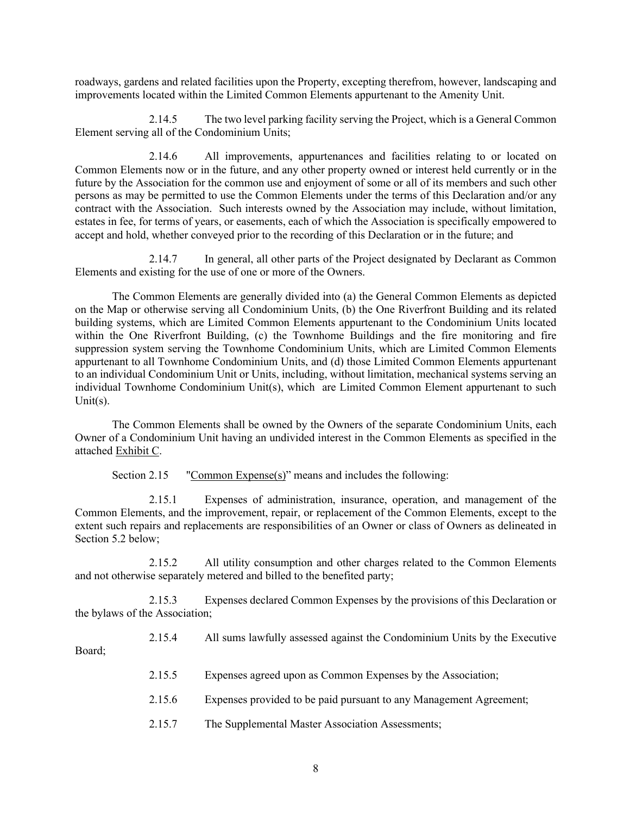roadways, gardens and related facilities upon the Property, excepting therefrom, however, landscaping and improvements located within the Limited Common Elements appurtenant to the Amenity Unit.

2.14.5 The two level parking facility serving the Project, which is a General Common Element serving all of the Condominium Units;

2.14.6 All improvements, appurtenances and facilities relating to or located on Common Elements now or in the future, and any other property owned or interest held currently or in the future by the Association for the common use and enjoyment of some or all of its members and such other persons as may be permitted to use the Common Elements under the terms of this Declaration and/or any contract with the Association. Such interests owned by the Association may include, without limitation, estates in fee, for terms of years, or easements, each of which the Association is specifically empowered to accept and hold, whether conveyed prior to the recording of this Declaration or in the future; and

2.14.7 In general, all other parts of the Project designated by Declarant as Common Elements and existing for the use of one or more of the Owners.

The Common Elements are generally divided into (a) the General Common Elements as depicted on the Map or otherwise serving all Condominium Units, (b) the One Riverfront Building and its related building systems, which are Limited Common Elements appurtenant to the Condominium Units located within the One Riverfront Building, (c) the Townhome Buildings and the fire monitoring and fire suppression system serving the Townhome Condominium Units, which are Limited Common Elements appurtenant to all Townhome Condominium Units, and (d) those Limited Common Elements appurtenant to an individual Condominium Unit or Units, including, without limitation, mechanical systems serving an individual Townhome Condominium Unit(s), which are Limited Common Element appurtenant to such Unit(s).

The Common Elements shall be owned by the Owners of the separate Condominium Units, each Owner of a Condominium Unit having an undivided interest in the Common Elements as specified in the attached Exhibit C.

Section 2.15 "Common Expense(s)" means and includes the following:

2.15.1 Expenses of administration, insurance, operation, and management of the Common Elements, and the improvement, repair, or replacement of the Common Elements, except to the extent such repairs and replacements are responsibilities of an Owner or class of Owners as delineated in Section 5.2 below;

2.15.2 All utility consumption and other charges related to the Common Elements and not otherwise separately metered and billed to the benefited party;

2.15.3 Expenses declared Common Expenses by the provisions of this Declaration or the bylaws of the Association;

2.15.4 All sums lawfully assessed against the Condominium Units by the Executive Board;

2.15.5 Expenses agreed upon as Common Expenses by the Association;

2.15.6 Expenses provided to be paid pursuant to any Management Agreement;

2.15.7 The Supplemental Master Association Assessments;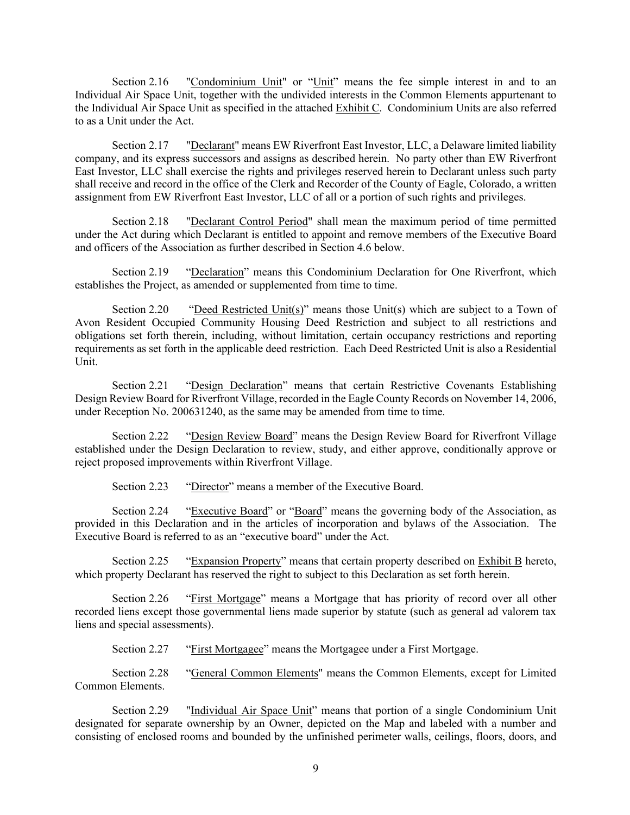Section 2.16 "Condominium Unit" or "Unit" means the fee simple interest in and to an Individual Air Space Unit, together with the undivided interests in the Common Elements appurtenant to the Individual Air Space Unit as specified in the attached Exhibit C. Condominium Units are also referred to as a Unit under the Act.

Section 2.17 "Declarant" means EW Riverfront East Investor, LLC, a Delaware limited liability company, and its express successors and assigns as described herein. No party other than EW Riverfront East Investor, LLC shall exercise the rights and privileges reserved herein to Declarant unless such party shall receive and record in the office of the Clerk and Recorder of the County of Eagle, Colorado, a written assignment from EW Riverfront East Investor, LLC of all or a portion of such rights and privileges.

Section 2.18 "Declarant Control Period" shall mean the maximum period of time permitted under the Act during which Declarant is entitled to appoint and remove members of the Executive Board and officers of the Association as further described in Section 4.6 below.

Section 2.19 "Declaration" means this Condominium Declaration for One Riverfront, which establishes the Project, as amended or supplemented from time to time.

Section 2.20 "Deed Restricted Unit(s)" means those Unit(s) which are subject to a Town of Avon Resident Occupied Community Housing Deed Restriction and subject to all restrictions and obligations set forth therein, including, without limitation, certain occupancy restrictions and reporting requirements as set forth in the applicable deed restriction. Each Deed Restricted Unit is also a Residential Unit.

Section 2.21 "Design Declaration" means that certain Restrictive Covenants Establishing Design Review Board for Riverfront Village, recorded in the Eagle County Records on November 14, 2006, under Reception No. 200631240, as the same may be amended from time to time.

Section 2.22 "Design Review Board" means the Design Review Board for Riverfront Village established under the Design Declaration to review, study, and either approve, conditionally approve or reject proposed improvements within Riverfront Village.

Section 2.23 "Director" means a member of the Executive Board.

Section 2.24 "Executive Board" or "Board" means the governing body of the Association, as provided in this Declaration and in the articles of incorporation and bylaws of the Association. The Executive Board is referred to as an "executive board" under the Act.

Section 2.25 "Expansion Property" means that certain property described on Exhibit B hereto, which property Declarant has reserved the right to subject to this Declaration as set forth herein.

Section 2.26 "First Mortgage" means a Mortgage that has priority of record over all other recorded liens except those governmental liens made superior by statute (such as general ad valorem tax liens and special assessments).

Section 2.27 "First Mortgagee" means the Mortgagee under a First Mortgage.

Section 2.28 "General Common Elements" means the Common Elements, except for Limited Common Elements.

Section 2.29 "Individual Air Space Unit" means that portion of a single Condominium Unit designated for separate ownership by an Owner, depicted on the Map and labeled with a number and consisting of enclosed rooms and bounded by the unfinished perimeter walls, ceilings, floors, doors, and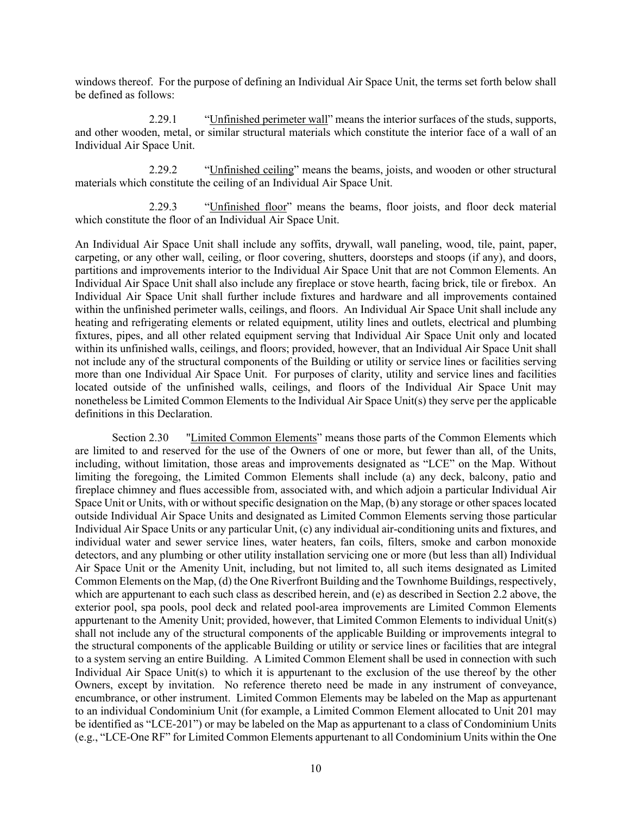windows thereof. For the purpose of defining an Individual Air Space Unit, the terms set forth below shall be defined as follows:

2.29.1 "Unfinished perimeter wall" means the interior surfaces of the studs, supports, and other wooden, metal, or similar structural materials which constitute the interior face of a wall of an Individual Air Space Unit.

2.29.2 "Unfinished ceiling" means the beams, joists, and wooden or other structural materials which constitute the ceiling of an Individual Air Space Unit.

2.29.3 "Unfinished floor" means the beams, floor joists, and floor deck material which constitute the floor of an Individual Air Space Unit.

An Individual Air Space Unit shall include any soffits, drywall, wall paneling, wood, tile, paint, paper, carpeting, or any other wall, ceiling, or floor covering, shutters, doorsteps and stoops (if any), and doors, partitions and improvements interior to the Individual Air Space Unit that are not Common Elements. An Individual Air Space Unit shall also include any fireplace or stove hearth, facing brick, tile or firebox. An Individual Air Space Unit shall further include fixtures and hardware and all improvements contained within the unfinished perimeter walls, ceilings, and floors. An Individual Air Space Unit shall include any heating and refrigerating elements or related equipment, utility lines and outlets, electrical and plumbing fixtures, pipes, and all other related equipment serving that Individual Air Space Unit only and located within its unfinished walls, ceilings, and floors; provided, however, that an Individual Air Space Unit shall not include any of the structural components of the Building or utility or service lines or facilities serving more than one Individual Air Space Unit. For purposes of clarity, utility and service lines and facilities located outside of the unfinished walls, ceilings, and floors of the Individual Air Space Unit may nonetheless be Limited Common Elements to the Individual Air Space Unit(s) they serve per the applicable definitions in this Declaration.

Section 2.30 "Limited Common Elements" means those parts of the Common Elements which are limited to and reserved for the use of the Owners of one or more, but fewer than all, of the Units, including, without limitation, those areas and improvements designated as "LCE" on the Map. Without limiting the foregoing, the Limited Common Elements shall include (a) any deck, balcony, patio and fireplace chimney and flues accessible from, associated with, and which adjoin a particular Individual Air Space Unit or Units, with or without specific designation on the Map, (b) any storage or other spaces located outside Individual Air Space Units and designated as Limited Common Elements serving those particular Individual Air Space Units or any particular Unit, (c) any individual air-conditioning units and fixtures, and individual water and sewer service lines, water heaters, fan coils, filters, smoke and carbon monoxide detectors, and any plumbing or other utility installation servicing one or more (but less than all) Individual Air Space Unit or the Amenity Unit, including, but not limited to, all such items designated as Limited Common Elements on the Map, (d) the One Riverfront Building and the Townhome Buildings, respectively, which are appurtenant to each such class as described herein, and (e) as described in Section 2.2 above, the exterior pool, spa pools, pool deck and related pool-area improvements are Limited Common Elements appurtenant to the Amenity Unit; provided, however, that Limited Common Elements to individual Unit(s) shall not include any of the structural components of the applicable Building or improvements integral to the structural components of the applicable Building or utility or service lines or facilities that are integral to a system serving an entire Building. A Limited Common Element shall be used in connection with such Individual Air Space Unit(s) to which it is appurtenant to the exclusion of the use thereof by the other Owners, except by invitation. No reference thereto need be made in any instrument of conveyance, encumbrance, or other instrument. Limited Common Elements may be labeled on the Map as appurtenant to an individual Condominium Unit (for example, a Limited Common Element allocated to Unit 201 may be identified as "LCE-201") or may be labeled on the Map as appurtenant to a class of Condominium Units (e.g., "LCE-One RF" for Limited Common Elements appurtenant to all Condominium Units within the One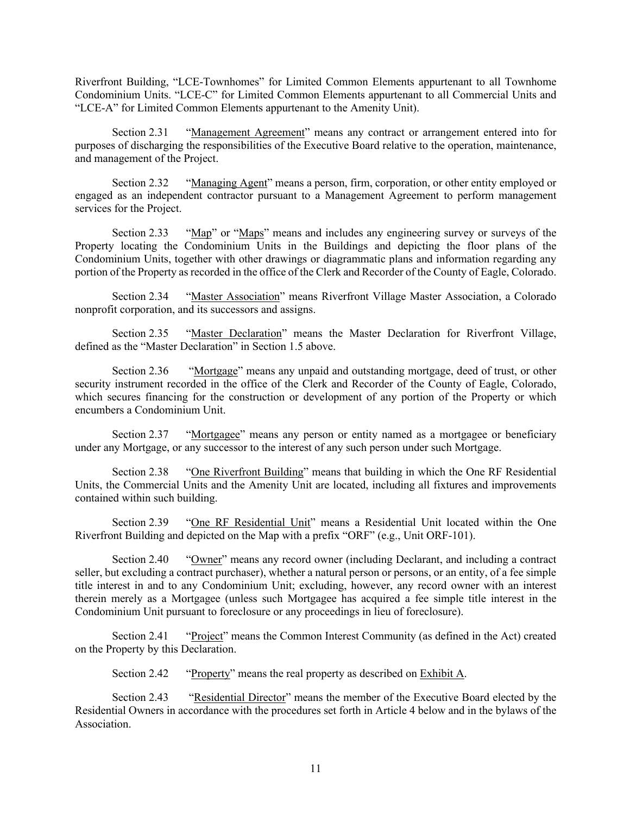Riverfront Building, "LCE-Townhomes" for Limited Common Elements appurtenant to all Townhome Condominium Units. "LCE-C" for Limited Common Elements appurtenant to all Commercial Units and "LCE-A" for Limited Common Elements appurtenant to the Amenity Unit).

Section 2.31 "Management Agreement" means any contract or arrangement entered into for purposes of discharging the responsibilities of the Executive Board relative to the operation, maintenance, and management of the Project.

Section 2.32 "Managing Agent" means a person, firm, corporation, or other entity employed or engaged as an independent contractor pursuant to a Management Agreement to perform management services for the Project.

Section 2.33 "Map" or "Maps" means and includes any engineering survey or surveys of the Property locating the Condominium Units in the Buildings and depicting the floor plans of the Condominium Units, together with other drawings or diagrammatic plans and information regarding any portion of the Property as recorded in the office of the Clerk and Recorder of the County of Eagle, Colorado.

Section 2.34 "Master Association" means Riverfront Village Master Association, a Colorado nonprofit corporation, and its successors and assigns.

Section 2.35 "Master Declaration" means the Master Declaration for Riverfront Village, defined as the "Master Declaration" in Section 1.5 above.

Section 2.36 "Mortgage" means any unpaid and outstanding mortgage, deed of trust, or other security instrument recorded in the office of the Clerk and Recorder of the County of Eagle, Colorado, which secures financing for the construction or development of any portion of the Property or which encumbers a Condominium Unit.

Section 2.37 "Mortgagee" means any person or entity named as a mortgagee or beneficiary under any Mortgage, or any successor to the interest of any such person under such Mortgage.

Section 2.38 "One Riverfront Building" means that building in which the One RF Residential Units, the Commercial Units and the Amenity Unit are located, including all fixtures and improvements contained within such building.

Section 2.39 "One RF Residential Unit" means a Residential Unit located within the One Riverfront Building and depicted on the Map with a prefix "ORF" (e.g., Unit ORF-101).

Section 2.40 "Owner" means any record owner (including Declarant, and including a contract seller, but excluding a contract purchaser), whether a natural person or persons, or an entity, of a fee simple title interest in and to any Condominium Unit; excluding, however, any record owner with an interest therein merely as a Mortgagee (unless such Mortgagee has acquired a fee simple title interest in the Condominium Unit pursuant to foreclosure or any proceedings in lieu of foreclosure).

Section 2.41 "Project" means the Common Interest Community (as defined in the Act) created on the Property by this Declaration.

Section 2.42 "Property" means the real property as described on Exhibit A.

Section 2.43 "Residential Director" means the member of the Executive Board elected by the Residential Owners in accordance with the procedures set forth in Article 4 below and in the bylaws of the Association.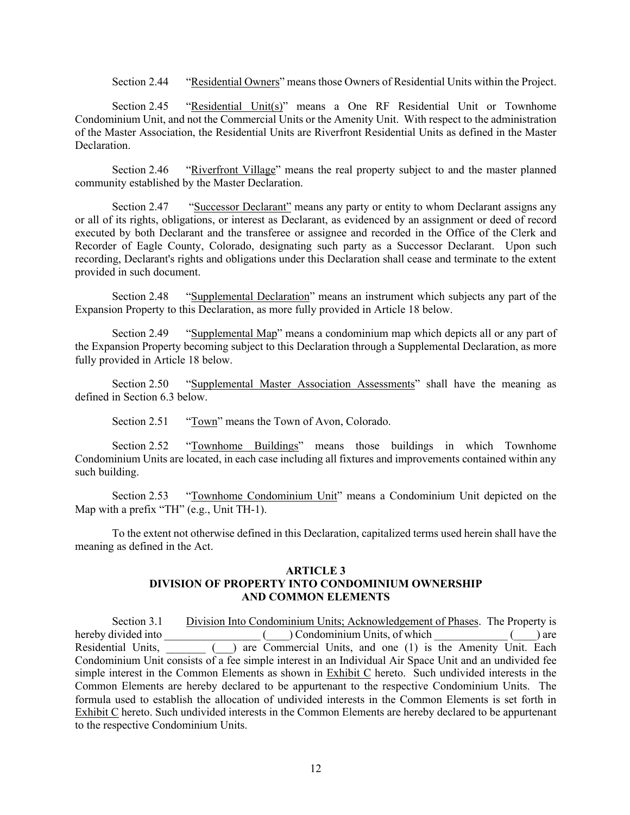Section 2.44 "Residential Owners" means those Owners of Residential Units within the Project.

Section 2.45 "Residential Unit(s)" means a One RF Residential Unit or Townhome Condominium Unit, and not the Commercial Units or the Amenity Unit. With respect to the administration of the Master Association, the Residential Units are Riverfront Residential Units as defined in the Master Declaration.

Section 2.46 "Riverfront Village" means the real property subject to and the master planned community established by the Master Declaration.

Section 2.47 "Successor Declarant" means any party or entity to whom Declarant assigns any or all of its rights, obligations, or interest as Declarant, as evidenced by an assignment or deed of record executed by both Declarant and the transferee or assignee and recorded in the Office of the Clerk and Recorder of Eagle County, Colorado, designating such party as a Successor Declarant. Upon such recording, Declarant's rights and obligations under this Declaration shall cease and terminate to the extent provided in such document.

Section 2.48 "Supplemental Declaration" means an instrument which subjects any part of the Expansion Property to this Declaration, as more fully provided in Article 18 below.

Section 2.49 "Supplemental Map" means a condominium map which depicts all or any part of the Expansion Property becoming subject to this Declaration through a Supplemental Declaration, as more fully provided in Article 18 below.

Section 2.50 "Supplemental Master Association Assessments" shall have the meaning as defined in Section 6.3 below.

Section 2.51 "Town" means the Town of Avon, Colorado.

Section 2.52 "Townhome Buildings" means those buildings in which Townhome Condominium Units are located, in each case including all fixtures and improvements contained within any such building.

Section 2.53 "Townhome Condominium Unit" means a Condominium Unit depicted on the Map with a prefix "TH" (e.g., Unit TH-1).

To the extent not otherwise defined in this Declaration, capitalized terms used herein shall have the meaning as defined in the Act.

### **ARTICLE 3 DIVISION OF PROPERTY INTO CONDOMINIUM OWNERSHIP AND COMMON ELEMENTS**

Section 3.1 Division Into Condominium Units; Acknowledgement of Phases. The Property is hereby divided into  $($  ) Condominium Units, of which  $($  ) are Residential Units,  $\overline{ }$  ( $\overline{ }$ ) are Commercial Units, and one (1) is the Amenity Unit. Each Condominium Unit consists of a fee simple interest in an Individual Air Space Unit and an undivided fee simple interest in the Common Elements as shown in Exhibit C hereto. Such undivided interests in the Common Elements are hereby declared to be appurtenant to the respective Condominium Units. The formula used to establish the allocation of undivided interests in the Common Elements is set forth in Exhibit C hereto. Such undivided interests in the Common Elements are hereby declared to be appurtenant to the respective Condominium Units.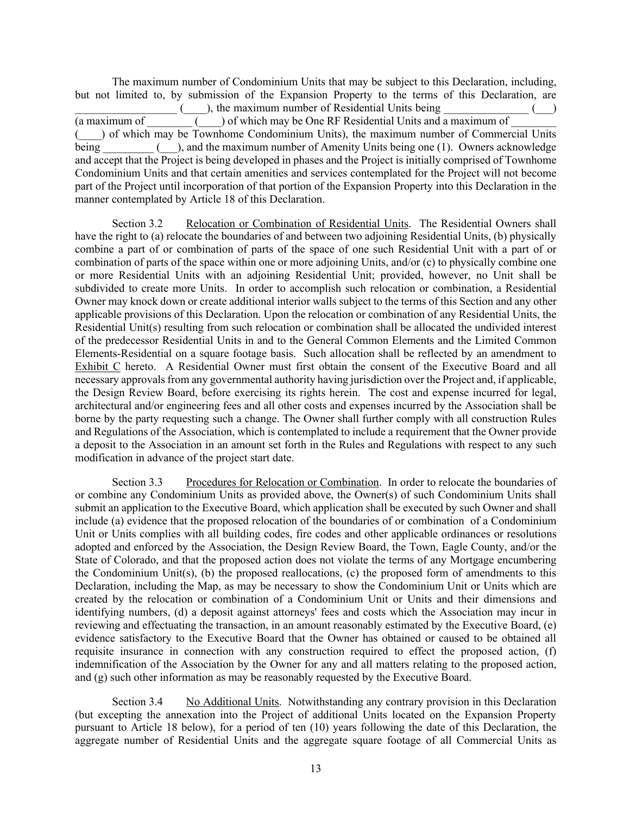The maximum number of Condominium Units that may be subject to this Declaration, including, but not limited to, by submission of the Expansion Property to the terms of this Declaration, are ), the maximum number of Residential Units being (a maximum of  $\qquad \qquad$  ) of which may be One RF Residential Units and a maximum of (\_\_\_\_) of which may be Townhome Condominium Units), the maximum number of Commercial Units being \_\_\_\_\_\_\_\_ (\_\_\_), and the maximum number of Amenity Units being one (1). Owners acknowledge and accept that the Project is being developed in phases and the Project is initially comprised of Townhome Condominium Units and that certain amenities and services contemplated for the Project will not become part of the Project until incorporation of that portion of the Expansion Property into this Declaration in the manner contemplated by Article 18 of this Declaration.

Section 3.2 Relocation or Combination of Residential Units. The Residential Owners shall have the right to (a) relocate the boundaries of and between two adjoining Residential Units, (b) physically combine a part of or combination of parts of the space of one such Residential Unit with a part of or combination of parts of the space within one or more adjoining Units, and/or (c) to physically combine one or more Residential Units with an adjoining Residential Unit; provided, however, no Unit shall be subdivided to create more Units. In order to accomplish such relocation or combination, a Residential Owner may knock down or create additional interior walls subject to the terms of this Section and any other applicable provisions of this Declaration. Upon the relocation or combination of any Residential Units, the Residential Unit(s) resulting from such relocation or combination shall be allocated the undivided interest of the predecessor Residential Units in and to the General Common Elements and the Limited Common Elements-Residential on a square footage basis. Such allocation shall be reflected by an amendment to Exhibit C hereto. A Residential Owner must first obtain the consent of the Executive Board and all necessary approvals from any governmental authority having jurisdiction over the Project and, if applicable, the Design Review Board, before exercising its rights herein. The cost and expense incurred for legal, architectural and/or engineering fees and all other costs and expenses incurred by the Association shall be borne by the party requesting such a change. The Owner shall further comply with all construction Rules and Regulations of the Association, which is contemplated to include a requirement that the Owner provide a deposit to the Association in an amount set forth in the Rules and Regulations with respect to any such modification in advance of the project start date.

Section 3.3 Procedures for Relocation or Combination. In order to relocate the boundaries of or combine any Condominium Units as provided above, the Owner(s) of such Condominium Units shall submit an application to the Executive Board, which application shall be executed by such Owner and shall include (a) evidence that the proposed relocation of the boundaries of or combination of a Condominium Unit or Units complies with all building codes, fire codes and other applicable ordinances or resolutions adopted and enforced by the Association, the Design Review Board, the Town, Eagle County, and/or the State of Colorado, and that the proposed action does not violate the terms of any Mortgage encumbering the Condominium Unit(s), (b) the proposed reallocations, (c) the proposed form of amendments to this Declaration, including the Map, as may be necessary to show the Condominium Unit or Units which are created by the relocation or combination of a Condominium Unit or Units and their dimensions and identifying numbers, (d) a deposit against attorneys' fees and costs which the Association may incur in reviewing and effectuating the transaction, in an amount reasonably estimated by the Executive Board, (e) evidence satisfactory to the Executive Board that the Owner has obtained or caused to be obtained all requisite insurance in connection with any construction required to effect the proposed action, (f) indemnification of the Association by the Owner for any and all matters relating to the proposed action, and (g) such other information as may be reasonably requested by the Executive Board.

Section 3.4 No Additional Units. Notwithstanding any contrary provision in this Declaration (but excepting the annexation into the Project of additional Units located on the Expansion Property pursuant to Article 18 below), for a period of ten (10) years following the date of this Declaration, the aggregate number of Residential Units and the aggregate square footage of all Commercial Units as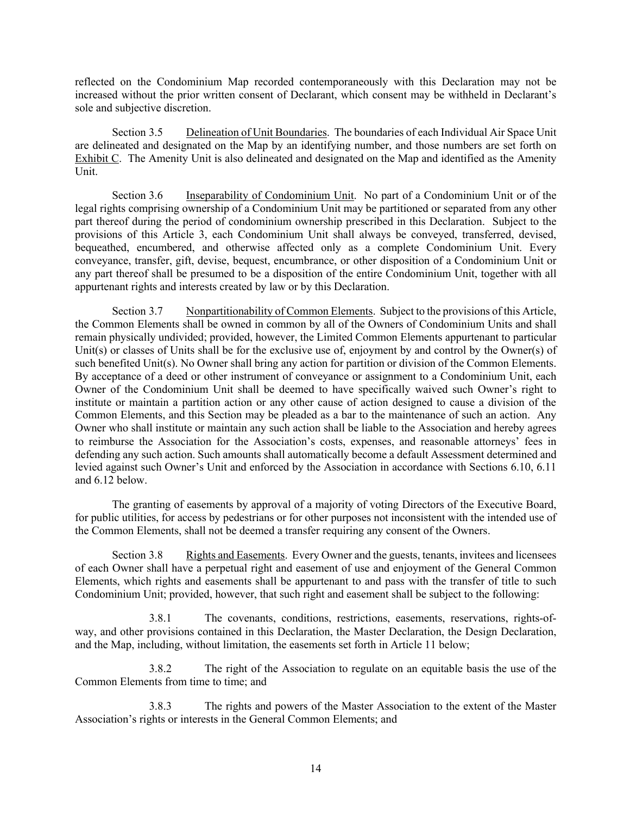reflected on the Condominium Map recorded contemporaneously with this Declaration may not be increased without the prior written consent of Declarant, which consent may be withheld in Declarant's sole and subjective discretion.

Section 3.5 Delineation of Unit Boundaries. The boundaries of each Individual Air Space Unit are delineated and designated on the Map by an identifying number, and those numbers are set forth on Exhibit C. The Amenity Unit is also delineated and designated on the Map and identified as the Amenity Unit.

Section 3.6 Inseparability of Condominium Unit. No part of a Condominium Unit or of the legal rights comprising ownership of a Condominium Unit may be partitioned or separated from any other part thereof during the period of condominium ownership prescribed in this Declaration. Subject to the provisions of this Article 3, each Condominium Unit shall always be conveyed, transferred, devised, bequeathed, encumbered, and otherwise affected only as a complete Condominium Unit. Every conveyance, transfer, gift, devise, bequest, encumbrance, or other disposition of a Condominium Unit or any part thereof shall be presumed to be a disposition of the entire Condominium Unit, together with all appurtenant rights and interests created by law or by this Declaration.

Section 3.7 Nonpartitionability of Common Elements. Subject to the provisions of this Article, the Common Elements shall be owned in common by all of the Owners of Condominium Units and shall remain physically undivided; provided, however, the Limited Common Elements appurtenant to particular Unit(s) or classes of Units shall be for the exclusive use of, enjoyment by and control by the Owner(s) of such benefited Unit(s). No Owner shall bring any action for partition or division of the Common Elements. By acceptance of a deed or other instrument of conveyance or assignment to a Condominium Unit, each Owner of the Condominium Unit shall be deemed to have specifically waived such Owner's right to institute or maintain a partition action or any other cause of action designed to cause a division of the Common Elements, and this Section may be pleaded as a bar to the maintenance of such an action. Any Owner who shall institute or maintain any such action shall be liable to the Association and hereby agrees to reimburse the Association for the Association's costs, expenses, and reasonable attorneys' fees in defending any such action. Such amounts shall automatically become a default Assessment determined and levied against such Owner's Unit and enforced by the Association in accordance with Sections 6.10, 6.11 and 6.12 below.

The granting of easements by approval of a majority of voting Directors of the Executive Board, for public utilities, for access by pedestrians or for other purposes not inconsistent with the intended use of the Common Elements, shall not be deemed a transfer requiring any consent of the Owners.

Section 3.8 Rights and Easements. Every Owner and the guests, tenants, invitees and licensees of each Owner shall have a perpetual right and easement of use and enjoyment of the General Common Elements, which rights and easements shall be appurtenant to and pass with the transfer of title to such Condominium Unit; provided, however, that such right and easement shall be subject to the following:

3.8.1 The covenants, conditions, restrictions, easements, reservations, rights-ofway, and other provisions contained in this Declaration, the Master Declaration, the Design Declaration, and the Map, including, without limitation, the easements set forth in Article 11 below;

3.8.2 The right of the Association to regulate on an equitable basis the use of the Common Elements from time to time; and

3.8.3 The rights and powers of the Master Association to the extent of the Master Association's rights or interests in the General Common Elements; and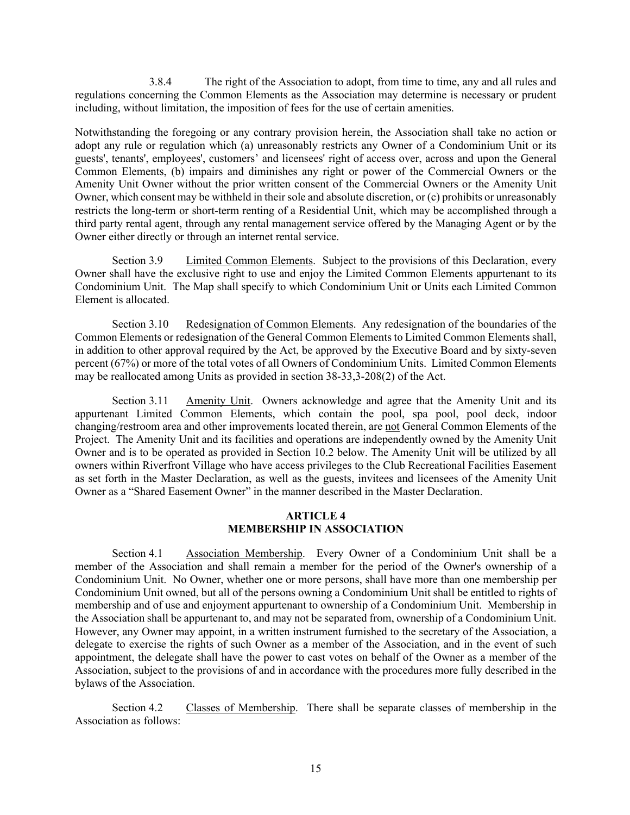3.8.4 The right of the Association to adopt, from time to time, any and all rules and regulations concerning the Common Elements as the Association may determine is necessary or prudent including, without limitation, the imposition of fees for the use of certain amenities.

Notwithstanding the foregoing or any contrary provision herein, the Association shall take no action or adopt any rule or regulation which (a) unreasonably restricts any Owner of a Condominium Unit or its guests', tenants', employees', customers' and licensees' right of access over, across and upon the General Common Elements, (b) impairs and diminishes any right or power of the Commercial Owners or the Amenity Unit Owner without the prior written consent of the Commercial Owners or the Amenity Unit Owner, which consent may be withheld in their sole and absolute discretion, or (c) prohibits or unreasonably restricts the long-term or short-term renting of a Residential Unit, which may be accomplished through a third party rental agent, through any rental management service offered by the Managing Agent or by the Owner either directly or through an internet rental service.

Section 3.9 Limited Common Elements. Subject to the provisions of this Declaration, every Owner shall have the exclusive right to use and enjoy the Limited Common Elements appurtenant to its Condominium Unit. The Map shall specify to which Condominium Unit or Units each Limited Common Element is allocated.

Section 3.10 Redesignation of Common Elements. Any redesignation of the boundaries of the Common Elements or redesignation of the General Common Elements to Limited Common Elements shall, in addition to other approval required by the Act, be approved by the Executive Board and by sixty-seven percent (67%) or more of the total votes of all Owners of Condominium Units. Limited Common Elements may be reallocated among Units as provided in section 38-33,3-208(2) of the Act.

Section 3.11 Amenity Unit. Owners acknowledge and agree that the Amenity Unit and its appurtenant Limited Common Elements, which contain the pool, spa pool, pool deck, indoor changing/restroom area and other improvements located therein, are not General Common Elements of the Project. The Amenity Unit and its facilities and operations are independently owned by the Amenity Unit Owner and is to be operated as provided in Section 10.2 below. The Amenity Unit will be utilized by all owners within Riverfront Village who have access privileges to the Club Recreational Facilities Easement as set forth in the Master Declaration, as well as the guests, invitees and licensees of the Amenity Unit Owner as a "Shared Easement Owner" in the manner described in the Master Declaration.

## **ARTICLE 4 MEMBERSHIP IN ASSOCIATION**

Section 4.1 Association Membership. Every Owner of a Condominium Unit shall be a member of the Association and shall remain a member for the period of the Owner's ownership of a Condominium Unit. No Owner, whether one or more persons, shall have more than one membership per Condominium Unit owned, but all of the persons owning a Condominium Unit shall be entitled to rights of membership and of use and enjoyment appurtenant to ownership of a Condominium Unit. Membership in the Association shall be appurtenant to, and may not be separated from, ownership of a Condominium Unit. However, any Owner may appoint, in a written instrument furnished to the secretary of the Association, a delegate to exercise the rights of such Owner as a member of the Association, and in the event of such appointment, the delegate shall have the power to cast votes on behalf of the Owner as a member of the Association, subject to the provisions of and in accordance with the procedures more fully described in the bylaws of the Association.

Section 4.2 Classes of Membership. There shall be separate classes of membership in the Association as follows: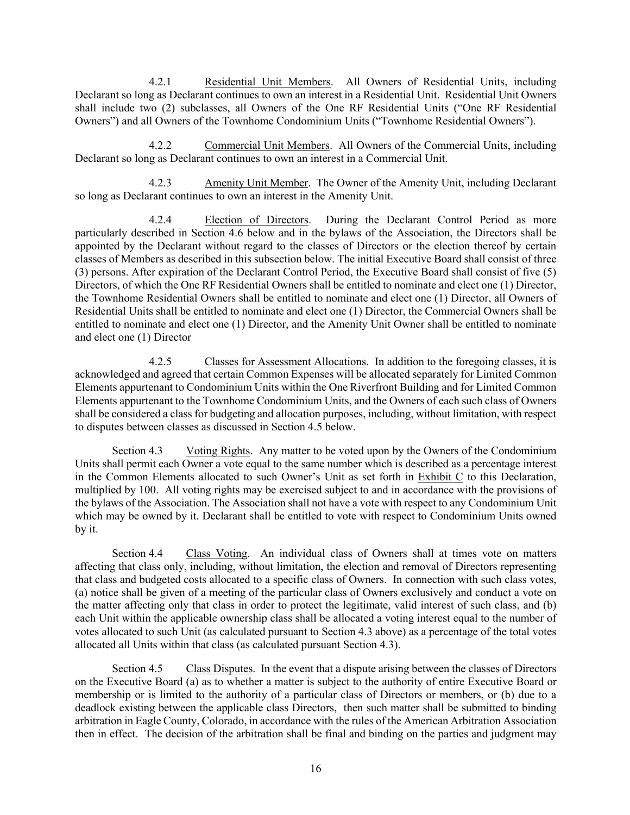4.2.1 Residential Unit Members. All Owners of Residential Units, including Declarant so long as Declarant continues to own an interest in a Residential Unit. Residential Unit Owners shall include two (2) subclasses, all Owners of the One RF Residential Units ("One RF Residential Owners") and all Owners of the Townhome Condominium Units ("Townhome Residential Owners").

4.2.2 Commercial Unit Members. All Owners of the Commercial Units, including Declarant so long as Declarant continues to own an interest in a Commercial Unit.

4.2.3 Amenity Unit Member. The Owner of the Amenity Unit, including Declarant so long as Declarant continues to own an interest in the Amenity Unit.

4.2.4 Election of Directors. During the Declarant Control Period as more particularly described in Section 4.6 below and in the bylaws of the Association, the Directors shall be appointed by the Declarant without regard to the classes of Directors or the election thereof by certain classes of Members as described in this subsection below. The initial Executive Board shall consist of three (3) persons. After expiration of the Declarant Control Period, the Executive Board shall consist of five (5) Directors, of which the One RF Residential Owners shall be entitled to nominate and elect one (1) Director, the Townhome Residential Owners shall be entitled to nominate and elect one (1) Director, all Owners of Residential Units shall be entitled to nominate and elect one (1) Director, the Commercial Owners shall be entitled to nominate and elect one (1) Director, and the Amenity Unit Owner shall be entitled to nominate and elect one (1) Director

4.2.5 Classes for Assessment Allocations. In addition to the foregoing classes, it is acknowledged and agreed that certain Common Expenses will be allocated separately for Limited Common Elements appurtenant to Condominium Units within the One Riverfront Building and for Limited Common Elements appurtenant to the Townhome Condominium Units, and the Owners of each such class of Owners shall be considered a class for budgeting and allocation purposes, including, without limitation, with respect to disputes between classes as discussed in Section 4.5 below.

Section 4.3 Voting Rights. Any matter to be voted upon by the Owners of the Condominium Units shall permit each Owner a vote equal to the same number which is described as a percentage interest in the Common Elements allocated to such Owner's Unit as set forth in Exhibit C to this Declaration, multiplied by 100. All voting rights may be exercised subject to and in accordance with the provisions of the bylaws of the Association. The Association shall not have a vote with respect to any Condominium Unit which may be owned by it. Declarant shall be entitled to vote with respect to Condominium Units owned by it.

Section 4.4 Class Voting. An individual class of Owners shall at times vote on matters affecting that class only, including, without limitation, the election and removal of Directors representing that class and budgeted costs allocated to a specific class of Owners. In connection with such class votes, (a) notice shall be given of a meeting of the particular class of Owners exclusively and conduct a vote on the matter affecting only that class in order to protect the legitimate, valid interest of such class, and (b) each Unit within the applicable ownership class shall be allocated a voting interest equal to the number of votes allocated to such Unit (as calculated pursuant to Section 4.3 above) as a percentage of the total votes allocated all Units within that class (as calculated pursuant Section 4.3).

Section 4.5 Class Disputes. In the event that a dispute arising between the classes of Directors on the Executive Board (a) as to whether a matter is subject to the authority of entire Executive Board or membership or is limited to the authority of a particular class of Directors or members, or (b) due to a deadlock existing between the applicable class Directors, then such matter shall be submitted to binding arbitration in Eagle County, Colorado, in accordance with the rules of the American Arbitration Association then in effect. The decision of the arbitration shall be final and binding on the parties and judgment may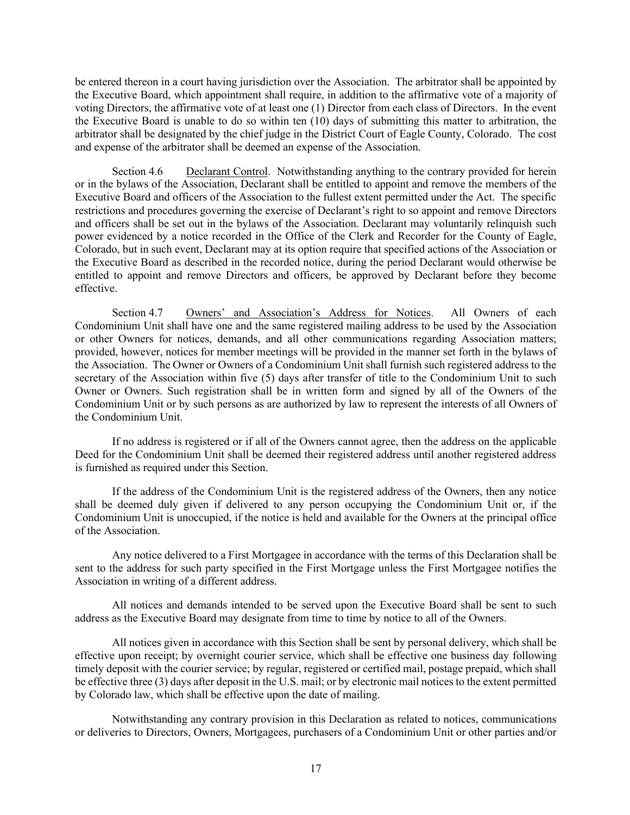be entered thereon in a court having jurisdiction over the Association. The arbitrator shall be appointed by the Executive Board, which appointment shall require, in addition to the affirmative vote of a majority of voting Directors, the affirmative vote of at least one (1) Director from each class of Directors. In the event the Executive Board is unable to do so within ten (10) days of submitting this matter to arbitration, the arbitrator shall be designated by the chief judge in the District Court of Eagle County, Colorado. The cost and expense of the arbitrator shall be deemed an expense of the Association.

Section 4.6 Declarant Control. Notwithstanding anything to the contrary provided for herein or in the bylaws of the Association, Declarant shall be entitled to appoint and remove the members of the Executive Board and officers of the Association to the fullest extent permitted under the Act. The specific restrictions and procedures governing the exercise of Declarant's right to so appoint and remove Directors and officers shall be set out in the bylaws of the Association. Declarant may voluntarily relinquish such power evidenced by a notice recorded in the Office of the Clerk and Recorder for the County of Eagle, Colorado, but in such event, Declarant may at its option require that specified actions of the Association or the Executive Board as described in the recorded notice, during the period Declarant would otherwise be entitled to appoint and remove Directors and officers, be approved by Declarant before they become effective.

Section 4.7 Owners' and Association's Address for Notices. All Owners of each Condominium Unit shall have one and the same registered mailing address to be used by the Association or other Owners for notices, demands, and all other communications regarding Association matters; provided, however, notices for member meetings will be provided in the manner set forth in the bylaws of the Association. The Owner or Owners of a Condominium Unit shall furnish such registered address to the secretary of the Association within five (5) days after transfer of title to the Condominium Unit to such Owner or Owners. Such registration shall be in written form and signed by all of the Owners of the Condominium Unit or by such persons as are authorized by law to represent the interests of all Owners of the Condominium Unit.

If no address is registered or if all of the Owners cannot agree, then the address on the applicable Deed for the Condominium Unit shall be deemed their registered address until another registered address is furnished as required under this Section.

If the address of the Condominium Unit is the registered address of the Owners, then any notice shall be deemed duly given if delivered to any person occupying the Condominium Unit or, if the Condominium Unit is unoccupied, if the notice is held and available for the Owners at the principal office of the Association.

Any notice delivered to a First Mortgagee in accordance with the terms of this Declaration shall be sent to the address for such party specified in the First Mortgage unless the First Mortgagee notifies the Association in writing of a different address.

All notices and demands intended to be served upon the Executive Board shall be sent to such address as the Executive Board may designate from time to time by notice to all of the Owners.

All notices given in accordance with this Section shall be sent by personal delivery, which shall be effective upon receipt; by overnight courier service, which shall be effective one business day following timely deposit with the courier service; by regular, registered or certified mail, postage prepaid, which shall be effective three (3) days after deposit in the U.S. mail; or by electronic mail notices to the extent permitted by Colorado law, which shall be effective upon the date of mailing.

Notwithstanding any contrary provision in this Declaration as related to notices, communications or deliveries to Directors, Owners, Mortgagees, purchasers of a Condominium Unit or other parties and/or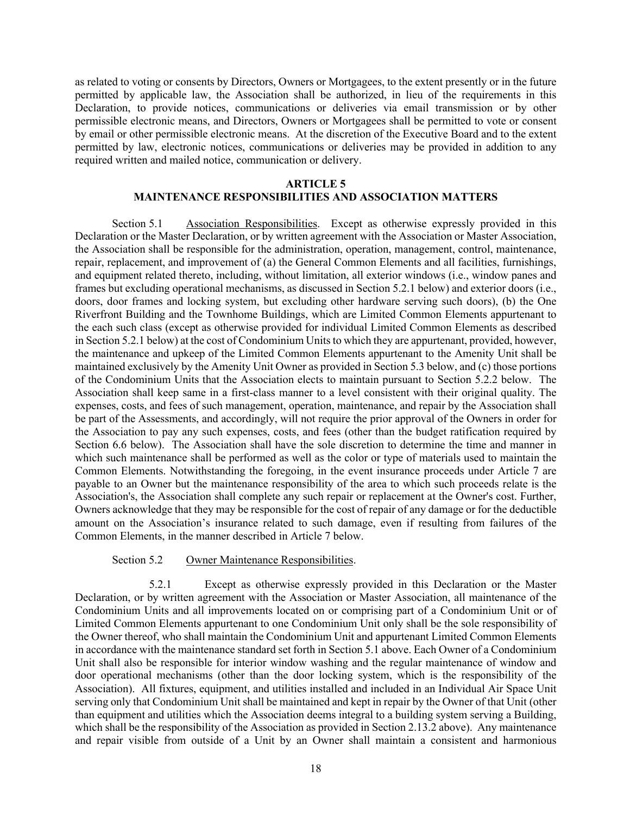as related to voting or consents by Directors, Owners or Mortgagees, to the extent presently or in the future permitted by applicable law, the Association shall be authorized, in lieu of the requirements in this Declaration, to provide notices, communications or deliveries via email transmission or by other permissible electronic means, and Directors, Owners or Mortgagees shall be permitted to vote or consent by email or other permissible electronic means. At the discretion of the Executive Board and to the extent permitted by law, electronic notices, communications or deliveries may be provided in addition to any required written and mailed notice, communication or delivery.

#### **ARTICLE 5**

## **MAINTENANCE RESPONSIBILITIES AND ASSOCIATION MATTERS**

Section 5.1 Association Responsibilities. Except as otherwise expressly provided in this Declaration or the Master Declaration, or by written agreement with the Association or Master Association, the Association shall be responsible for the administration, operation, management, control, maintenance, repair, replacement, and improvement of (a) the General Common Elements and all facilities, furnishings, and equipment related thereto, including, without limitation, all exterior windows (i.e., window panes and frames but excluding operational mechanisms, as discussed in Section 5.2.1 below) and exterior doors (i.e., doors, door frames and locking system, but excluding other hardware serving such doors), (b) the One Riverfront Building and the Townhome Buildings, which are Limited Common Elements appurtenant to the each such class (except as otherwise provided for individual Limited Common Elements as described in Section 5.2.1 below) at the cost of Condominium Units to which they are appurtenant, provided, however, the maintenance and upkeep of the Limited Common Elements appurtenant to the Amenity Unit shall be maintained exclusively by the Amenity Unit Owner as provided in Section 5.3 below, and (c) those portions of the Condominium Units that the Association elects to maintain pursuant to Section 5.2.2 below. The Association shall keep same in a first-class manner to a level consistent with their original quality. The expenses, costs, and fees of such management, operation, maintenance, and repair by the Association shall be part of the Assessments, and accordingly, will not require the prior approval of the Owners in order for the Association to pay any such expenses, costs, and fees (other than the budget ratification required by Section 6.6 below). The Association shall have the sole discretion to determine the time and manner in which such maintenance shall be performed as well as the color or type of materials used to maintain the Common Elements. Notwithstanding the foregoing, in the event insurance proceeds under Article 7 are payable to an Owner but the maintenance responsibility of the area to which such proceeds relate is the Association's, the Association shall complete any such repair or replacement at the Owner's cost. Further, Owners acknowledge that they may be responsible for the cost of repair of any damage or for the deductible amount on the Association's insurance related to such damage, even if resulting from failures of the Common Elements, in the manner described in Article 7 below.

### Section 5.2 Owner Maintenance Responsibilities.

5.2.1 Except as otherwise expressly provided in this Declaration or the Master Declaration, or by written agreement with the Association or Master Association, all maintenance of the Condominium Units and all improvements located on or comprising part of a Condominium Unit or of Limited Common Elements appurtenant to one Condominium Unit only shall be the sole responsibility of the Owner thereof, who shall maintain the Condominium Unit and appurtenant Limited Common Elements in accordance with the maintenance standard set forth in Section 5.1 above. Each Owner of a Condominium Unit shall also be responsible for interior window washing and the regular maintenance of window and door operational mechanisms (other than the door locking system, which is the responsibility of the Association). All fixtures, equipment, and utilities installed and included in an Individual Air Space Unit serving only that Condominium Unit shall be maintained and kept in repair by the Owner of that Unit (other than equipment and utilities which the Association deems integral to a building system serving a Building, which shall be the responsibility of the Association as provided in Section 2.13.2 above). Any maintenance and repair visible from outside of a Unit by an Owner shall maintain a consistent and harmonious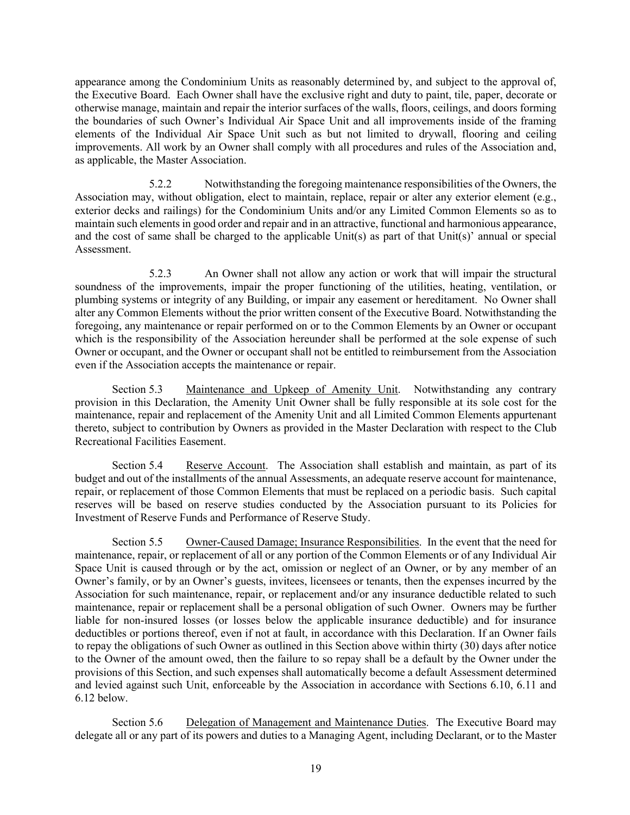appearance among the Condominium Units as reasonably determined by, and subject to the approval of, the Executive Board. Each Owner shall have the exclusive right and duty to paint, tile, paper, decorate or otherwise manage, maintain and repair the interior surfaces of the walls, floors, ceilings, and doors forming the boundaries of such Owner's Individual Air Space Unit and all improvements inside of the framing elements of the Individual Air Space Unit such as but not limited to drywall, flooring and ceiling improvements. All work by an Owner shall comply with all procedures and rules of the Association and, as applicable, the Master Association.

5.2.2 Notwithstanding the foregoing maintenance responsibilities of the Owners, the Association may, without obligation, elect to maintain, replace, repair or alter any exterior element (e.g., exterior decks and railings) for the Condominium Units and/or any Limited Common Elements so as to maintain such elements in good order and repair and in an attractive, functional and harmonious appearance, and the cost of same shall be charged to the applicable Unit(s) as part of that Unit(s)' annual or special Assessment.

5.2.3 An Owner shall not allow any action or work that will impair the structural soundness of the improvements, impair the proper functioning of the utilities, heating, ventilation, or plumbing systems or integrity of any Building, or impair any easement or hereditament. No Owner shall alter any Common Elements without the prior written consent of the Executive Board. Notwithstanding the foregoing, any maintenance or repair performed on or to the Common Elements by an Owner or occupant which is the responsibility of the Association hereunder shall be performed at the sole expense of such Owner or occupant, and the Owner or occupant shall not be entitled to reimbursement from the Association even if the Association accepts the maintenance or repair.

Section 5.3 Maintenance and Upkeep of Amenity Unit. Notwithstanding any contrary provision in this Declaration, the Amenity Unit Owner shall be fully responsible at its sole cost for the maintenance, repair and replacement of the Amenity Unit and all Limited Common Elements appurtenant thereto, subject to contribution by Owners as provided in the Master Declaration with respect to the Club Recreational Facilities Easement.

Section 5.4 Reserve Account. The Association shall establish and maintain, as part of its budget and out of the installments of the annual Assessments, an adequate reserve account for maintenance, repair, or replacement of those Common Elements that must be replaced on a periodic basis. Such capital reserves will be based on reserve studies conducted by the Association pursuant to its Policies for Investment of Reserve Funds and Performance of Reserve Study.

Section 5.5 Owner-Caused Damage; Insurance Responsibilities. In the event that the need for maintenance, repair, or replacement of all or any portion of the Common Elements or of any Individual Air Space Unit is caused through or by the act, omission or neglect of an Owner, or by any member of an Owner's family, or by an Owner's guests, invitees, licensees or tenants, then the expenses incurred by the Association for such maintenance, repair, or replacement and/or any insurance deductible related to such maintenance, repair or replacement shall be a personal obligation of such Owner. Owners may be further liable for non-insured losses (or losses below the applicable insurance deductible) and for insurance deductibles or portions thereof, even if not at fault, in accordance with this Declaration. If an Owner fails to repay the obligations of such Owner as outlined in this Section above within thirty (30) days after notice to the Owner of the amount owed, then the failure to so repay shall be a default by the Owner under the provisions of this Section, and such expenses shall automatically become a default Assessment determined and levied against such Unit, enforceable by the Association in accordance with Sections 6.10, 6.11 and 6.12 below.

Section 5.6 Delegation of Management and Maintenance Duties. The Executive Board may delegate all or any part of its powers and duties to a Managing Agent, including Declarant, or to the Master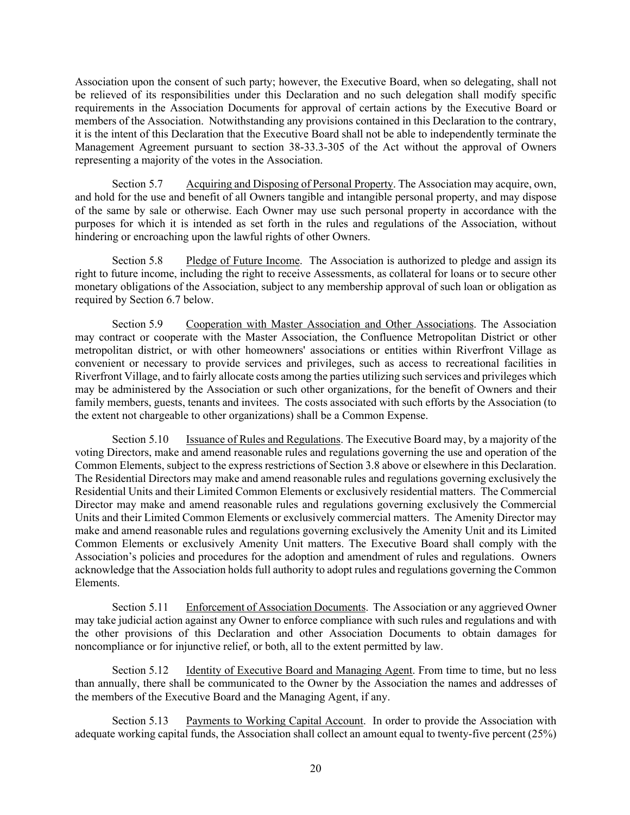Association upon the consent of such party; however, the Executive Board, when so delegating, shall not be relieved of its responsibilities under this Declaration and no such delegation shall modify specific requirements in the Association Documents for approval of certain actions by the Executive Board or members of the Association. Notwithstanding any provisions contained in this Declaration to the contrary, it is the intent of this Declaration that the Executive Board shall not be able to independently terminate the Management Agreement pursuant to section 38-33.3-305 of the Act without the approval of Owners representing a majority of the votes in the Association.

Section 5.7 Acquiring and Disposing of Personal Property. The Association may acquire, own, and hold for the use and benefit of all Owners tangible and intangible personal property, and may dispose of the same by sale or otherwise. Each Owner may use such personal property in accordance with the purposes for which it is intended as set forth in the rules and regulations of the Association, without hindering or encroaching upon the lawful rights of other Owners.

Section 5.8 Pledge of Future Income. The Association is authorized to pledge and assign its right to future income, including the right to receive Assessments, as collateral for loans or to secure other monetary obligations of the Association, subject to any membership approval of such loan or obligation as required by Section 6.7 below.

Section 5.9 Cooperation with Master Association and Other Associations. The Association may contract or cooperate with the Master Association, the Confluence Metropolitan District or other metropolitan district, or with other homeowners' associations or entities within Riverfront Village as convenient or necessary to provide services and privileges, such as access to recreational facilities in Riverfront Village, and to fairly allocate costs among the parties utilizing such services and privileges which may be administered by the Association or such other organizations, for the benefit of Owners and their family members, guests, tenants and invitees. The costs associated with such efforts by the Association (to the extent not chargeable to other organizations) shall be a Common Expense.

Section 5.10 Issuance of Rules and Regulations. The Executive Board may, by a majority of the voting Directors, make and amend reasonable rules and regulations governing the use and operation of the Common Elements, subject to the express restrictions of Section 3.8 above or elsewhere in this Declaration. The Residential Directors may make and amend reasonable rules and regulations governing exclusively the Residential Units and their Limited Common Elements or exclusively residential matters. The Commercial Director may make and amend reasonable rules and regulations governing exclusively the Commercial Units and their Limited Common Elements or exclusively commercial matters. The Amenity Director may make and amend reasonable rules and regulations governing exclusively the Amenity Unit and its Limited Common Elements or exclusively Amenity Unit matters. The Executive Board shall comply with the Association's policies and procedures for the adoption and amendment of rules and regulations. Owners acknowledge that the Association holds full authority to adopt rules and regulations governing the Common Elements.

Section 5.11 Enforcement of Association Documents. The Association or any aggrieved Owner may take judicial action against any Owner to enforce compliance with such rules and regulations and with the other provisions of this Declaration and other Association Documents to obtain damages for noncompliance or for injunctive relief, or both, all to the extent permitted by law.

Section 5.12 Identity of Executive Board and Managing Agent. From time to time, but no less than annually, there shall be communicated to the Owner by the Association the names and addresses of the members of the Executive Board and the Managing Agent, if any.

Section 5.13 Payments to Working Capital Account. In order to provide the Association with adequate working capital funds, the Association shall collect an amount equal to twenty-five percent (25%)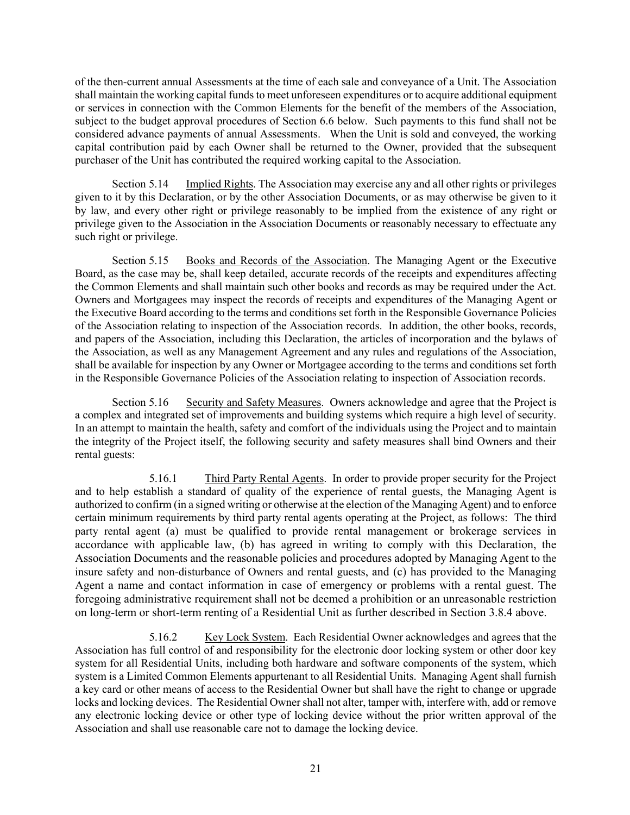of the then-current annual Assessments at the time of each sale and conveyance of a Unit. The Association shall maintain the working capital funds to meet unforeseen expenditures or to acquire additional equipment or services in connection with the Common Elements for the benefit of the members of the Association, subject to the budget approval procedures of Section 6.6 below. Such payments to this fund shall not be considered advance payments of annual Assessments. When the Unit is sold and conveyed, the working capital contribution paid by each Owner shall be returned to the Owner, provided that the subsequent purchaser of the Unit has contributed the required working capital to the Association.

Section 5.14 Implied Rights. The Association may exercise any and all other rights or privileges given to it by this Declaration, or by the other Association Documents, or as may otherwise be given to it by law, and every other right or privilege reasonably to be implied from the existence of any right or privilege given to the Association in the Association Documents or reasonably necessary to effectuate any such right or privilege.

Section 5.15 Books and Records of the Association. The Managing Agent or the Executive Board, as the case may be, shall keep detailed, accurate records of the receipts and expenditures affecting the Common Elements and shall maintain such other books and records as may be required under the Act. Owners and Mortgagees may inspect the records of receipts and expenditures of the Managing Agent or the Executive Board according to the terms and conditions set forth in the Responsible Governance Policies of the Association relating to inspection of the Association records. In addition, the other books, records, and papers of the Association, including this Declaration, the articles of incorporation and the bylaws of the Association, as well as any Management Agreement and any rules and regulations of the Association, shall be available for inspection by any Owner or Mortgagee according to the terms and conditions set forth in the Responsible Governance Policies of the Association relating to inspection of Association records.

Section 5.16 Security and Safety Measures. Owners acknowledge and agree that the Project is a complex and integrated set of improvements and building systems which require a high level of security. In an attempt to maintain the health, safety and comfort of the individuals using the Project and to maintain the integrity of the Project itself, the following security and safety measures shall bind Owners and their rental guests:

5.16.1 Third Party Rental Agents. In order to provide proper security for the Project and to help establish a standard of quality of the experience of rental guests, the Managing Agent is authorized to confirm (in a signed writing or otherwise at the election of the Managing Agent) and to enforce certain minimum requirements by third party rental agents operating at the Project, as follows: The third party rental agent (a) must be qualified to provide rental management or brokerage services in accordance with applicable law, (b) has agreed in writing to comply with this Declaration, the Association Documents and the reasonable policies and procedures adopted by Managing Agent to the insure safety and non-disturbance of Owners and rental guests, and (c) has provided to the Managing Agent a name and contact information in case of emergency or problems with a rental guest. The foregoing administrative requirement shall not be deemed a prohibition or an unreasonable restriction on long-term or short-term renting of a Residential Unit as further described in Section 3.8.4 above.

5.16.2 Key Lock System. Each Residential Owner acknowledges and agrees that the Association has full control of and responsibility for the electronic door locking system or other door key system for all Residential Units, including both hardware and software components of the system, which system is a Limited Common Elements appurtenant to all Residential Units. Managing Agent shall furnish a key card or other means of access to the Residential Owner but shall have the right to change or upgrade locks and locking devices. The Residential Owner shall not alter, tamper with, interfere with, add or remove any electronic locking device or other type of locking device without the prior written approval of the Association and shall use reasonable care not to damage the locking device.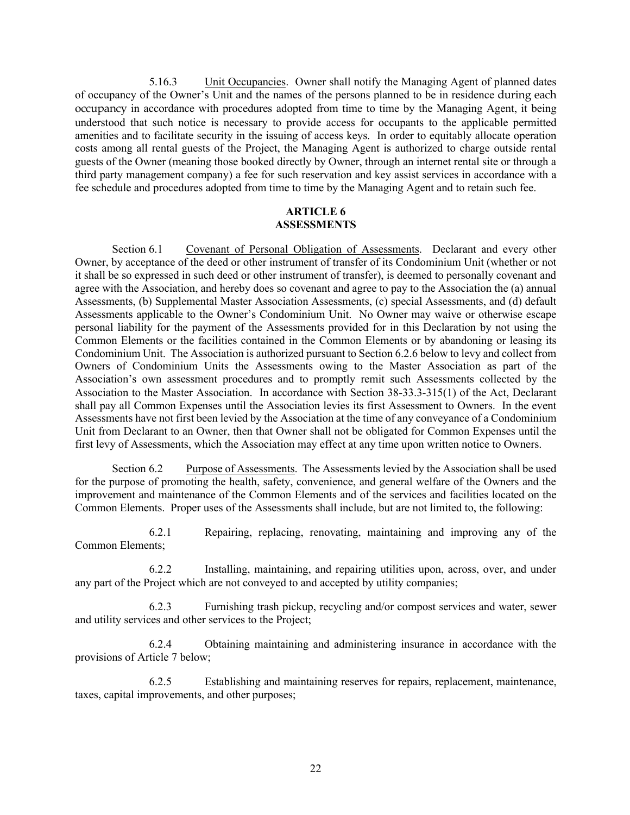5.16.3 Unit Occupancies. Owner shall notify the Managing Agent of planned dates of occupancy of the Owner's Unit and the names of the persons planned to be in residence during each occupancy in accordance with procedures adopted from time to time by the Managing Agent, it being understood that such notice is necessary to provide access for occupants to the applicable permitted amenities and to facilitate security in the issuing of access keys. In order to equitably allocate operation costs among all rental guests of the Project, the Managing Agent is authorized to charge outside rental guests of the Owner (meaning those booked directly by Owner, through an internet rental site or through a third party management company) a fee for such reservation and key assist services in accordance with a fee schedule and procedures adopted from time to time by the Managing Agent and to retain such fee.

### **ARTICLE 6 ASSESSMENTS**

Section 6.1 Covenant of Personal Obligation of Assessments. Declarant and every other Owner, by acceptance of the deed or other instrument of transfer of its Condominium Unit (whether or not it shall be so expressed in such deed or other instrument of transfer), is deemed to personally covenant and agree with the Association, and hereby does so covenant and agree to pay to the Association the (a) annual Assessments, (b) Supplemental Master Association Assessments, (c) special Assessments, and (d) default Assessments applicable to the Owner's Condominium Unit. No Owner may waive or otherwise escape personal liability for the payment of the Assessments provided for in this Declaration by not using the Common Elements or the facilities contained in the Common Elements or by abandoning or leasing its Condominium Unit. The Association is authorized pursuant to Section 6.2.6 below to levy and collect from Owners of Condominium Units the Assessments owing to the Master Association as part of the Association's own assessment procedures and to promptly remit such Assessments collected by the Association to the Master Association. In accordance with Section 38-33.3-315(1) of the Act, Declarant shall pay all Common Expenses until the Association levies its first Assessment to Owners. In the event Assessments have not first been levied by the Association at the time of any conveyance of a Condominium Unit from Declarant to an Owner, then that Owner shall not be obligated for Common Expenses until the first levy of Assessments, which the Association may effect at any time upon written notice to Owners.

Section 6.2 Purpose of Assessments. The Assessments levied by the Association shall be used for the purpose of promoting the health, safety, convenience, and general welfare of the Owners and the improvement and maintenance of the Common Elements and of the services and facilities located on the Common Elements. Proper uses of the Assessments shall include, but are not limited to, the following:

6.2.1 Repairing, replacing, renovating, maintaining and improving any of the Common Elements;

6.2.2 Installing, maintaining, and repairing utilities upon, across, over, and under any part of the Project which are not conveyed to and accepted by utility companies;

6.2.3 Furnishing trash pickup, recycling and/or compost services and water, sewer and utility services and other services to the Project;

6.2.4 Obtaining maintaining and administering insurance in accordance with the provisions of Article 7 below;

6.2.5 Establishing and maintaining reserves for repairs, replacement, maintenance, taxes, capital improvements, and other purposes;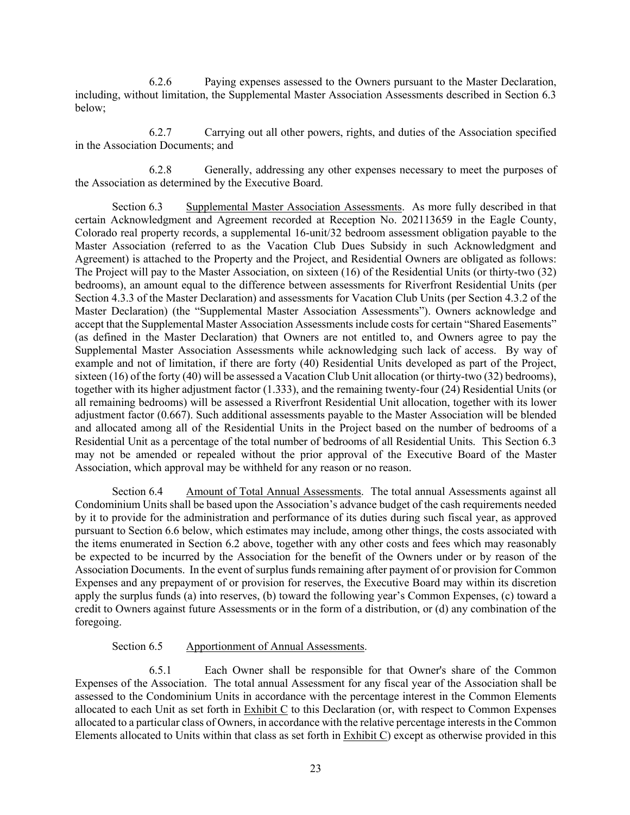6.2.6 Paying expenses assessed to the Owners pursuant to the Master Declaration, including, without limitation, the Supplemental Master Association Assessments described in Section 6.3 below;

6.2.7 Carrying out all other powers, rights, and duties of the Association specified in the Association Documents; and

6.2.8 Generally, addressing any other expenses necessary to meet the purposes of the Association as determined by the Executive Board.

Section 6.3 Supplemental Master Association Assessments. As more fully described in that certain Acknowledgment and Agreement recorded at Reception No. 202113659 in the Eagle County, Colorado real property records, a supplemental 16-unit/32 bedroom assessment obligation payable to the Master Association (referred to as the Vacation Club Dues Subsidy in such Acknowledgment and Agreement) is attached to the Property and the Project, and Residential Owners are obligated as follows: The Project will pay to the Master Association, on sixteen (16) of the Residential Units (or thirty-two (32) bedrooms), an amount equal to the difference between assessments for Riverfront Residential Units (per Section 4.3.3 of the Master Declaration) and assessments for Vacation Club Units (per Section 4.3.2 of the Master Declaration) (the "Supplemental Master Association Assessments"). Owners acknowledge and accept that the Supplemental Master Association Assessments include costs for certain "Shared Easements" (as defined in the Master Declaration) that Owners are not entitled to, and Owners agree to pay the Supplemental Master Association Assessments while acknowledging such lack of access. By way of example and not of limitation, if there are forty (40) Residential Units developed as part of the Project, sixteen (16) of the forty (40) will be assessed a Vacation Club Unit allocation (or thirty-two (32) bedrooms), together with its higher adjustment factor (1.333), and the remaining twenty-four (24) Residential Units (or all remaining bedrooms) will be assessed a Riverfront Residential Unit allocation, together with its lower adjustment factor (0.667). Such additional assessments payable to the Master Association will be blended and allocated among all of the Residential Units in the Project based on the number of bedrooms of a Residential Unit as a percentage of the total number of bedrooms of all Residential Units. This Section 6.3 may not be amended or repealed without the prior approval of the Executive Board of the Master Association, which approval may be withheld for any reason or no reason.

Section 6.4 Amount of Total Annual Assessments. The total annual Assessments against all Condominium Units shall be based upon the Association's advance budget of the cash requirements needed by it to provide for the administration and performance of its duties during such fiscal year, as approved pursuant to Section 6.6 below, which estimates may include, among other things, the costs associated with the items enumerated in Section 6.2 above, together with any other costs and fees which may reasonably be expected to be incurred by the Association for the benefit of the Owners under or by reason of the Association Documents. In the event of surplus funds remaining after payment of or provision for Common Expenses and any prepayment of or provision for reserves, the Executive Board may within its discretion apply the surplus funds (a) into reserves, (b) toward the following year's Common Expenses, (c) toward a credit to Owners against future Assessments or in the form of a distribution, or (d) any combination of the foregoing.

### Section 6.5 Apportionment of Annual Assessments.

6.5.1 Each Owner shall be responsible for that Owner's share of the Common Expenses of the Association. The total annual Assessment for any fiscal year of the Association shall be assessed to the Condominium Units in accordance with the percentage interest in the Common Elements allocated to each Unit as set forth in Exhibit C to this Declaration (or, with respect to Common Expenses allocated to a particular class of Owners, in accordance with the relative percentage interests in the Common Elements allocated to Units within that class as set forth in Exhibit C) except as otherwise provided in this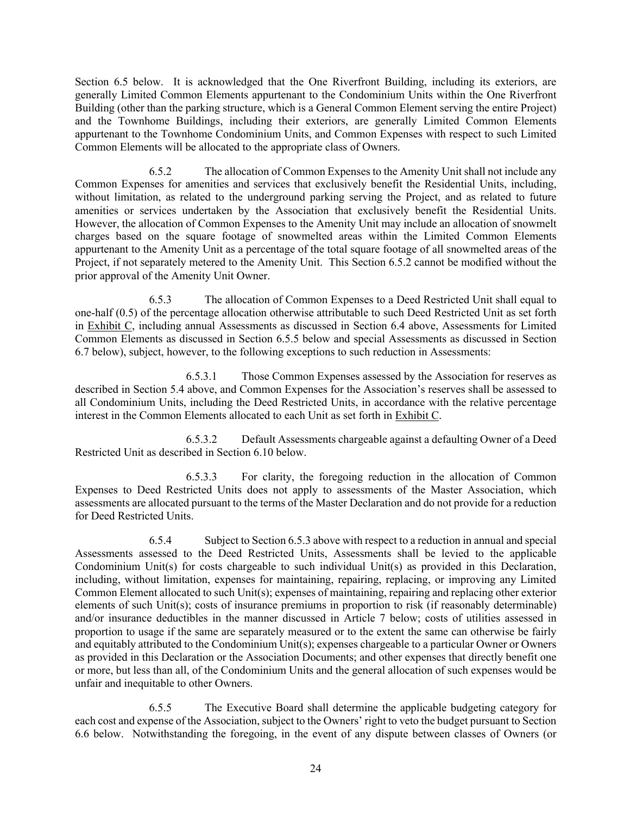Section 6.5 below. It is acknowledged that the One Riverfront Building, including its exteriors, are generally Limited Common Elements appurtenant to the Condominium Units within the One Riverfront Building (other than the parking structure, which is a General Common Element serving the entire Project) and the Townhome Buildings, including their exteriors, are generally Limited Common Elements appurtenant to the Townhome Condominium Units, and Common Expenses with respect to such Limited Common Elements will be allocated to the appropriate class of Owners.

6.5.2 The allocation of Common Expenses to the Amenity Unit shall not include any Common Expenses for amenities and services that exclusively benefit the Residential Units, including, without limitation, as related to the underground parking serving the Project, and as related to future amenities or services undertaken by the Association that exclusively benefit the Residential Units. However, the allocation of Common Expenses to the Amenity Unit may include an allocation of snowmelt charges based on the square footage of snowmelted areas within the Limited Common Elements appurtenant to the Amenity Unit as a percentage of the total square footage of all snowmelted areas of the Project, if not separately metered to the Amenity Unit. This Section 6.5.2 cannot be modified without the prior approval of the Amenity Unit Owner.

6.5.3 The allocation of Common Expenses to a Deed Restricted Unit shall equal to one-half (0.5) of the percentage allocation otherwise attributable to such Deed Restricted Unit as set forth in Exhibit C, including annual Assessments as discussed in Section 6.4 above, Assessments for Limited Common Elements as discussed in Section 6.5.5 below and special Assessments as discussed in Section 6.7 below), subject, however, to the following exceptions to such reduction in Assessments:

6.5.3.1 Those Common Expenses assessed by the Association for reserves as described in Section 5.4 above, and Common Expenses for the Association's reserves shall be assessed to all Condominium Units, including the Deed Restricted Units, in accordance with the relative percentage interest in the Common Elements allocated to each Unit as set forth in Exhibit C.

6.5.3.2 Default Assessments chargeable against a defaulting Owner of a Deed Restricted Unit as described in Section 6.10 below.

6.5.3.3 For clarity, the foregoing reduction in the allocation of Common Expenses to Deed Restricted Units does not apply to assessments of the Master Association, which assessments are allocated pursuant to the terms of the Master Declaration and do not provide for a reduction for Deed Restricted Units.

6.5.4 Subject to Section 6.5.3 above with respect to a reduction in annual and special Assessments assessed to the Deed Restricted Units, Assessments shall be levied to the applicable Condominium Unit(s) for costs chargeable to such individual Unit(s) as provided in this Declaration, including, without limitation, expenses for maintaining, repairing, replacing, or improving any Limited Common Element allocated to such Unit(s); expenses of maintaining, repairing and replacing other exterior elements of such Unit(s); costs of insurance premiums in proportion to risk (if reasonably determinable) and/or insurance deductibles in the manner discussed in Article 7 below; costs of utilities assessed in proportion to usage if the same are separately measured or to the extent the same can otherwise be fairly and equitably attributed to the Condominium Unit(s); expenses chargeable to a particular Owner or Owners as provided in this Declaration or the Association Documents; and other expenses that directly benefit one or more, but less than all, of the Condominium Units and the general allocation of such expenses would be unfair and inequitable to other Owners.

6.5.5 The Executive Board shall determine the applicable budgeting category for each cost and expense of the Association, subject to the Owners' right to veto the budget pursuant to Section 6.6 below. Notwithstanding the foregoing, in the event of any dispute between classes of Owners (or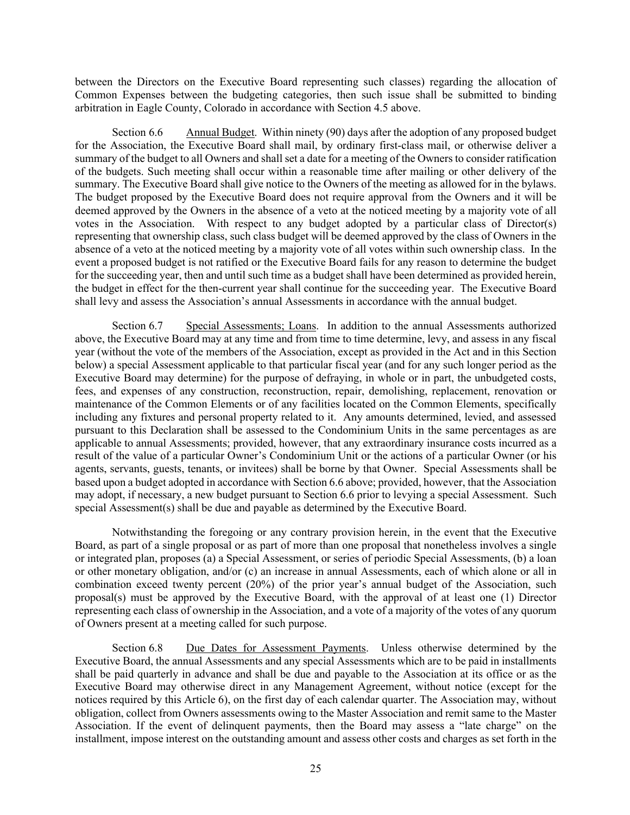between the Directors on the Executive Board representing such classes) regarding the allocation of Common Expenses between the budgeting categories, then such issue shall be submitted to binding arbitration in Eagle County, Colorado in accordance with Section 4.5 above.

Section 6.6 Annual Budget. Within ninety (90) days after the adoption of any proposed budget for the Association, the Executive Board shall mail, by ordinary first-class mail, or otherwise deliver a summary of the budget to all Owners and shall set a date for a meeting of the Owners to consider ratification of the budgets. Such meeting shall occur within a reasonable time after mailing or other delivery of the summary. The Executive Board shall give notice to the Owners of the meeting as allowed for in the bylaws. The budget proposed by the Executive Board does not require approval from the Owners and it will be deemed approved by the Owners in the absence of a veto at the noticed meeting by a majority vote of all votes in the Association. With respect to any budget adopted by a particular class of Director(s) representing that ownership class, such class budget will be deemed approved by the class of Owners in the absence of a veto at the noticed meeting by a majority vote of all votes within such ownership class. In the event a proposed budget is not ratified or the Executive Board fails for any reason to determine the budget for the succeeding year, then and until such time as a budget shall have been determined as provided herein, the budget in effect for the then-current year shall continue for the succeeding year. The Executive Board shall levy and assess the Association's annual Assessments in accordance with the annual budget.

Section 6.7 Special Assessments; Loans. In addition to the annual Assessments authorized above, the Executive Board may at any time and from time to time determine, levy, and assess in any fiscal year (without the vote of the members of the Association, except as provided in the Act and in this Section below) a special Assessment applicable to that particular fiscal year (and for any such longer period as the Executive Board may determine) for the purpose of defraying, in whole or in part, the unbudgeted costs, fees, and expenses of any construction, reconstruction, repair, demolishing, replacement, renovation or maintenance of the Common Elements or of any facilities located on the Common Elements, specifically including any fixtures and personal property related to it. Any amounts determined, levied, and assessed pursuant to this Declaration shall be assessed to the Condominium Units in the same percentages as are applicable to annual Assessments; provided, however, that any extraordinary insurance costs incurred as a result of the value of a particular Owner's Condominium Unit or the actions of a particular Owner (or his agents, servants, guests, tenants, or invitees) shall be borne by that Owner. Special Assessments shall be based upon a budget adopted in accordance with Section 6.6 above; provided, however, that the Association may adopt, if necessary, a new budget pursuant to Section 6.6 prior to levying a special Assessment. Such special Assessment(s) shall be due and payable as determined by the Executive Board.

Notwithstanding the foregoing or any contrary provision herein, in the event that the Executive Board, as part of a single proposal or as part of more than one proposal that nonetheless involves a single or integrated plan, proposes (a) a Special Assessment, or series of periodic Special Assessments, (b) a loan or other monetary obligation, and/or (c) an increase in annual Assessments, each of which alone or all in combination exceed twenty percent (20%) of the prior year's annual budget of the Association, such proposal(s) must be approved by the Executive Board, with the approval of at least one (1) Director representing each class of ownership in the Association, and a vote of a majority of the votes of any quorum of Owners present at a meeting called for such purpose.

Section 6.8 Due Dates for Assessment Payments. Unless otherwise determined by the Executive Board, the annual Assessments and any special Assessments which are to be paid in installments shall be paid quarterly in advance and shall be due and payable to the Association at its office or as the Executive Board may otherwise direct in any Management Agreement, without notice (except for the notices required by this Article 6), on the first day of each calendar quarter. The Association may, without obligation, collect from Owners assessments owing to the Master Association and remit same to the Master Association. If the event of delinquent payments, then the Board may assess a "late charge" on the installment, impose interest on the outstanding amount and assess other costs and charges as set forth in the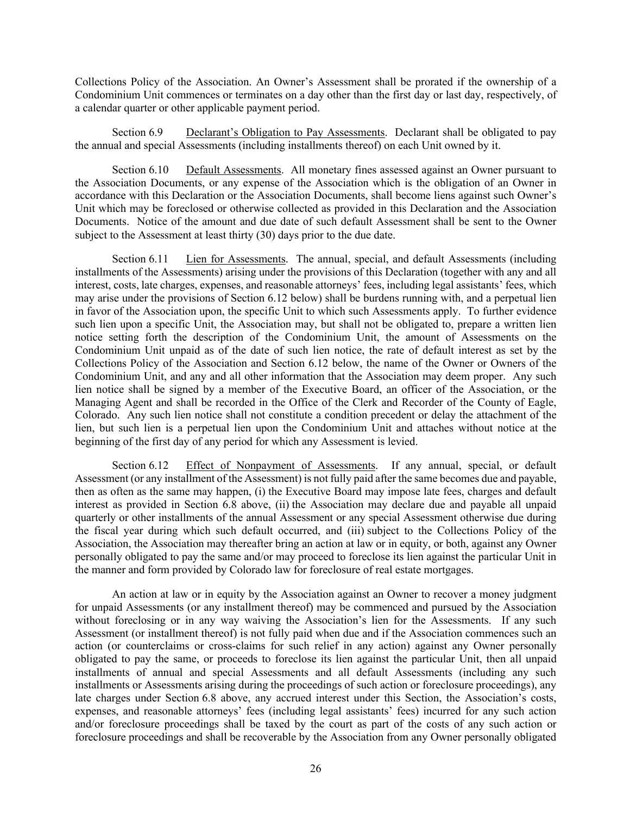Collections Policy of the Association. An Owner's Assessment shall be prorated if the ownership of a Condominium Unit commences or terminates on a day other than the first day or last day, respectively, of a calendar quarter or other applicable payment period.

Section 6.9 Declarant's Obligation to Pay Assessments. Declarant shall be obligated to pay the annual and special Assessments (including installments thereof) on each Unit owned by it.

Section 6.10 Default Assessments. All monetary fines assessed against an Owner pursuant to the Association Documents, or any expense of the Association which is the obligation of an Owner in accordance with this Declaration or the Association Documents, shall become liens against such Owner's Unit which may be foreclosed or otherwise collected as provided in this Declaration and the Association Documents. Notice of the amount and due date of such default Assessment shall be sent to the Owner subject to the Assessment at least thirty (30) days prior to the due date.

Section 6.11 Lien for Assessments. The annual, special, and default Assessments (including installments of the Assessments) arising under the provisions of this Declaration (together with any and all interest, costs, late charges, expenses, and reasonable attorneys' fees, including legal assistants' fees, which may arise under the provisions of Section 6.12 below) shall be burdens running with, and a perpetual lien in favor of the Association upon, the specific Unit to which such Assessments apply. To further evidence such lien upon a specific Unit, the Association may, but shall not be obligated to, prepare a written lien notice setting forth the description of the Condominium Unit, the amount of Assessments on the Condominium Unit unpaid as of the date of such lien notice, the rate of default interest as set by the Collections Policy of the Association and Section 6.12 below, the name of the Owner or Owners of the Condominium Unit, and any and all other information that the Association may deem proper. Any such lien notice shall be signed by a member of the Executive Board, an officer of the Association, or the Managing Agent and shall be recorded in the Office of the Clerk and Recorder of the County of Eagle, Colorado. Any such lien notice shall not constitute a condition precedent or delay the attachment of the lien, but such lien is a perpetual lien upon the Condominium Unit and attaches without notice at the beginning of the first day of any period for which any Assessment is levied.

Section 6.12 Effect of Nonpayment of Assessments. If any annual, special, or default Assessment (or any installment of the Assessment) is not fully paid after the same becomes due and payable, then as often as the same may happen, (i) the Executive Board may impose late fees, charges and default interest as provided in Section 6.8 above, (ii) the Association may declare due and payable all unpaid quarterly or other installments of the annual Assessment or any special Assessment otherwise due during the fiscal year during which such default occurred, and (iii) subject to the Collections Policy of the Association, the Association may thereafter bring an action at law or in equity, or both, against any Owner personally obligated to pay the same and/or may proceed to foreclose its lien against the particular Unit in the manner and form provided by Colorado law for foreclosure of real estate mortgages.

An action at law or in equity by the Association against an Owner to recover a money judgment for unpaid Assessments (or any installment thereof) may be commenced and pursued by the Association without foreclosing or in any way waiving the Association's lien for the Assessments. If any such Assessment (or installment thereof) is not fully paid when due and if the Association commences such an action (or counterclaims or cross-claims for such relief in any action) against any Owner personally obligated to pay the same, or proceeds to foreclose its lien against the particular Unit, then all unpaid installments of annual and special Assessments and all default Assessments (including any such installments or Assessments arising during the proceedings of such action or foreclosure proceedings), any late charges under Section 6.8 above, any accrued interest under this Section, the Association's costs, expenses, and reasonable attorneys' fees (including legal assistants' fees) incurred for any such action and/or foreclosure proceedings shall be taxed by the court as part of the costs of any such action or foreclosure proceedings and shall be recoverable by the Association from any Owner personally obligated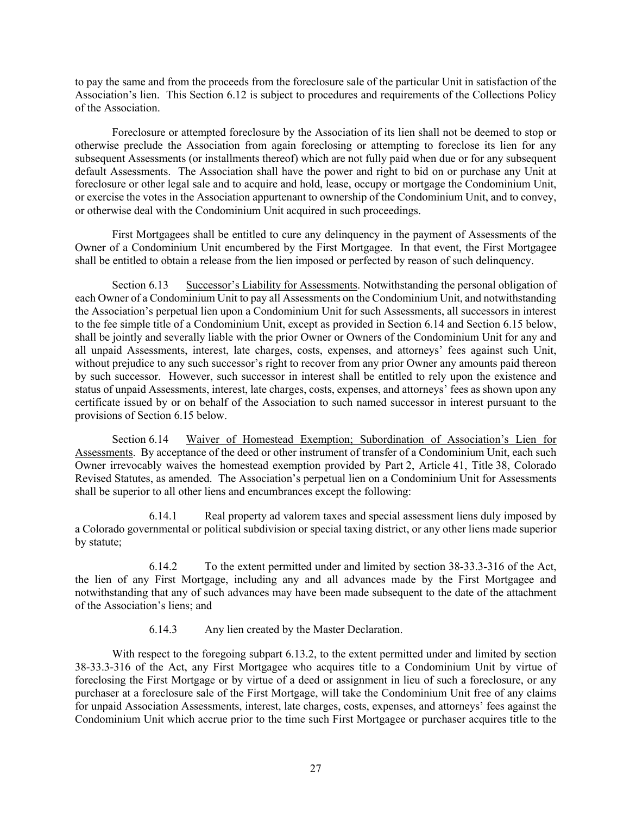to pay the same and from the proceeds from the foreclosure sale of the particular Unit in satisfaction of the Association's lien. This Section 6.12 is subject to procedures and requirements of the Collections Policy of the Association.

Foreclosure or attempted foreclosure by the Association of its lien shall not be deemed to stop or otherwise preclude the Association from again foreclosing or attempting to foreclose its lien for any subsequent Assessments (or installments thereof) which are not fully paid when due or for any subsequent default Assessments. The Association shall have the power and right to bid on or purchase any Unit at foreclosure or other legal sale and to acquire and hold, lease, occupy or mortgage the Condominium Unit, or exercise the votes in the Association appurtenant to ownership of the Condominium Unit, and to convey, or otherwise deal with the Condominium Unit acquired in such proceedings.

First Mortgagees shall be entitled to cure any delinquency in the payment of Assessments of the Owner of a Condominium Unit encumbered by the First Mortgagee. In that event, the First Mortgagee shall be entitled to obtain a release from the lien imposed or perfected by reason of such delinquency.

Section 6.13 Successor's Liability for Assessments. Notwithstanding the personal obligation of each Owner of a Condominium Unit to pay all Assessments on the Condominium Unit, and notwithstanding the Association's perpetual lien upon a Condominium Unit for such Assessments, all successors in interest to the fee simple title of a Condominium Unit, except as provided in Section 6.14 and Section 6.15 below, shall be jointly and severally liable with the prior Owner or Owners of the Condominium Unit for any and all unpaid Assessments, interest, late charges, costs, expenses, and attorneys' fees against such Unit, without prejudice to any such successor's right to recover from any prior Owner any amounts paid thereon by such successor. However, such successor in interest shall be entitled to rely upon the existence and status of unpaid Assessments, interest, late charges, costs, expenses, and attorneys' fees as shown upon any certificate issued by or on behalf of the Association to such named successor in interest pursuant to the provisions of Section 6.15 below.

Section 6.14 Waiver of Homestead Exemption; Subordination of Association's Lien for Assessments. By acceptance of the deed or other instrument of transfer of a Condominium Unit, each such Owner irrevocably waives the homestead exemption provided by Part 2, Article 41, Title 38, Colorado Revised Statutes, as amended. The Association's perpetual lien on a Condominium Unit for Assessments shall be superior to all other liens and encumbrances except the following:

6.14.1 Real property ad valorem taxes and special assessment liens duly imposed by a Colorado governmental or political subdivision or special taxing district, or any other liens made superior by statute;

6.14.2 To the extent permitted under and limited by section 38-33.3-316 of the Act, the lien of any First Mortgage, including any and all advances made by the First Mortgagee and notwithstanding that any of such advances may have been made subsequent to the date of the attachment of the Association's liens; and

6.14.3 Any lien created by the Master Declaration.

With respect to the foregoing subpart 6.13.2, to the extent permitted under and limited by section 38-33.3-316 of the Act, any First Mortgagee who acquires title to a Condominium Unit by virtue of foreclosing the First Mortgage or by virtue of a deed or assignment in lieu of such a foreclosure, or any purchaser at a foreclosure sale of the First Mortgage, will take the Condominium Unit free of any claims for unpaid Association Assessments, interest, late charges, costs, expenses, and attorneys' fees against the Condominium Unit which accrue prior to the time such First Mortgagee or purchaser acquires title to the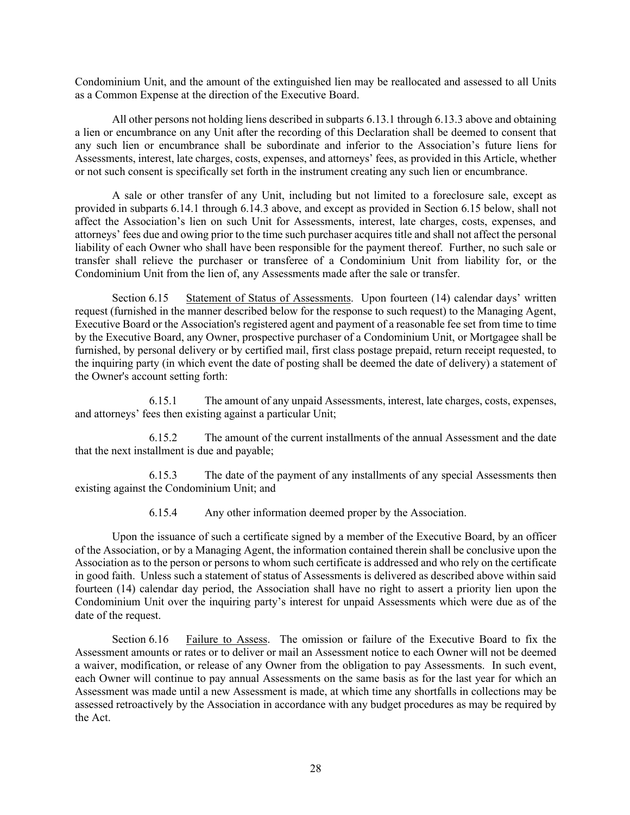Condominium Unit, and the amount of the extinguished lien may be reallocated and assessed to all Units as a Common Expense at the direction of the Executive Board.

All other persons not holding liens described in subparts 6.13.1 through 6.13.3 above and obtaining a lien or encumbrance on any Unit after the recording of this Declaration shall be deemed to consent that any such lien or encumbrance shall be subordinate and inferior to the Association's future liens for Assessments, interest, late charges, costs, expenses, and attorneys' fees, as provided in this Article, whether or not such consent is specifically set forth in the instrument creating any such lien or encumbrance.

A sale or other transfer of any Unit, including but not limited to a foreclosure sale, except as provided in subparts 6.14.1 through 6.14.3 above, and except as provided in Section 6.15 below, shall not affect the Association's lien on such Unit for Assessments, interest, late charges, costs, expenses, and attorneys' fees due and owing prior to the time such purchaser acquires title and shall not affect the personal liability of each Owner who shall have been responsible for the payment thereof. Further, no such sale or transfer shall relieve the purchaser or transferee of a Condominium Unit from liability for, or the Condominium Unit from the lien of, any Assessments made after the sale or transfer.

Section 6.15 Statement of Status of Assessments. Upon fourteen (14) calendar days' written request (furnished in the manner described below for the response to such request) to the Managing Agent, Executive Board or the Association's registered agent and payment of a reasonable fee set from time to time by the Executive Board, any Owner, prospective purchaser of a Condominium Unit, or Mortgagee shall be furnished, by personal delivery or by certified mail, first class postage prepaid, return receipt requested, to the inquiring party (in which event the date of posting shall be deemed the date of delivery) a statement of the Owner's account setting forth:

6.15.1 The amount of any unpaid Assessments, interest, late charges, costs, expenses, and attorneys' fees then existing against a particular Unit;

6.15.2 The amount of the current installments of the annual Assessment and the date that the next installment is due and payable;

6.15.3 The date of the payment of any installments of any special Assessments then existing against the Condominium Unit; and

6.15.4 Any other information deemed proper by the Association.

Upon the issuance of such a certificate signed by a member of the Executive Board, by an officer of the Association, or by a Managing Agent, the information contained therein shall be conclusive upon the Association as to the person or persons to whom such certificate is addressed and who rely on the certificate in good faith. Unless such a statement of status of Assessments is delivered as described above within said fourteen (14) calendar day period, the Association shall have no right to assert a priority lien upon the Condominium Unit over the inquiring party's interest for unpaid Assessments which were due as of the date of the request.

Section 6.16 Failure to Assess. The omission or failure of the Executive Board to fix the Assessment amounts or rates or to deliver or mail an Assessment notice to each Owner will not be deemed a waiver, modification, or release of any Owner from the obligation to pay Assessments. In such event, each Owner will continue to pay annual Assessments on the same basis as for the last year for which an Assessment was made until a new Assessment is made, at which time any shortfalls in collections may be assessed retroactively by the Association in accordance with any budget procedures as may be required by the Act.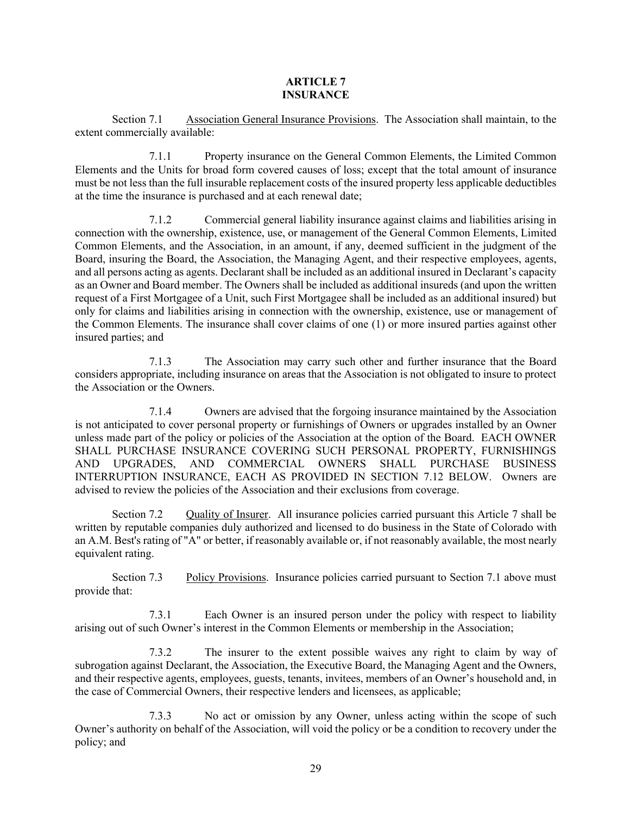## **ARTICLE 7 INSURANCE**

Section 7.1 Association General Insurance Provisions. The Association shall maintain, to the extent commercially available:

7.1.1 Property insurance on the General Common Elements, the Limited Common Elements and the Units for broad form covered causes of loss; except that the total amount of insurance must be not less than the full insurable replacement costs of the insured property less applicable deductibles at the time the insurance is purchased and at each renewal date;

7.1.2 Commercial general liability insurance against claims and liabilities arising in connection with the ownership, existence, use, or management of the General Common Elements, Limited Common Elements, and the Association, in an amount, if any, deemed sufficient in the judgment of the Board, insuring the Board, the Association, the Managing Agent, and their respective employees, agents, and all persons acting as agents. Declarant shall be included as an additional insured in Declarant's capacity as an Owner and Board member. The Owners shall be included as additional insureds (and upon the written request of a First Mortgagee of a Unit, such First Mortgagee shall be included as an additional insured) but only for claims and liabilities arising in connection with the ownership, existence, use or management of the Common Elements. The insurance shall cover claims of one (1) or more insured parties against other insured parties; and

7.1.3 The Association may carry such other and further insurance that the Board considers appropriate, including insurance on areas that the Association is not obligated to insure to protect the Association or the Owners.

7.1.4 Owners are advised that the forgoing insurance maintained by the Association is not anticipated to cover personal property or furnishings of Owners or upgrades installed by an Owner unless made part of the policy or policies of the Association at the option of the Board. EACH OWNER SHALL PURCHASE INSURANCE COVERING SUCH PERSONAL PROPERTY, FURNISHINGS AND UPGRADES, AND COMMERCIAL OWNERS SHALL PURCHASE BUSINESS INTERRUPTION INSURANCE, EACH AS PROVIDED IN SECTION 7.12 BELOW. Owners are advised to review the policies of the Association and their exclusions from coverage.

Section 7.2 Quality of Insurer. All insurance policies carried pursuant this Article 7 shall be written by reputable companies duly authorized and licensed to do business in the State of Colorado with an A.M. Best's rating of "A" or better, if reasonably available or, if not reasonably available, the most nearly equivalent rating.

Section 7.3 Policy Provisions. Insurance policies carried pursuant to Section 7.1 above must provide that:

7.3.1 Each Owner is an insured person under the policy with respect to liability arising out of such Owner's interest in the Common Elements or membership in the Association;

7.3.2 The insurer to the extent possible waives any right to claim by way of subrogation against Declarant, the Association, the Executive Board, the Managing Agent and the Owners, and their respective agents, employees, guests, tenants, invitees, members of an Owner's household and, in the case of Commercial Owners, their respective lenders and licensees, as applicable;

7.3.3 No act or omission by any Owner, unless acting within the scope of such Owner's authority on behalf of the Association, will void the policy or be a condition to recovery under the policy; and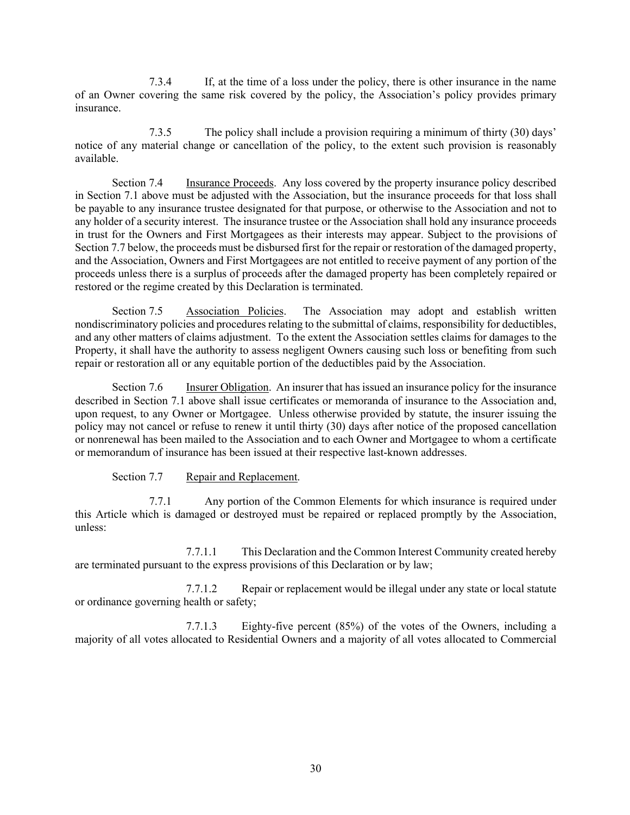7.3.4 If, at the time of a loss under the policy, there is other insurance in the name of an Owner covering the same risk covered by the policy, the Association's policy provides primary insurance.

7.3.5 The policy shall include a provision requiring a minimum of thirty (30) days' notice of any material change or cancellation of the policy, to the extent such provision is reasonably available.

Section 7.4 Insurance Proceeds. Any loss covered by the property insurance policy described in Section 7.1 above must be adjusted with the Association, but the insurance proceeds for that loss shall be payable to any insurance trustee designated for that purpose, or otherwise to the Association and not to any holder of a security interest. The insurance trustee or the Association shall hold any insurance proceeds in trust for the Owners and First Mortgagees as their interests may appear. Subject to the provisions of Section 7.7 below, the proceeds must be disbursed first for the repair or restoration of the damaged property, and the Association, Owners and First Mortgagees are not entitled to receive payment of any portion of the proceeds unless there is a surplus of proceeds after the damaged property has been completely repaired or restored or the regime created by this Declaration is terminated.

Section 7.5 Association Policies. The Association may adopt and establish written nondiscriminatory policies and procedures relating to the submittal of claims, responsibility for deductibles, and any other matters of claims adjustment. To the extent the Association settles claims for damages to the Property, it shall have the authority to assess negligent Owners causing such loss or benefiting from such repair or restoration all or any equitable portion of the deductibles paid by the Association.

Section 7.6 Insurer Obligation. An insurer that has issued an insurance policy for the insurance described in Section 7.1 above shall issue certificates or memoranda of insurance to the Association and, upon request, to any Owner or Mortgagee. Unless otherwise provided by statute, the insurer issuing the policy may not cancel or refuse to renew it until thirty (30) days after notice of the proposed cancellation or nonrenewal has been mailed to the Association and to each Owner and Mortgagee to whom a certificate or memorandum of insurance has been issued at their respective last-known addresses.

## Section 7.7 Repair and Replacement.

7.7.1 Any portion of the Common Elements for which insurance is required under this Article which is damaged or destroyed must be repaired or replaced promptly by the Association, unless:

7.7.1.1 This Declaration and the Common Interest Community created hereby are terminated pursuant to the express provisions of this Declaration or by law;

7.7.1.2 Repair or replacement would be illegal under any state or local statute or ordinance governing health or safety;

7.7.1.3 Eighty-five percent (85%) of the votes of the Owners, including a majority of all votes allocated to Residential Owners and a majority of all votes allocated to Commercial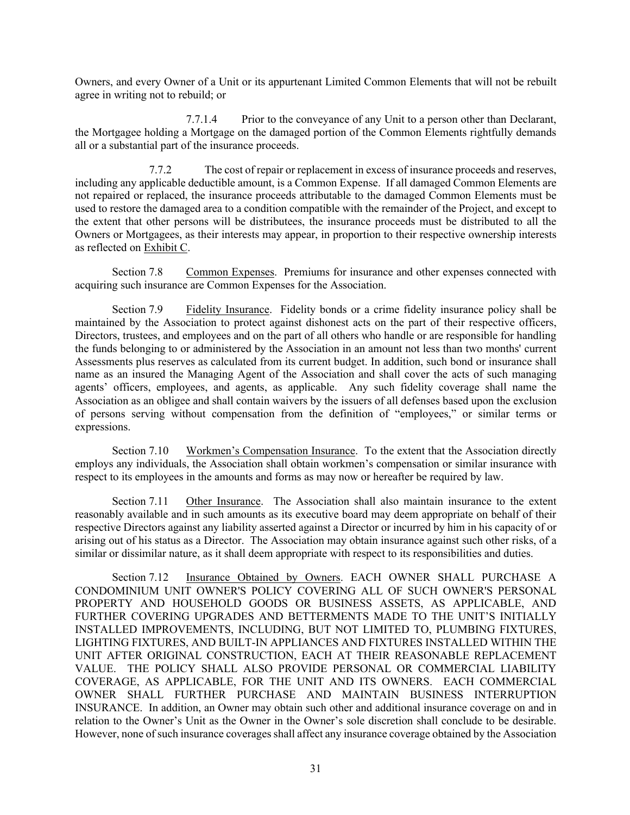Owners, and every Owner of a Unit or its appurtenant Limited Common Elements that will not be rebuilt agree in writing not to rebuild; or

7.7.1.4 Prior to the conveyance of any Unit to a person other than Declarant, the Mortgagee holding a Mortgage on the damaged portion of the Common Elements rightfully demands all or a substantial part of the insurance proceeds.

7.7.2 The cost of repair or replacement in excess of insurance proceeds and reserves, including any applicable deductible amount, is a Common Expense. If all damaged Common Elements are not repaired or replaced, the insurance proceeds attributable to the damaged Common Elements must be used to restore the damaged area to a condition compatible with the remainder of the Project, and except to the extent that other persons will be distributees, the insurance proceeds must be distributed to all the Owners or Mortgagees, as their interests may appear, in proportion to their respective ownership interests as reflected on Exhibit C.

Section 7.8 Common Expenses. Premiums for insurance and other expenses connected with acquiring such insurance are Common Expenses for the Association.

Section 7.9 Fidelity Insurance. Fidelity bonds or a crime fidelity insurance policy shall be maintained by the Association to protect against dishonest acts on the part of their respective officers, Directors, trustees, and employees and on the part of all others who handle or are responsible for handling the funds belonging to or administered by the Association in an amount not less than two months' current Assessments plus reserves as calculated from its current budget. In addition, such bond or insurance shall name as an insured the Managing Agent of the Association and shall cover the acts of such managing agents' officers, employees, and agents, as applicable. Any such fidelity coverage shall name the Association as an obligee and shall contain waivers by the issuers of all defenses based upon the exclusion of persons serving without compensation from the definition of "employees," or similar terms or expressions.

Section 7.10 Workmen's Compensation Insurance. To the extent that the Association directly employs any individuals, the Association shall obtain workmen's compensation or similar insurance with respect to its employees in the amounts and forms as may now or hereafter be required by law.

Section 7.11 Other Insurance. The Association shall also maintain insurance to the extent reasonably available and in such amounts as its executive board may deem appropriate on behalf of their respective Directors against any liability asserted against a Director or incurred by him in his capacity of or arising out of his status as a Director. The Association may obtain insurance against such other risks, of a similar or dissimilar nature, as it shall deem appropriate with respect to its responsibilities and duties.

Section 7.12 Insurance Obtained by Owners. EACH OWNER SHALL PURCHASE A CONDOMINIUM UNIT OWNER'S POLICY COVERING ALL OF SUCH OWNER'S PERSONAL PROPERTY AND HOUSEHOLD GOODS OR BUSINESS ASSETS, AS APPLICABLE, AND FURTHER COVERING UPGRADES AND BETTERMENTS MADE TO THE UNIT'S INITIALLY INSTALLED IMPROVEMENTS, INCLUDING, BUT NOT LIMITED TO, PLUMBING FIXTURES, LIGHTING FIXTURES, AND BUILT-IN APPLIANCES AND FIXTURES INSTALLED WITHIN THE UNIT AFTER ORIGINAL CONSTRUCTION, EACH AT THEIR REASONABLE REPLACEMENT VALUE. THE POLICY SHALL ALSO PROVIDE PERSONAL OR COMMERCIAL LIABILITY COVERAGE, AS APPLICABLE, FOR THE UNIT AND ITS OWNERS. EACH COMMERCIAL OWNER SHALL FURTHER PURCHASE AND MAINTAIN BUSINESS INTERRUPTION INSURANCE. In addition, an Owner may obtain such other and additional insurance coverage on and in relation to the Owner's Unit as the Owner in the Owner's sole discretion shall conclude to be desirable. However, none of such insurance coverages shall affect any insurance coverage obtained by the Association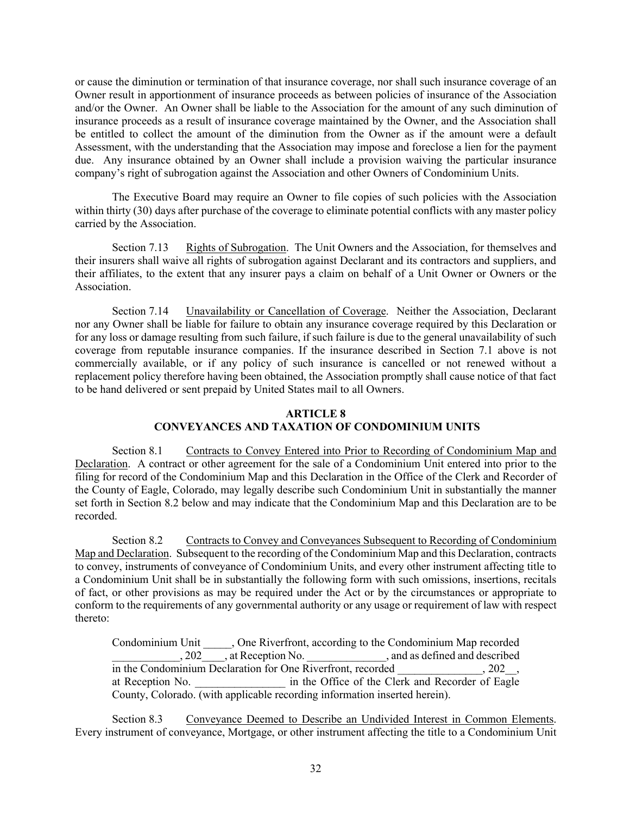or cause the diminution or termination of that insurance coverage, nor shall such insurance coverage of an Owner result in apportionment of insurance proceeds as between policies of insurance of the Association and/or the Owner. An Owner shall be liable to the Association for the amount of any such diminution of insurance proceeds as a result of insurance coverage maintained by the Owner, and the Association shall be entitled to collect the amount of the diminution from the Owner as if the amount were a default Assessment, with the understanding that the Association may impose and foreclose a lien for the payment due. Any insurance obtained by an Owner shall include a provision waiving the particular insurance company's right of subrogation against the Association and other Owners of Condominium Units.

The Executive Board may require an Owner to file copies of such policies with the Association within thirty (30) days after purchase of the coverage to eliminate potential conflicts with any master policy carried by the Association.

Section 7.13 Rights of Subrogation. The Unit Owners and the Association, for themselves and their insurers shall waive all rights of subrogation against Declarant and its contractors and suppliers, and their affiliates, to the extent that any insurer pays a claim on behalf of a Unit Owner or Owners or the Association.

Section 7.14 Unavailability or Cancellation of Coverage. Neither the Association, Declarant nor any Owner shall be liable for failure to obtain any insurance coverage required by this Declaration or for any loss or damage resulting from such failure, if such failure is due to the general unavailability of such coverage from reputable insurance companies. If the insurance described in Section 7.1 above is not commercially available, or if any policy of such insurance is cancelled or not renewed without a replacement policy therefore having been obtained, the Association promptly shall cause notice of that fact to be hand delivered or sent prepaid by United States mail to all Owners.

### **ARTICLE 8**

## **CONVEYANCES AND TAXATION OF CONDOMINIUM UNITS**

Section 8.1 Contracts to Convey Entered into Prior to Recording of Condominium Map and Declaration. A contract or other agreement for the sale of a Condominium Unit entered into prior to the filing for record of the Condominium Map and this Declaration in the Office of the Clerk and Recorder of the County of Eagle, Colorado, may legally describe such Condominium Unit in substantially the manner set forth in Section 8.2 below and may indicate that the Condominium Map and this Declaration are to be recorded.

Section 8.2 Contracts to Convey and Conveyances Subsequent to Recording of Condominium Map and Declaration. Subsequent to the recording of the Condominium Map and this Declaration, contracts to convey, instruments of conveyance of Condominium Units, and every other instrument affecting title to a Condominium Unit shall be in substantially the following form with such omissions, insertions, recitals of fact, or other provisions as may be required under the Act or by the circumstances or appropriate to conform to the requirements of any governmental authority or any usage or requirement of law with respect thereto:

Condominium Unit \_\_\_\_\_, One Riverfront, according to the Condominium Map recorded , 202 , at Reception No.  $\qquad \qquad$ , and as defined and described in the Condominium Declaration for One Riverfront, recorded . 202. at Reception No. \_\_\_\_\_\_\_\_\_\_\_\_\_\_\_\_ in the Office of the Clerk and Recorder of Eagle County, Colorado. (with applicable recording information inserted herein).

Section 8.3 Conveyance Deemed to Describe an Undivided Interest in Common Elements. Every instrument of conveyance, Mortgage, or other instrument affecting the title to a Condominium Unit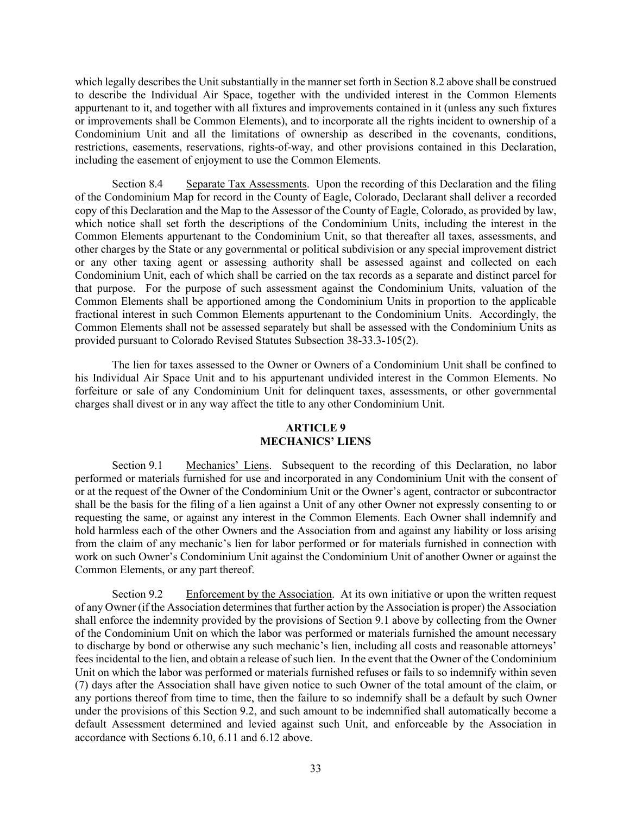which legally describes the Unit substantially in the manner set forth in Section 8.2 above shall be construed to describe the Individual Air Space, together with the undivided interest in the Common Elements appurtenant to it, and together with all fixtures and improvements contained in it (unless any such fixtures or improvements shall be Common Elements), and to incorporate all the rights incident to ownership of a Condominium Unit and all the limitations of ownership as described in the covenants, conditions, restrictions, easements, reservations, rights-of-way, and other provisions contained in this Declaration, including the easement of enjoyment to use the Common Elements.

Section 8.4 Separate Tax Assessments. Upon the recording of this Declaration and the filing of the Condominium Map for record in the County of Eagle, Colorado, Declarant shall deliver a recorded copy of this Declaration and the Map to the Assessor of the County of Eagle, Colorado, as provided by law, which notice shall set forth the descriptions of the Condominium Units, including the interest in the Common Elements appurtenant to the Condominium Unit, so that thereafter all taxes, assessments, and other charges by the State or any governmental or political subdivision or any special improvement district or any other taxing agent or assessing authority shall be assessed against and collected on each Condominium Unit, each of which shall be carried on the tax records as a separate and distinct parcel for that purpose. For the purpose of such assessment against the Condominium Units, valuation of the Common Elements shall be apportioned among the Condominium Units in proportion to the applicable fractional interest in such Common Elements appurtenant to the Condominium Units. Accordingly, the Common Elements shall not be assessed separately but shall be assessed with the Condominium Units as provided pursuant to Colorado Revised Statutes Subsection 38-33.3-105(2).

The lien for taxes assessed to the Owner or Owners of a Condominium Unit shall be confined to his Individual Air Space Unit and to his appurtenant undivided interest in the Common Elements. No forfeiture or sale of any Condominium Unit for delinquent taxes, assessments, or other governmental charges shall divest or in any way affect the title to any other Condominium Unit.

## **ARTICLE 9 MECHANICS' LIENS**

Section 9.1 Mechanics' Liens. Subsequent to the recording of this Declaration, no labor performed or materials furnished for use and incorporated in any Condominium Unit with the consent of or at the request of the Owner of the Condominium Unit or the Owner's agent, contractor or subcontractor shall be the basis for the filing of a lien against a Unit of any other Owner not expressly consenting to or requesting the same, or against any interest in the Common Elements. Each Owner shall indemnify and hold harmless each of the other Owners and the Association from and against any liability or loss arising from the claim of any mechanic's lien for labor performed or for materials furnished in connection with work on such Owner's Condominium Unit against the Condominium Unit of another Owner or against the Common Elements, or any part thereof.

Section 9.2 Enforcement by the Association. At its own initiative or upon the written request of any Owner (if the Association determines that further action by the Association is proper) the Association shall enforce the indemnity provided by the provisions of Section 9.1 above by collecting from the Owner of the Condominium Unit on which the labor was performed or materials furnished the amount necessary to discharge by bond or otherwise any such mechanic's lien, including all costs and reasonable attorneys' fees incidental to the lien, and obtain a release of such lien. In the event that the Owner of the Condominium Unit on which the labor was performed or materials furnished refuses or fails to so indemnify within seven (7) days after the Association shall have given notice to such Owner of the total amount of the claim, or any portions thereof from time to time, then the failure to so indemnify shall be a default by such Owner under the provisions of this Section 9.2, and such amount to be indemnified shall automatically become a default Assessment determined and levied against such Unit, and enforceable by the Association in accordance with Sections 6.10, 6.11 and 6.12 above.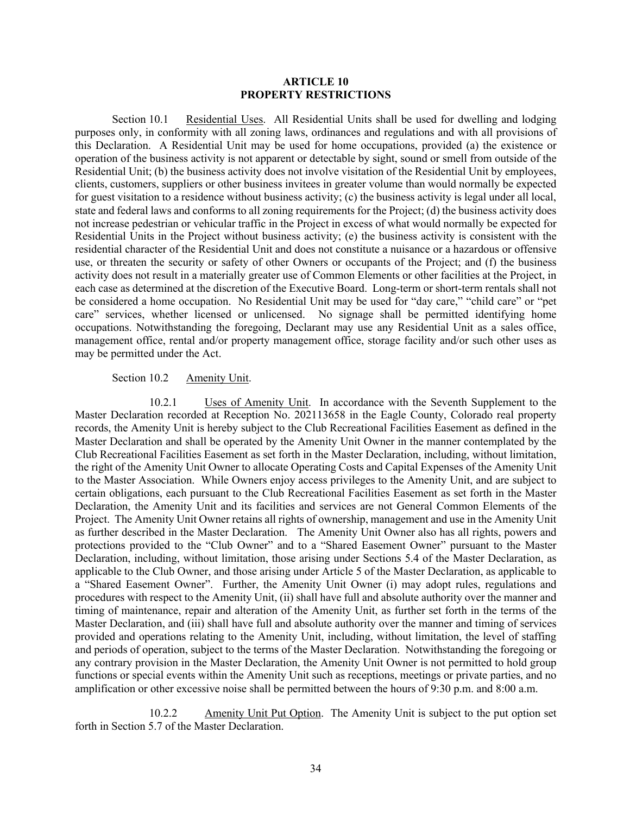#### **ARTICLE 10 PROPERTY RESTRICTIONS**

Section 10.1 Residential Uses. All Residential Units shall be used for dwelling and lodging purposes only, in conformity with all zoning laws, ordinances and regulations and with all provisions of this Declaration. A Residential Unit may be used for home occupations, provided (a) the existence or operation of the business activity is not apparent or detectable by sight, sound or smell from outside of the Residential Unit; (b) the business activity does not involve visitation of the Residential Unit by employees, clients, customers, suppliers or other business invitees in greater volume than would normally be expected for guest visitation to a residence without business activity; (c) the business activity is legal under all local, state and federal laws and conforms to all zoning requirements for the Project; (d) the business activity does not increase pedestrian or vehicular traffic in the Project in excess of what would normally be expected for Residential Units in the Project without business activity; (e) the business activity is consistent with the residential character of the Residential Unit and does not constitute a nuisance or a hazardous or offensive use, or threaten the security or safety of other Owners or occupants of the Project; and (f) the business activity does not result in a materially greater use of Common Elements or other facilities at the Project, in each case as determined at the discretion of the Executive Board. Long-term or short-term rentals shall not be considered a home occupation. No Residential Unit may be used for "day care," "child care" or "pet care" services, whether licensed or unlicensed. No signage shall be permitted identifying home occupations. Notwithstanding the foregoing, Declarant may use any Residential Unit as a sales office, management office, rental and/or property management office, storage facility and/or such other uses as may be permitted under the Act.

### Section 10.2 Amenity Unit.

10.2.1 Uses of Amenity Unit. In accordance with the Seventh Supplement to the Master Declaration recorded at Reception No. 202113658 in the Eagle County, Colorado real property records, the Amenity Unit is hereby subject to the Club Recreational Facilities Easement as defined in the Master Declaration and shall be operated by the Amenity Unit Owner in the manner contemplated by the Club Recreational Facilities Easement as set forth in the Master Declaration, including, without limitation, the right of the Amenity Unit Owner to allocate Operating Costs and Capital Expenses of the Amenity Unit to the Master Association. While Owners enjoy access privileges to the Amenity Unit, and are subject to certain obligations, each pursuant to the Club Recreational Facilities Easement as set forth in the Master Declaration, the Amenity Unit and its facilities and services are not General Common Elements of the Project. The Amenity Unit Owner retains all rights of ownership, management and use in the Amenity Unit as further described in the Master Declaration. The Amenity Unit Owner also has all rights, powers and protections provided to the "Club Owner" and to a "Shared Easement Owner" pursuant to the Master Declaration, including, without limitation, those arising under Sections 5.4 of the Master Declaration, as applicable to the Club Owner, and those arising under Article 5 of the Master Declaration, as applicable to a "Shared Easement Owner". Further, the Amenity Unit Owner (i) may adopt rules, regulations and procedures with respect to the Amenity Unit, (ii) shall have full and absolute authority over the manner and timing of maintenance, repair and alteration of the Amenity Unit, as further set forth in the terms of the Master Declaration, and (iii) shall have full and absolute authority over the manner and timing of services provided and operations relating to the Amenity Unit, including, without limitation, the level of staffing and periods of operation, subject to the terms of the Master Declaration. Notwithstanding the foregoing or any contrary provision in the Master Declaration, the Amenity Unit Owner is not permitted to hold group functions or special events within the Amenity Unit such as receptions, meetings or private parties, and no amplification or other excessive noise shall be permitted between the hours of 9:30 p.m. and 8:00 a.m.

10.2.2 Amenity Unit Put Option. The Amenity Unit is subject to the put option set forth in Section 5.7 of the Master Declaration.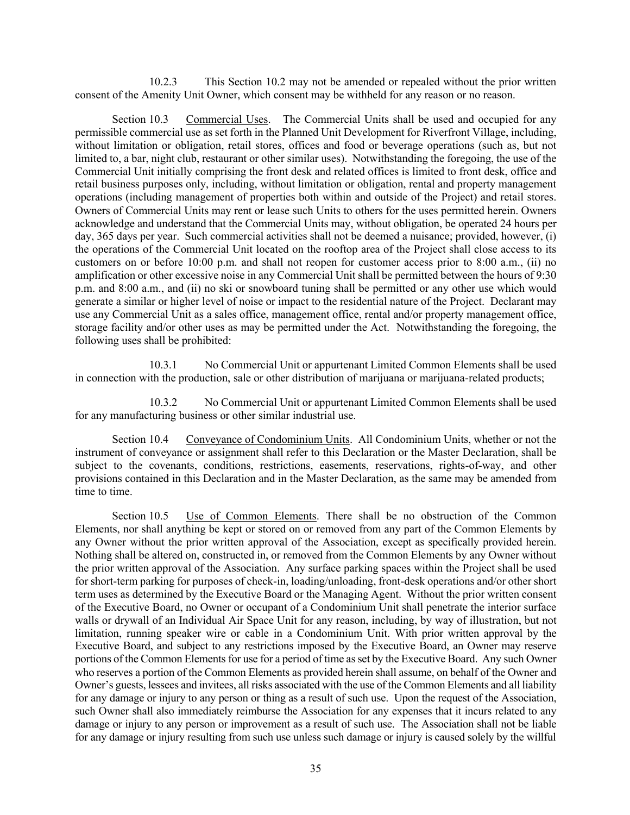10.2.3 This Section 10.2 may not be amended or repealed without the prior written consent of the Amenity Unit Owner, which consent may be withheld for any reason or no reason.

Section 10.3 Commercial Uses. The Commercial Units shall be used and occupied for any permissible commercial use as set forth in the Planned Unit Development for Riverfront Village, including, without limitation or obligation, retail stores, offices and food or beverage operations (such as, but not limited to, a bar, night club, restaurant or other similar uses). Notwithstanding the foregoing, the use of the Commercial Unit initially comprising the front desk and related offices is limited to front desk, office and retail business purposes only, including, without limitation or obligation, rental and property management operations (including management of properties both within and outside of the Project) and retail stores. Owners of Commercial Units may rent or lease such Units to others for the uses permitted herein. Owners acknowledge and understand that the Commercial Units may, without obligation, be operated 24 hours per day, 365 days per year. Such commercial activities shall not be deemed a nuisance; provided, however, (i) the operations of the Commercial Unit located on the rooftop area of the Project shall close access to its customers on or before 10:00 p.m. and shall not reopen for customer access prior to 8:00 a.m., (ii) no amplification or other excessive noise in any Commercial Unit shall be permitted between the hours of 9:30 p.m. and 8:00 a.m., and (ii) no ski or snowboard tuning shall be permitted or any other use which would generate a similar or higher level of noise or impact to the residential nature of the Project. Declarant may use any Commercial Unit as a sales office, management office, rental and/or property management office, storage facility and/or other uses as may be permitted under the Act. Notwithstanding the foregoing, the following uses shall be prohibited:

10.3.1 No Commercial Unit or appurtenant Limited Common Elements shall be used in connection with the production, sale or other distribution of marijuana or marijuana-related products;

10.3.2 No Commercial Unit or appurtenant Limited Common Elements shall be used for any manufacturing business or other similar industrial use.

Section 10.4 Conveyance of Condominium Units. All Condominium Units, whether or not the instrument of conveyance or assignment shall refer to this Declaration or the Master Declaration, shall be subject to the covenants, conditions, restrictions, easements, reservations, rights-of-way, and other provisions contained in this Declaration and in the Master Declaration, as the same may be amended from time to time.

Section 10.5 Use of Common Elements. There shall be no obstruction of the Common Elements, nor shall anything be kept or stored on or removed from any part of the Common Elements by any Owner without the prior written approval of the Association, except as specifically provided herein. Nothing shall be altered on, constructed in, or removed from the Common Elements by any Owner without the prior written approval of the Association. Any surface parking spaces within the Project shall be used for short-term parking for purposes of check-in, loading/unloading, front-desk operations and/or other short term uses as determined by the Executive Board or the Managing Agent. Without the prior written consent of the Executive Board, no Owner or occupant of a Condominium Unit shall penetrate the interior surface walls or drywall of an Individual Air Space Unit for any reason, including, by way of illustration, but not limitation, running speaker wire or cable in a Condominium Unit. With prior written approval by the Executive Board, and subject to any restrictions imposed by the Executive Board, an Owner may reserve portions of the Common Elements for use for a period of time as set by the Executive Board. Any such Owner who reserves a portion of the Common Elements as provided herein shall assume, on behalf of the Owner and Owner's guests, lessees and invitees, all risks associated with the use of the Common Elements and all liability for any damage or injury to any person or thing as a result of such use. Upon the request of the Association, such Owner shall also immediately reimburse the Association for any expenses that it incurs related to any damage or injury to any person or improvement as a result of such use. The Association shall not be liable for any damage or injury resulting from such use unless such damage or injury is caused solely by the willful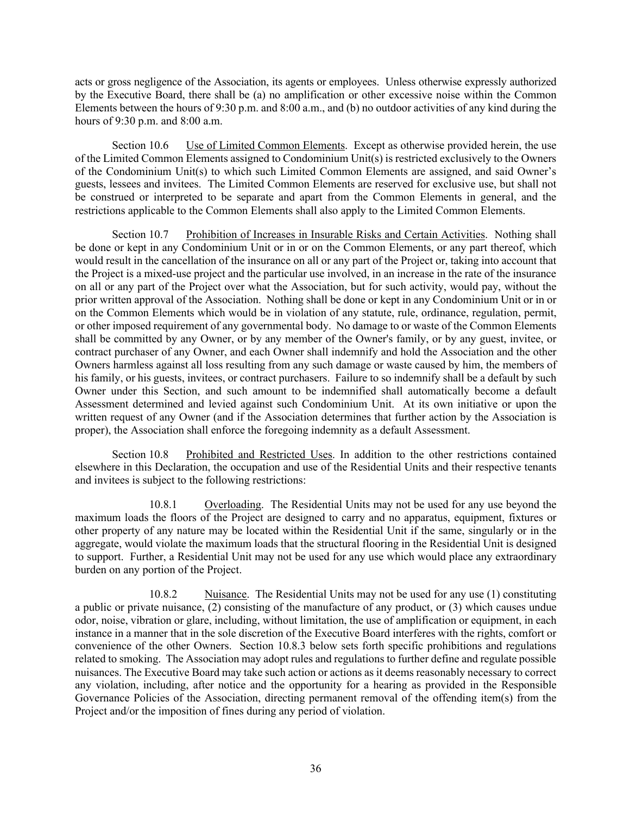acts or gross negligence of the Association, its agents or employees. Unless otherwise expressly authorized by the Executive Board, there shall be (a) no amplification or other excessive noise within the Common Elements between the hours of 9:30 p.m. and 8:00 a.m., and (b) no outdoor activities of any kind during the hours of 9:30 p.m. and 8:00 a.m.

Section 10.6 Use of Limited Common Elements. Except as otherwise provided herein, the use of the Limited Common Elements assigned to Condominium Unit(s) is restricted exclusively to the Owners of the Condominium Unit(s) to which such Limited Common Elements are assigned, and said Owner's guests, lessees and invitees. The Limited Common Elements are reserved for exclusive use, but shall not be construed or interpreted to be separate and apart from the Common Elements in general, and the restrictions applicable to the Common Elements shall also apply to the Limited Common Elements.

Section 10.7 Prohibition of Increases in Insurable Risks and Certain Activities. Nothing shall be done or kept in any Condominium Unit or in or on the Common Elements, or any part thereof, which would result in the cancellation of the insurance on all or any part of the Project or, taking into account that the Project is a mixed-use project and the particular use involved, in an increase in the rate of the insurance on all or any part of the Project over what the Association, but for such activity, would pay, without the prior written approval of the Association. Nothing shall be done or kept in any Condominium Unit or in or on the Common Elements which would be in violation of any statute, rule, ordinance, regulation, permit, or other imposed requirement of any governmental body. No damage to or waste of the Common Elements shall be committed by any Owner, or by any member of the Owner's family, or by any guest, invitee, or contract purchaser of any Owner, and each Owner shall indemnify and hold the Association and the other Owners harmless against all loss resulting from any such damage or waste caused by him, the members of his family, or his guests, invitees, or contract purchasers. Failure to so indemnify shall be a default by such Owner under this Section, and such amount to be indemnified shall automatically become a default Assessment determined and levied against such Condominium Unit. At its own initiative or upon the written request of any Owner (and if the Association determines that further action by the Association is proper), the Association shall enforce the foregoing indemnity as a default Assessment.

Section 10.8 Prohibited and Restricted Uses. In addition to the other restrictions contained elsewhere in this Declaration, the occupation and use of the Residential Units and their respective tenants and invitees is subject to the following restrictions:

10.8.1 Overloading. The Residential Units may not be used for any use beyond the maximum loads the floors of the Project are designed to carry and no apparatus, equipment, fixtures or other property of any nature may be located within the Residential Unit if the same, singularly or in the aggregate, would violate the maximum loads that the structural flooring in the Residential Unit is designed to support. Further, a Residential Unit may not be used for any use which would place any extraordinary burden on any portion of the Project.

10.8.2 Nuisance. The Residential Units may not be used for any use (1) constituting a public or private nuisance, (2) consisting of the manufacture of any product, or (3) which causes undue odor, noise, vibration or glare, including, without limitation, the use of amplification or equipment, in each instance in a manner that in the sole discretion of the Executive Board interferes with the rights, comfort or convenience of the other Owners. Section 10.8.3 below sets forth specific prohibitions and regulations related to smoking. The Association may adopt rules and regulations to further define and regulate possible nuisances. The Executive Board may take such action or actions as it deems reasonably necessary to correct any violation, including, after notice and the opportunity for a hearing as provided in the Responsible Governance Policies of the Association, directing permanent removal of the offending item(s) from the Project and/or the imposition of fines during any period of violation.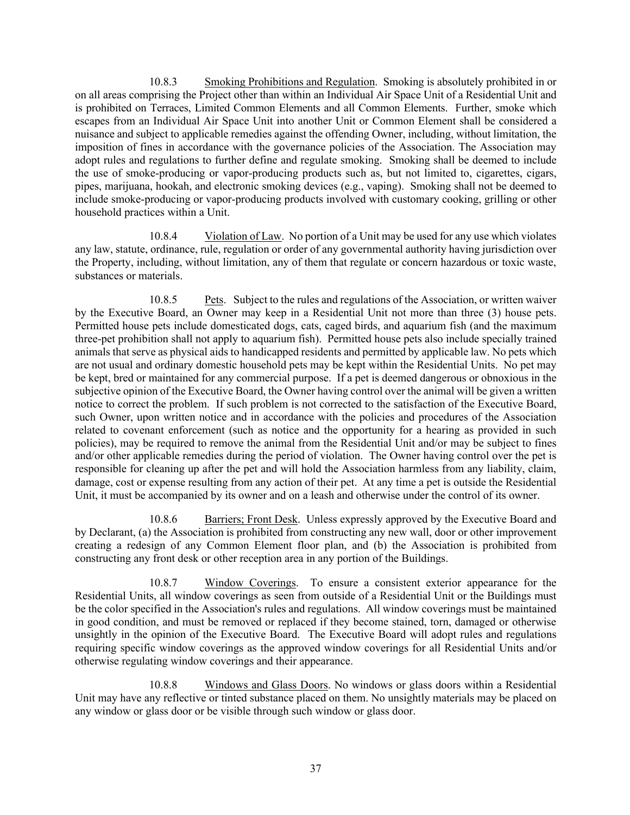10.8.3 Smoking Prohibitions and Regulation. Smoking is absolutely prohibited in or on all areas comprising the Project other than within an Individual Air Space Unit of a Residential Unit and is prohibited on Terraces, Limited Common Elements and all Common Elements. Further, smoke which escapes from an Individual Air Space Unit into another Unit or Common Element shall be considered a nuisance and subject to applicable remedies against the offending Owner, including, without limitation, the imposition of fines in accordance with the governance policies of the Association. The Association may adopt rules and regulations to further define and regulate smoking. Smoking shall be deemed to include the use of smoke-producing or vapor-producing products such as, but not limited to, cigarettes, cigars, pipes, marijuana, hookah, and electronic smoking devices (e.g., vaping). Smoking shall not be deemed to include smoke-producing or vapor-producing products involved with customary cooking, grilling or other household practices within a Unit.

10.8.4 Violation of Law. No portion of a Unit may be used for any use which violates any law, statute, ordinance, rule, regulation or order of any governmental authority having jurisdiction over the Property, including, without limitation, any of them that regulate or concern hazardous or toxic waste, substances or materials.

10.8.5 Pets. Subject to the rules and regulations of the Association, or written waiver by the Executive Board, an Owner may keep in a Residential Unit not more than three (3) house pets. Permitted house pets include domesticated dogs, cats, caged birds, and aquarium fish (and the maximum three-pet prohibition shall not apply to aquarium fish). Permitted house pets also include specially trained animals that serve as physical aids to handicapped residents and permitted by applicable law. No pets which are not usual and ordinary domestic household pets may be kept within the Residential Units. No pet may be kept, bred or maintained for any commercial purpose. If a pet is deemed dangerous or obnoxious in the subjective opinion of the Executive Board, the Owner having control over the animal will be given a written notice to correct the problem. If such problem is not corrected to the satisfaction of the Executive Board, such Owner, upon written notice and in accordance with the policies and procedures of the Association related to covenant enforcement (such as notice and the opportunity for a hearing as provided in such policies), may be required to remove the animal from the Residential Unit and/or may be subject to fines and/or other applicable remedies during the period of violation. The Owner having control over the pet is responsible for cleaning up after the pet and will hold the Association harmless from any liability, claim, damage, cost or expense resulting from any action of their pet. At any time a pet is outside the Residential Unit, it must be accompanied by its owner and on a leash and otherwise under the control of its owner.

10.8.6 Barriers; Front Desk. Unless expressly approved by the Executive Board and by Declarant, (a) the Association is prohibited from constructing any new wall, door or other improvement creating a redesign of any Common Element floor plan, and (b) the Association is prohibited from constructing any front desk or other reception area in any portion of the Buildings.

10.8.7 Window Coverings. To ensure a consistent exterior appearance for the Residential Units, all window coverings as seen from outside of a Residential Unit or the Buildings must be the color specified in the Association's rules and regulations. All window coverings must be maintained in good condition, and must be removed or replaced if they become stained, torn, damaged or otherwise unsightly in the opinion of the Executive Board. The Executive Board will adopt rules and regulations requiring specific window coverings as the approved window coverings for all Residential Units and/or otherwise regulating window coverings and their appearance.

10.8.8 Windows and Glass Doors. No windows or glass doors within a Residential Unit may have any reflective or tinted substance placed on them. No unsightly materials may be placed on any window or glass door or be visible through such window or glass door.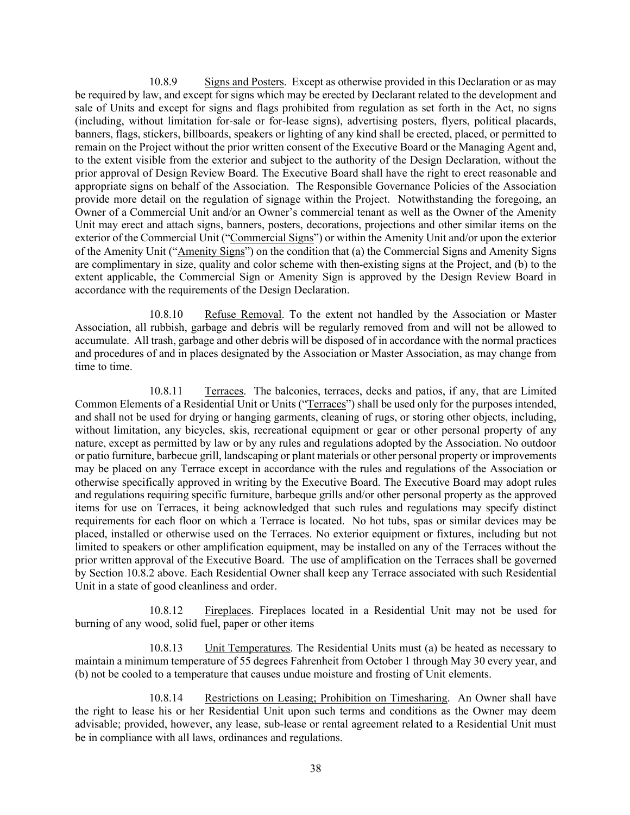10.8.9 Signs and Posters. Except as otherwise provided in this Declaration or as may be required by law, and except for signs which may be erected by Declarant related to the development and sale of Units and except for signs and flags prohibited from regulation as set forth in the Act, no signs (including, without limitation for-sale or for-lease signs), advertising posters, flyers, political placards, banners, flags, stickers, billboards, speakers or lighting of any kind shall be erected, placed, or permitted to remain on the Project without the prior written consent of the Executive Board or the Managing Agent and, to the extent visible from the exterior and subject to the authority of the Design Declaration, without the prior approval of Design Review Board. The Executive Board shall have the right to erect reasonable and appropriate signs on behalf of the Association. The Responsible Governance Policies of the Association provide more detail on the regulation of signage within the Project. Notwithstanding the foregoing, an Owner of a Commercial Unit and/or an Owner's commercial tenant as well as the Owner of the Amenity Unit may erect and attach signs, banners, posters, decorations, projections and other similar items on the exterior of the Commercial Unit ("Commercial Signs") or within the Amenity Unit and/or upon the exterior of the Amenity Unit ("Amenity Signs") on the condition that (a) the Commercial Signs and Amenity Signs are complimentary in size, quality and color scheme with then-existing signs at the Project, and (b) to the extent applicable, the Commercial Sign or Amenity Sign is approved by the Design Review Board in accordance with the requirements of the Design Declaration.

10.8.10 Refuse Removal. To the extent not handled by the Association or Master Association, all rubbish, garbage and debris will be regularly removed from and will not be allowed to accumulate. All trash, garbage and other debris will be disposed of in accordance with the normal practices and procedures of and in places designated by the Association or Master Association, as may change from time to time.

10.8.11 Terraces. The balconies, terraces, decks and patios, if any, that are Limited Common Elements of a Residential Unit or Units ("Terraces") shall be used only for the purposes intended, and shall not be used for drying or hanging garments, cleaning of rugs, or storing other objects, including, without limitation, any bicycles, skis, recreational equipment or gear or other personal property of any nature, except as permitted by law or by any rules and regulations adopted by the Association. No outdoor or patio furniture, barbecue grill, landscaping or plant materials or other personal property or improvements may be placed on any Terrace except in accordance with the rules and regulations of the Association or otherwise specifically approved in writing by the Executive Board. The Executive Board may adopt rules and regulations requiring specific furniture, barbeque grills and/or other personal property as the approved items for use on Terraces, it being acknowledged that such rules and regulations may specify distinct requirements for each floor on which a Terrace is located. No hot tubs, spas or similar devices may be placed, installed or otherwise used on the Terraces. No exterior equipment or fixtures, including but not limited to speakers or other amplification equipment, may be installed on any of the Terraces without the prior written approval of the Executive Board. The use of amplification on the Terraces shall be governed by Section 10.8.2 above. Each Residential Owner shall keep any Terrace associated with such Residential Unit in a state of good cleanliness and order.

10.8.12 Fireplaces. Fireplaces located in a Residential Unit may not be used for burning of any wood, solid fuel, paper or other items

10.8.13 Unit Temperatures. The Residential Units must (a) be heated as necessary to maintain a minimum temperature of 55 degrees Fahrenheit from October 1 through May 30 every year, and (b) not be cooled to a temperature that causes undue moisture and frosting of Unit elements.

10.8.14 Restrictions on Leasing; Prohibition on Timesharing. An Owner shall have the right to lease his or her Residential Unit upon such terms and conditions as the Owner may deem advisable; provided, however, any lease, sub-lease or rental agreement related to a Residential Unit must be in compliance with all laws, ordinances and regulations.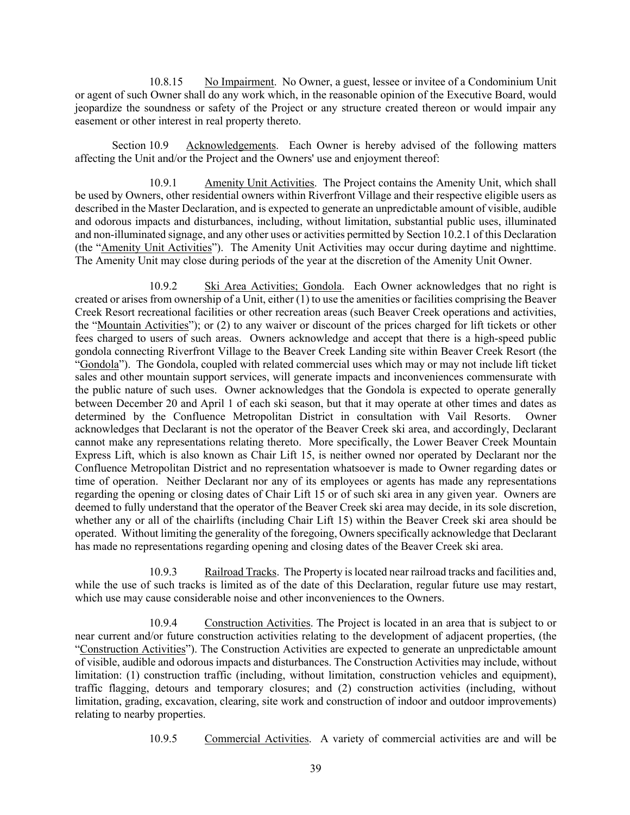10.8.15 No Impairment. No Owner, a guest, lessee or invitee of a Condominium Unit or agent of such Owner shall do any work which, in the reasonable opinion of the Executive Board, would jeopardize the soundness or safety of the Project or any structure created thereon or would impair any easement or other interest in real property thereto.

Section 10.9 Acknowledgements. Each Owner is hereby advised of the following matters affecting the Unit and/or the Project and the Owners' use and enjoyment thereof:

10.9.1 Amenity Unit Activities. The Project contains the Amenity Unit, which shall be used by Owners, other residential owners within Riverfront Village and their respective eligible users as described in the Master Declaration, and is expected to generate an unpredictable amount of visible, audible and odorous impacts and disturbances, including, without limitation, substantial public uses, illuminated and non-illuminated signage, and any other uses or activities permitted by Section 10.2.1 of this Declaration (the "Amenity Unit Activities"). The Amenity Unit Activities may occur during daytime and nighttime. The Amenity Unit may close during periods of the year at the discretion of the Amenity Unit Owner.

10.9.2 Ski Area Activities; Gondola. Each Owner acknowledges that no right is created or arises from ownership of a Unit, either (1) to use the amenities or facilities comprising the Beaver Creek Resort recreational facilities or other recreation areas (such Beaver Creek operations and activities, the "Mountain Activities"); or (2) to any waiver or discount of the prices charged for lift tickets or other fees charged to users of such areas. Owners acknowledge and accept that there is a high-speed public gondola connecting Riverfront Village to the Beaver Creek Landing site within Beaver Creek Resort (the "Gondola"). The Gondola, coupled with related commercial uses which may or may not include lift ticket sales and other mountain support services, will generate impacts and inconveniences commensurate with the public nature of such uses. Owner acknowledges that the Gondola is expected to operate generally between December 20 and April 1 of each ski season, but that it may operate at other times and dates as determined by the Confluence Metropolitan District in consultation with Vail Resorts. Owner acknowledges that Declarant is not the operator of the Beaver Creek ski area, and accordingly, Declarant cannot make any representations relating thereto. More specifically, the Lower Beaver Creek Mountain Express Lift, which is also known as Chair Lift 15, is neither owned nor operated by Declarant nor the Confluence Metropolitan District and no representation whatsoever is made to Owner regarding dates or time of operation. Neither Declarant nor any of its employees or agents has made any representations regarding the opening or closing dates of Chair Lift 15 or of such ski area in any given year. Owners are deemed to fully understand that the operator of the Beaver Creek ski area may decide, in its sole discretion, whether any or all of the chairlifts (including Chair Lift 15) within the Beaver Creek ski area should be operated. Without limiting the generality of the foregoing, Owners specifically acknowledge that Declarant has made no representations regarding opening and closing dates of the Beaver Creek ski area.

10.9.3 Railroad Tracks. The Property is located near railroad tracks and facilities and, while the use of such tracks is limited as of the date of this Declaration, regular future use may restart, which use may cause considerable noise and other inconveniences to the Owners.

10.9.4 Construction Activities. The Project is located in an area that is subject to or near current and/or future construction activities relating to the development of adjacent properties, (the "Construction Activities"). The Construction Activities are expected to generate an unpredictable amount of visible, audible and odorous impacts and disturbances. The Construction Activities may include, without limitation: (1) construction traffic (including, without limitation, construction vehicles and equipment), traffic flagging, detours and temporary closures; and (2) construction activities (including, without limitation, grading, excavation, clearing, site work and construction of indoor and outdoor improvements) relating to nearby properties.

10.9.5 Commercial Activities. A variety of commercial activities are and will be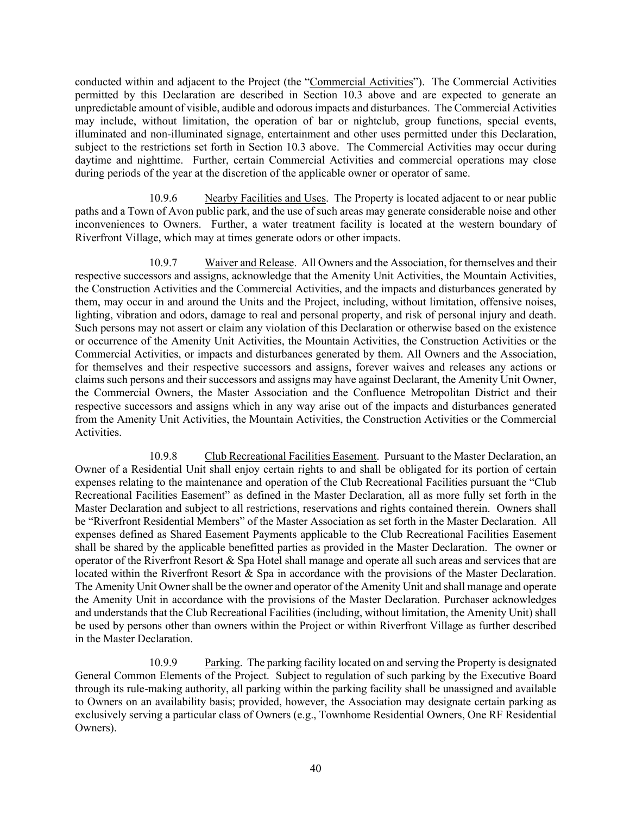conducted within and adjacent to the Project (the "Commercial Activities"). The Commercial Activities permitted by this Declaration are described in Section 10.3 above and are expected to generate an unpredictable amount of visible, audible and odorous impacts and disturbances. The Commercial Activities may include, without limitation, the operation of bar or nightclub, group functions, special events, illuminated and non-illuminated signage, entertainment and other uses permitted under this Declaration, subject to the restrictions set forth in Section 10.3 above. The Commercial Activities may occur during daytime and nighttime. Further, certain Commercial Activities and commercial operations may close during periods of the year at the discretion of the applicable owner or operator of same.

10.9.6 Nearby Facilities and Uses. The Property is located adjacent to or near public paths and a Town of Avon public park, and the use of such areas may generate considerable noise and other inconveniences to Owners. Further, a water treatment facility is located at the western boundary of Riverfront Village, which may at times generate odors or other impacts.

10.9.7 Waiver and Release. All Owners and the Association, for themselves and their respective successors and assigns, acknowledge that the Amenity Unit Activities, the Mountain Activities, the Construction Activities and the Commercial Activities, and the impacts and disturbances generated by them, may occur in and around the Units and the Project, including, without limitation, offensive noises, lighting, vibration and odors, damage to real and personal property, and risk of personal injury and death. Such persons may not assert or claim any violation of this Declaration or otherwise based on the existence or occurrence of the Amenity Unit Activities, the Mountain Activities, the Construction Activities or the Commercial Activities, or impacts and disturbances generated by them. All Owners and the Association, for themselves and their respective successors and assigns, forever waives and releases any actions or claims such persons and their successors and assigns may have against Declarant, the Amenity Unit Owner, the Commercial Owners, the Master Association and the Confluence Metropolitan District and their respective successors and assigns which in any way arise out of the impacts and disturbances generated from the Amenity Unit Activities, the Mountain Activities, the Construction Activities or the Commercial Activities.

10.9.8 Club Recreational Facilities Easement. Pursuant to the Master Declaration, an Owner of a Residential Unit shall enjoy certain rights to and shall be obligated for its portion of certain expenses relating to the maintenance and operation of the Club Recreational Facilities pursuant the "Club Recreational Facilities Easement" as defined in the Master Declaration, all as more fully set forth in the Master Declaration and subject to all restrictions, reservations and rights contained therein. Owners shall be "Riverfront Residential Members" of the Master Association as set forth in the Master Declaration. All expenses defined as Shared Easement Payments applicable to the Club Recreational Facilities Easement shall be shared by the applicable benefitted parties as provided in the Master Declaration. The owner or operator of the Riverfront Resort & Spa Hotel shall manage and operate all such areas and services that are located within the Riverfront Resort & Spa in accordance with the provisions of the Master Declaration. The Amenity Unit Owner shall be the owner and operator of the Amenity Unit and shall manage and operate the Amenity Unit in accordance with the provisions of the Master Declaration. Purchaser acknowledges and understands that the Club Recreational Facilities (including, without limitation, the Amenity Unit) shall be used by persons other than owners within the Project or within Riverfront Village as further described in the Master Declaration.

10.9.9 Parking. The parking facility located on and serving the Property is designated General Common Elements of the Project. Subject to regulation of such parking by the Executive Board through its rule-making authority, all parking within the parking facility shall be unassigned and available to Owners on an availability basis; provided, however, the Association may designate certain parking as exclusively serving a particular class of Owners (e.g., Townhome Residential Owners, One RF Residential Owners).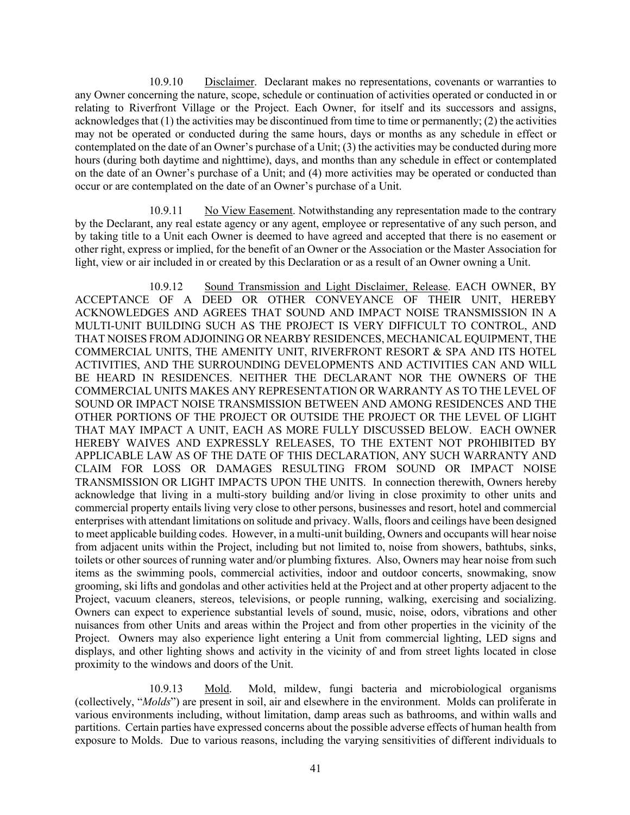10.9.10 Disclaimer. Declarant makes no representations, covenants or warranties to any Owner concerning the nature, scope, schedule or continuation of activities operated or conducted in or relating to Riverfront Village or the Project. Each Owner, for itself and its successors and assigns, acknowledges that (1) the activities may be discontinued from time to time or permanently; (2) the activities may not be operated or conducted during the same hours, days or months as any schedule in effect or contemplated on the date of an Owner's purchase of a Unit; (3) the activities may be conducted during more hours (during both daytime and nighttime), days, and months than any schedule in effect or contemplated on the date of an Owner's purchase of a Unit; and (4) more activities may be operated or conducted than occur or are contemplated on the date of an Owner's purchase of a Unit.

10.9.11 No View Easement. Notwithstanding any representation made to the contrary by the Declarant, any real estate agency or any agent, employee or representative of any such person, and by taking title to a Unit each Owner is deemed to have agreed and accepted that there is no easement or other right, express or implied, for the benefit of an Owner or the Association or the Master Association for light, view or air included in or created by this Declaration or as a result of an Owner owning a Unit.

10.9.12 Sound Transmission and Light Disclaimer, Release. EACH OWNER, BY ACCEPTANCE OF A DEED OR OTHER CONVEYANCE OF THEIR UNIT, HEREBY ACKNOWLEDGES AND AGREES THAT SOUND AND IMPACT NOISE TRANSMISSION IN A MULTI-UNIT BUILDING SUCH AS THE PROJECT IS VERY DIFFICULT TO CONTROL, AND THAT NOISES FROM ADJOINING OR NEARBY RESIDENCES, MECHANICAL EQUIPMENT, THE COMMERCIAL UNITS, THE AMENITY UNIT, RIVERFRONT RESORT & SPA AND ITS HOTEL ACTIVITIES, AND THE SURROUNDING DEVELOPMENTS AND ACTIVITIES CAN AND WILL BE HEARD IN RESIDENCES. NEITHER THE DECLARANT NOR THE OWNERS OF THE COMMERCIAL UNITS MAKES ANY REPRESENTATION OR WARRANTY AS TO THE LEVEL OF SOUND OR IMPACT NOISE TRANSMISSION BETWEEN AND AMONG RESIDENCES AND THE OTHER PORTIONS OF THE PROJECT OR OUTSIDE THE PROJECT OR THE LEVEL OF LIGHT THAT MAY IMPACT A UNIT, EACH AS MORE FULLY DISCUSSED BELOW. EACH OWNER HEREBY WAIVES AND EXPRESSLY RELEASES, TO THE EXTENT NOT PROHIBITED BY APPLICABLE LAW AS OF THE DATE OF THIS DECLARATION, ANY SUCH WARRANTY AND CLAIM FOR LOSS OR DAMAGES RESULTING FROM SOUND OR IMPACT NOISE TRANSMISSION OR LIGHT IMPACTS UPON THE UNITS. In connection therewith, Owners hereby acknowledge that living in a multi-story building and/or living in close proximity to other units and commercial property entails living very close to other persons, businesses and resort, hotel and commercial enterprises with attendant limitations on solitude and privacy. Walls, floors and ceilings have been designed to meet applicable building codes. However, in a multi-unit building, Owners and occupants will hear noise from adjacent units within the Project, including but not limited to, noise from showers, bathtubs, sinks, toilets or other sources of running water and/or plumbing fixtures. Also, Owners may hear noise from such items as the swimming pools, commercial activities, indoor and outdoor concerts, snowmaking, snow grooming, ski lifts and gondolas and other activities held at the Project and at other property adjacent to the Project, vacuum cleaners, stereos, televisions, or people running, walking, exercising and socializing. Owners can expect to experience substantial levels of sound, music, noise, odors, vibrations and other nuisances from other Units and areas within the Project and from other properties in the vicinity of the Project. Owners may also experience light entering a Unit from commercial lighting, LED signs and displays, and other lighting shows and activity in the vicinity of and from street lights located in close proximity to the windows and doors of the Unit.

10.9.13 Mold. Mold, mildew, fungi bacteria and microbiological organisms (collectively, "*Molds*") are present in soil, air and elsewhere in the environment. Molds can proliferate in various environments including, without limitation, damp areas such as bathrooms, and within walls and partitions. Certain parties have expressed concerns about the possible adverse effects of human health from exposure to Molds. Due to various reasons, including the varying sensitivities of different individuals to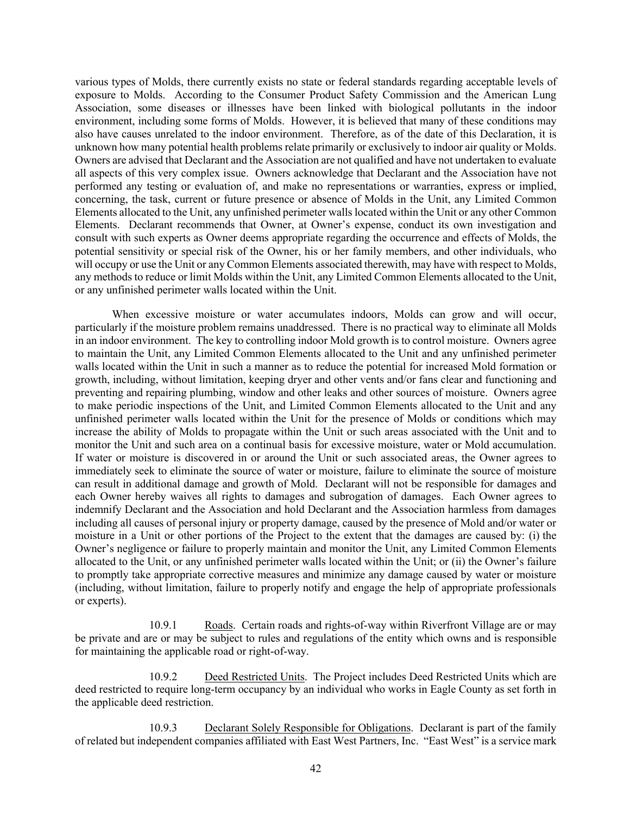various types of Molds, there currently exists no state or federal standards regarding acceptable levels of exposure to Molds. According to the Consumer Product Safety Commission and the American Lung Association, some diseases or illnesses have been linked with biological pollutants in the indoor environment, including some forms of Molds. However, it is believed that many of these conditions may also have causes unrelated to the indoor environment. Therefore, as of the date of this Declaration, it is unknown how many potential health problems relate primarily or exclusively to indoor air quality or Molds. Owners are advised that Declarant and the Association are not qualified and have not undertaken to evaluate all aspects of this very complex issue. Owners acknowledge that Declarant and the Association have not performed any testing or evaluation of, and make no representations or warranties, express or implied, concerning, the task, current or future presence or absence of Molds in the Unit, any Limited Common Elements allocated to the Unit, any unfinished perimeter walls located within the Unit or any other Common Elements. Declarant recommends that Owner, at Owner's expense, conduct its own investigation and consult with such experts as Owner deems appropriate regarding the occurrence and effects of Molds, the potential sensitivity or special risk of the Owner, his or her family members, and other individuals, who will occupy or use the Unit or any Common Elements associated therewith, may have with respect to Molds, any methods to reduce or limit Molds within the Unit, any Limited Common Elements allocated to the Unit, or any unfinished perimeter walls located within the Unit.

When excessive moisture or water accumulates indoors, Molds can grow and will occur, particularly if the moisture problem remains unaddressed. There is no practical way to eliminate all Molds in an indoor environment. The key to controlling indoor Mold growth is to control moisture. Owners agree to maintain the Unit, any Limited Common Elements allocated to the Unit and any unfinished perimeter walls located within the Unit in such a manner as to reduce the potential for increased Mold formation or growth, including, without limitation, keeping dryer and other vents and/or fans clear and functioning and preventing and repairing plumbing, window and other leaks and other sources of moisture. Owners agree to make periodic inspections of the Unit, and Limited Common Elements allocated to the Unit and any unfinished perimeter walls located within the Unit for the presence of Molds or conditions which may increase the ability of Molds to propagate within the Unit or such areas associated with the Unit and to monitor the Unit and such area on a continual basis for excessive moisture, water or Mold accumulation. If water or moisture is discovered in or around the Unit or such associated areas, the Owner agrees to immediately seek to eliminate the source of water or moisture, failure to eliminate the source of moisture can result in additional damage and growth of Mold. Declarant will not be responsible for damages and each Owner hereby waives all rights to damages and subrogation of damages. Each Owner agrees to indemnify Declarant and the Association and hold Declarant and the Association harmless from damages including all causes of personal injury or property damage, caused by the presence of Mold and/or water or moisture in a Unit or other portions of the Project to the extent that the damages are caused by: (i) the Owner's negligence or failure to properly maintain and monitor the Unit, any Limited Common Elements allocated to the Unit, or any unfinished perimeter walls located within the Unit; or (ii) the Owner's failure to promptly take appropriate corrective measures and minimize any damage caused by water or moisture (including, without limitation, failure to properly notify and engage the help of appropriate professionals or experts).

10.9.1 Roads. Certain roads and rights-of-way within Riverfront Village are or may be private and are or may be subject to rules and regulations of the entity which owns and is responsible for maintaining the applicable road or right-of-way.

10.9.2 Deed Restricted Units. The Project includes Deed Restricted Units which are deed restricted to require long-term occupancy by an individual who works in Eagle County as set forth in the applicable deed restriction.

10.9.3 Declarant Solely Responsible for Obligations. Declarant is part of the family of related but independent companies affiliated with East West Partners, Inc. "East West" is a service mark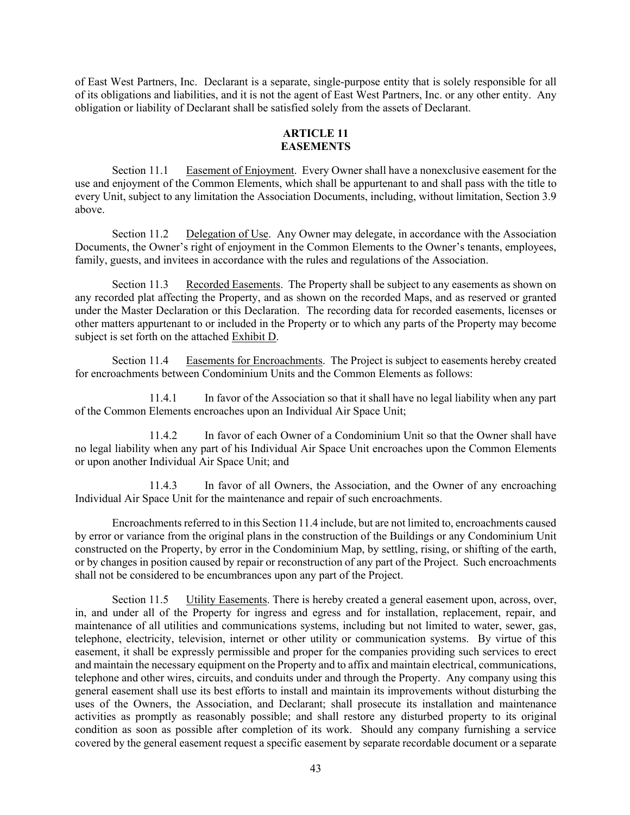of East West Partners, Inc. Declarant is a separate, single-purpose entity that is solely responsible for all of its obligations and liabilities, and it is not the agent of East West Partners, Inc. or any other entity. Any obligation or liability of Declarant shall be satisfied solely from the assets of Declarant.

# **ARTICLE 11 EASEMENTS**

Section 11.1 Easement of Enjoyment. Every Owner shall have a nonexclusive easement for the use and enjoyment of the Common Elements, which shall be appurtenant to and shall pass with the title to every Unit, subject to any limitation the Association Documents, including, without limitation, Section 3.9 above.

Section 11.2 Delegation of Use. Any Owner may delegate, in accordance with the Association Documents, the Owner's right of enjoyment in the Common Elements to the Owner's tenants, employees, family, guests, and invitees in accordance with the rules and regulations of the Association.

Section 11.3 Recorded Easements. The Property shall be subject to any easements as shown on any recorded plat affecting the Property, and as shown on the recorded Maps, and as reserved or granted under the Master Declaration or this Declaration. The recording data for recorded easements, licenses or other matters appurtenant to or included in the Property or to which any parts of the Property may become subject is set forth on the attached Exhibit D.

Section 11.4 Easements for Encroachments. The Project is subject to easements hereby created for encroachments between Condominium Units and the Common Elements as follows:

11.4.1 In favor of the Association so that it shall have no legal liability when any part of the Common Elements encroaches upon an Individual Air Space Unit;

11.4.2 In favor of each Owner of a Condominium Unit so that the Owner shall have no legal liability when any part of his Individual Air Space Unit encroaches upon the Common Elements or upon another Individual Air Space Unit; and

11.4.3 In favor of all Owners, the Association, and the Owner of any encroaching Individual Air Space Unit for the maintenance and repair of such encroachments.

Encroachments referred to in this Section 11.4 include, but are not limited to, encroachments caused by error or variance from the original plans in the construction of the Buildings or any Condominium Unit constructed on the Property, by error in the Condominium Map, by settling, rising, or shifting of the earth, or by changes in position caused by repair or reconstruction of any part of the Project. Such encroachments shall not be considered to be encumbrances upon any part of the Project.

Section 11.5 Utility Easements. There is hereby created a general easement upon, across, over, in, and under all of the Property for ingress and egress and for installation, replacement, repair, and maintenance of all utilities and communications systems, including but not limited to water, sewer, gas, telephone, electricity, television, internet or other utility or communication systems. By virtue of this easement, it shall be expressly permissible and proper for the companies providing such services to erect and maintain the necessary equipment on the Property and to affix and maintain electrical, communications, telephone and other wires, circuits, and conduits under and through the Property. Any company using this general easement shall use its best efforts to install and maintain its improvements without disturbing the uses of the Owners, the Association, and Declarant; shall prosecute its installation and maintenance activities as promptly as reasonably possible; and shall restore any disturbed property to its original condition as soon as possible after completion of its work. Should any company furnishing a service covered by the general easement request a specific easement by separate recordable document or a separate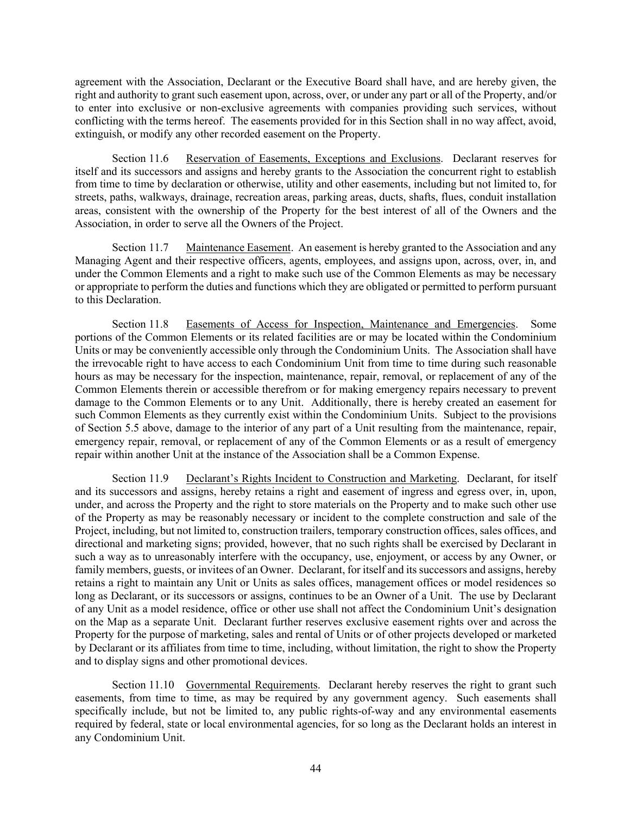agreement with the Association, Declarant or the Executive Board shall have, and are hereby given, the right and authority to grant such easement upon, across, over, or under any part or all of the Property, and/or to enter into exclusive or non-exclusive agreements with companies providing such services, without conflicting with the terms hereof. The easements provided for in this Section shall in no way affect, avoid, extinguish, or modify any other recorded easement on the Property.

Section 11.6 Reservation of Easements, Exceptions and Exclusions. Declarant reserves for itself and its successors and assigns and hereby grants to the Association the concurrent right to establish from time to time by declaration or otherwise, utility and other easements, including but not limited to, for streets, paths, walkways, drainage, recreation areas, parking areas, ducts, shafts, flues, conduit installation areas, consistent with the ownership of the Property for the best interest of all of the Owners and the Association, in order to serve all the Owners of the Project.

Section 11.7 Maintenance Easement. An easement is hereby granted to the Association and any Managing Agent and their respective officers, agents, employees, and assigns upon, across, over, in, and under the Common Elements and a right to make such use of the Common Elements as may be necessary or appropriate to perform the duties and functions which they are obligated or permitted to perform pursuant to this Declaration.

Section 11.8 Easements of Access for Inspection, Maintenance and Emergencies. Some portions of the Common Elements or its related facilities are or may be located within the Condominium Units or may be conveniently accessible only through the Condominium Units. The Association shall have the irrevocable right to have access to each Condominium Unit from time to time during such reasonable hours as may be necessary for the inspection, maintenance, repair, removal, or replacement of any of the Common Elements therein or accessible therefrom or for making emergency repairs necessary to prevent damage to the Common Elements or to any Unit. Additionally, there is hereby created an easement for such Common Elements as they currently exist within the Condominium Units. Subject to the provisions of Section 5.5 above, damage to the interior of any part of a Unit resulting from the maintenance, repair, emergency repair, removal, or replacement of any of the Common Elements or as a result of emergency repair within another Unit at the instance of the Association shall be a Common Expense.

Section 11.9 Declarant's Rights Incident to Construction and Marketing. Declarant, for itself and its successors and assigns, hereby retains a right and easement of ingress and egress over, in, upon, under, and across the Property and the right to store materials on the Property and to make such other use of the Property as may be reasonably necessary or incident to the complete construction and sale of the Project, including, but not limited to, construction trailers, temporary construction offices, sales offices, and directional and marketing signs; provided, however, that no such rights shall be exercised by Declarant in such a way as to unreasonably interfere with the occupancy, use, enjoyment, or access by any Owner, or family members, guests, or invitees of an Owner. Declarant, for itself and its successors and assigns, hereby retains a right to maintain any Unit or Units as sales offices, management offices or model residences so long as Declarant, or its successors or assigns, continues to be an Owner of a Unit. The use by Declarant of any Unit as a model residence, office or other use shall not affect the Condominium Unit's designation on the Map as a separate Unit. Declarant further reserves exclusive easement rights over and across the Property for the purpose of marketing, sales and rental of Units or of other projects developed or marketed by Declarant or its affiliates from time to time, including, without limitation, the right to show the Property and to display signs and other promotional devices.

Section 11.10 Governmental Requirements. Declarant hereby reserves the right to grant such easements, from time to time, as may be required by any government agency. Such easements shall specifically include, but not be limited to, any public rights-of-way and any environmental easements required by federal, state or local environmental agencies, for so long as the Declarant holds an interest in any Condominium Unit.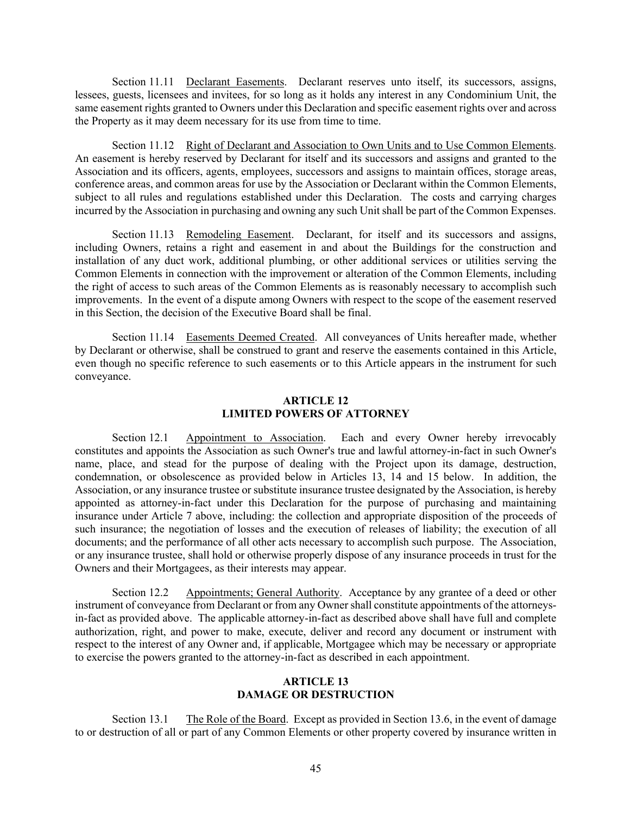Section 11.11 Declarant Easements. Declarant reserves unto itself, its successors, assigns, lessees, guests, licensees and invitees, for so long as it holds any interest in any Condominium Unit, the same easement rights granted to Owners under this Declaration and specific easement rights over and across the Property as it may deem necessary for its use from time to time.

Section 11.12 Right of Declarant and Association to Own Units and to Use Common Elements. An easement is hereby reserved by Declarant for itself and its successors and assigns and granted to the Association and its officers, agents, employees, successors and assigns to maintain offices, storage areas, conference areas, and common areas for use by the Association or Declarant within the Common Elements, subject to all rules and regulations established under this Declaration. The costs and carrying charges incurred by the Association in purchasing and owning any such Unit shall be part of the Common Expenses.

Section 11.13 Remodeling Easement. Declarant, for itself and its successors and assigns, including Owners, retains a right and easement in and about the Buildings for the construction and installation of any duct work, additional plumbing, or other additional services or utilities serving the Common Elements in connection with the improvement or alteration of the Common Elements, including the right of access to such areas of the Common Elements as is reasonably necessary to accomplish such improvements. In the event of a dispute among Owners with respect to the scope of the easement reserved in this Section, the decision of the Executive Board shall be final.

Section 11.14 Easements Deemed Created. All conveyances of Units hereafter made, whether by Declarant or otherwise, shall be construed to grant and reserve the easements contained in this Article, even though no specific reference to such easements or to this Article appears in the instrument for such conveyance.

# **ARTICLE 12 LIMITED POWERS OF ATTORNEY**

Section 12.1 Appointment to Association. Each and every Owner hereby irrevocably constitutes and appoints the Association as such Owner's true and lawful attorney-in-fact in such Owner's name, place, and stead for the purpose of dealing with the Project upon its damage, destruction, condemnation, or obsolescence as provided below in Articles 13, 14 and 15 below. In addition, the Association, or any insurance trustee or substitute insurance trustee designated by the Association, is hereby appointed as attorney-in-fact under this Declaration for the purpose of purchasing and maintaining insurance under Article 7 above, including: the collection and appropriate disposition of the proceeds of such insurance; the negotiation of losses and the execution of releases of liability; the execution of all documents; and the performance of all other acts necessary to accomplish such purpose. The Association, or any insurance trustee, shall hold or otherwise properly dispose of any insurance proceeds in trust for the Owners and their Mortgagees, as their interests may appear.

Section 12.2 Appointments; General Authority. Acceptance by any grantee of a deed or other instrument of conveyance from Declarant or from any Owner shall constitute appointments of the attorneysin-fact as provided above. The applicable attorney-in-fact as described above shall have full and complete authorization, right, and power to make, execute, deliver and record any document or instrument with respect to the interest of any Owner and, if applicable, Mortgagee which may be necessary or appropriate to exercise the powers granted to the attorney-in-fact as described in each appointment.

## **ARTICLE 13 DAMAGE OR DESTRUCTION**

Section 13.1 The Role of the Board. Except as provided in Section 13.6, in the event of damage to or destruction of all or part of any Common Elements or other property covered by insurance written in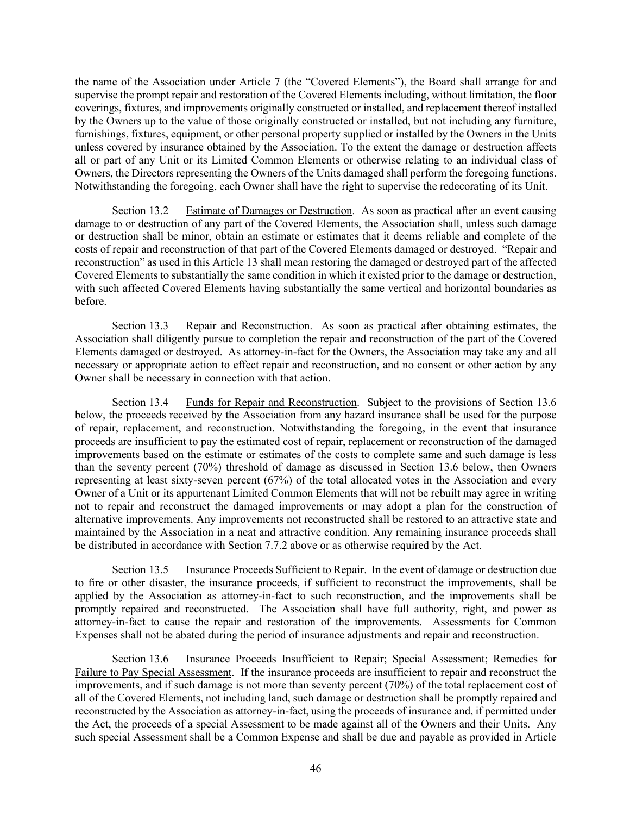the name of the Association under Article 7 (the "Covered Elements"), the Board shall arrange for and supervise the prompt repair and restoration of the Covered Elements including, without limitation, the floor coverings, fixtures, and improvements originally constructed or installed, and replacement thereof installed by the Owners up to the value of those originally constructed or installed, but not including any furniture, furnishings, fixtures, equipment, or other personal property supplied or installed by the Owners in the Units unless covered by insurance obtained by the Association. To the extent the damage or destruction affects all or part of any Unit or its Limited Common Elements or otherwise relating to an individual class of Owners, the Directors representing the Owners of the Units damaged shall perform the foregoing functions. Notwithstanding the foregoing, each Owner shall have the right to supervise the redecorating of its Unit.

Section 13.2 Estimate of Damages or Destruction. As soon as practical after an event causing damage to or destruction of any part of the Covered Elements, the Association shall, unless such damage or destruction shall be minor, obtain an estimate or estimates that it deems reliable and complete of the costs of repair and reconstruction of that part of the Covered Elements damaged or destroyed. "Repair and reconstruction" as used in this Article 13 shall mean restoring the damaged or destroyed part of the affected Covered Elements to substantially the same condition in which it existed prior to the damage or destruction, with such affected Covered Elements having substantially the same vertical and horizontal boundaries as before.

Section 13.3 Repair and Reconstruction. As soon as practical after obtaining estimates, the Association shall diligently pursue to completion the repair and reconstruction of the part of the Covered Elements damaged or destroyed. As attorney-in-fact for the Owners, the Association may take any and all necessary or appropriate action to effect repair and reconstruction, and no consent or other action by any Owner shall be necessary in connection with that action.

Section 13.4 Funds for Repair and Reconstruction. Subject to the provisions of Section 13.6 below, the proceeds received by the Association from any hazard insurance shall be used for the purpose of repair, replacement, and reconstruction. Notwithstanding the foregoing, in the event that insurance proceeds are insufficient to pay the estimated cost of repair, replacement or reconstruction of the damaged improvements based on the estimate or estimates of the costs to complete same and such damage is less than the seventy percent (70%) threshold of damage as discussed in Section 13.6 below, then Owners representing at least sixty-seven percent (67%) of the total allocated votes in the Association and every Owner of a Unit or its appurtenant Limited Common Elements that will not be rebuilt may agree in writing not to repair and reconstruct the damaged improvements or may adopt a plan for the construction of alternative improvements. Any improvements not reconstructed shall be restored to an attractive state and maintained by the Association in a neat and attractive condition. Any remaining insurance proceeds shall be distributed in accordance with Section 7.7.2 above or as otherwise required by the Act.

Section 13.5 Insurance Proceeds Sufficient to Repair. In the event of damage or destruction due to fire or other disaster, the insurance proceeds, if sufficient to reconstruct the improvements, shall be applied by the Association as attorney-in-fact to such reconstruction, and the improvements shall be promptly repaired and reconstructed. The Association shall have full authority, right, and power as attorney-in-fact to cause the repair and restoration of the improvements. Assessments for Common Expenses shall not be abated during the period of insurance adjustments and repair and reconstruction.

Section 13.6 Insurance Proceeds Insufficient to Repair; Special Assessment; Remedies for Failure to Pay Special Assessment. If the insurance proceeds are insufficient to repair and reconstruct the improvements, and if such damage is not more than seventy percent (70%) of the total replacement cost of all of the Covered Elements, not including land, such damage or destruction shall be promptly repaired and reconstructed by the Association as attorney-in-fact, using the proceeds of insurance and, if permitted under the Act, the proceeds of a special Assessment to be made against all of the Owners and their Units. Any such special Assessment shall be a Common Expense and shall be due and payable as provided in Article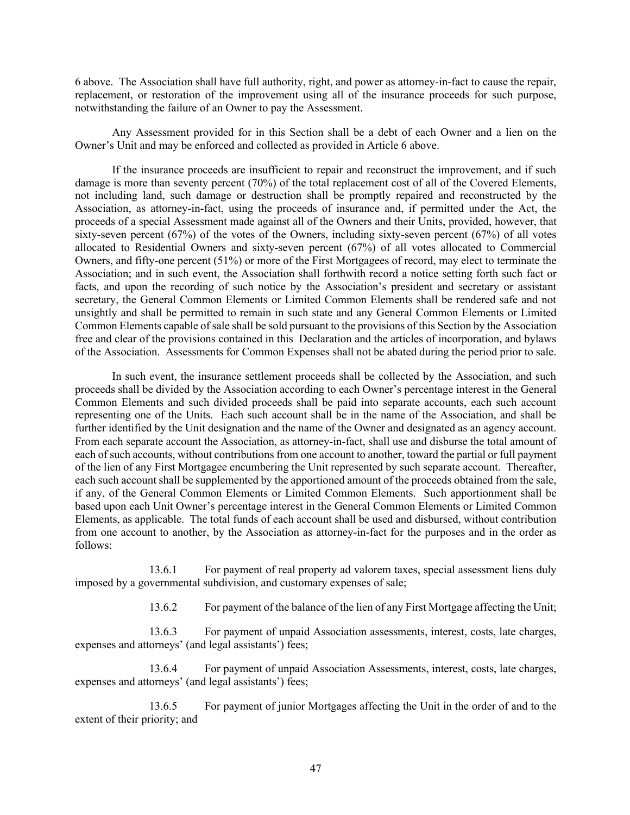6 above. The Association shall have full authority, right, and power as attorney-in-fact to cause the repair, replacement, or restoration of the improvement using all of the insurance proceeds for such purpose, notwithstanding the failure of an Owner to pay the Assessment.

Any Assessment provided for in this Section shall be a debt of each Owner and a lien on the Owner's Unit and may be enforced and collected as provided in Article 6 above.

If the insurance proceeds are insufficient to repair and reconstruct the improvement, and if such damage is more than seventy percent (70%) of the total replacement cost of all of the Covered Elements, not including land, such damage or destruction shall be promptly repaired and reconstructed by the Association, as attorney-in-fact, using the proceeds of insurance and, if permitted under the Act, the proceeds of a special Assessment made against all of the Owners and their Units, provided, however, that sixty-seven percent (67%) of the votes of the Owners, including sixty-seven percent (67%) of all votes allocated to Residential Owners and sixty-seven percent (67%) of all votes allocated to Commercial Owners, and fifty-one percent (51%) or more of the First Mortgagees of record, may elect to terminate the Association; and in such event, the Association shall forthwith record a notice setting forth such fact or facts, and upon the recording of such notice by the Association's president and secretary or assistant secretary, the General Common Elements or Limited Common Elements shall be rendered safe and not unsightly and shall be permitted to remain in such state and any General Common Elements or Limited Common Elements capable of sale shall be sold pursuant to the provisions of this Section by the Association free and clear of the provisions contained in this Declaration and the articles of incorporation, and bylaws of the Association. Assessments for Common Expenses shall not be abated during the period prior to sale.

In such event, the insurance settlement proceeds shall be collected by the Association, and such proceeds shall be divided by the Association according to each Owner's percentage interest in the General Common Elements and such divided proceeds shall be paid into separate accounts, each such account representing one of the Units. Each such account shall be in the name of the Association, and shall be further identified by the Unit designation and the name of the Owner and designated as an agency account. From each separate account the Association, as attorney-in-fact, shall use and disburse the total amount of each of such accounts, without contributions from one account to another, toward the partial or full payment of the lien of any First Mortgagee encumbering the Unit represented by such separate account. Thereafter, each such account shall be supplemented by the apportioned amount of the proceeds obtained from the sale, if any, of the General Common Elements or Limited Common Elements. Such apportionment shall be based upon each Unit Owner's percentage interest in the General Common Elements or Limited Common Elements, as applicable. The total funds of each account shall be used and disbursed, without contribution from one account to another, by the Association as attorney-in-fact for the purposes and in the order as follows:

13.6.1 For payment of real property ad valorem taxes, special assessment liens duly imposed by a governmental subdivision, and customary expenses of sale;

13.6.2 For payment of the balance of the lien of any First Mortgage affecting the Unit;

13.6.3 For payment of unpaid Association assessments, interest, costs, late charges, expenses and attorneys' (and legal assistants') fees;

13.6.4 For payment of unpaid Association Assessments, interest, costs, late charges, expenses and attorneys' (and legal assistants') fees;

13.6.5 For payment of junior Mortgages affecting the Unit in the order of and to the extent of their priority; and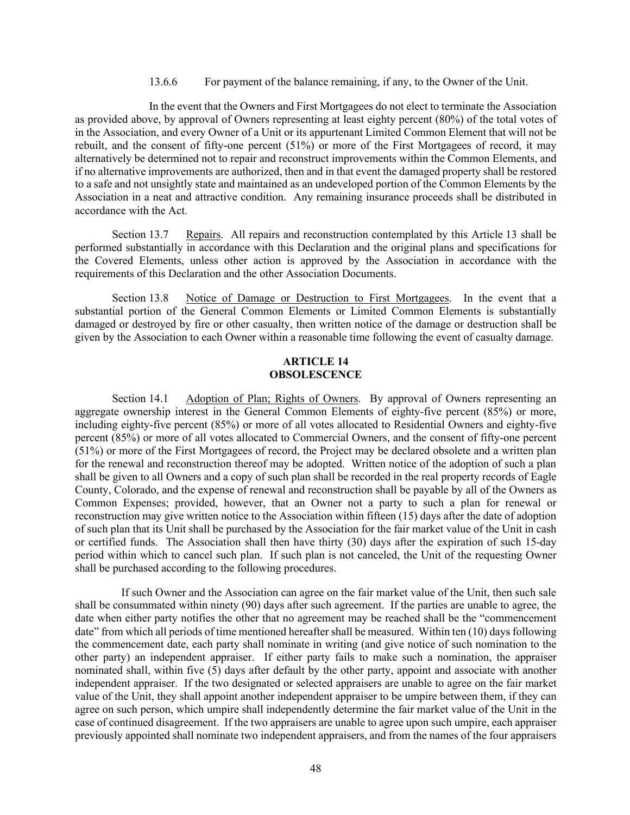#### 13.6.6 For payment of the balance remaining, if any, to the Owner of the Unit.

In the event that the Owners and First Mortgagees do not elect to terminate the Association as provided above, by approval of Owners representing at least eighty percent (80%) of the total votes of in the Association, and every Owner of a Unit or its appurtenant Limited Common Element that will not be rebuilt, and the consent of fifty-one percent (51%) or more of the First Mortgagees of record, it may alternatively be determined not to repair and reconstruct improvements within the Common Elements, and if no alternative improvements are authorized, then and in that event the damaged property shall be restored to a safe and not unsightly state and maintained as an undeveloped portion of the Common Elements by the Association in a neat and attractive condition. Any remaining insurance proceeds shall be distributed in accordance with the Act.

Section 13.7 Repairs. All repairs and reconstruction contemplated by this Article 13 shall be performed substantially in accordance with this Declaration and the original plans and specifications for the Covered Elements, unless other action is approved by the Association in accordance with the requirements of this Declaration and the other Association Documents.

Section 13.8 Notice of Damage or Destruction to First Mortgagees. In the event that a substantial portion of the General Common Elements or Limited Common Elements is substantially damaged or destroyed by fire or other casualty, then written notice of the damage or destruction shall be given by the Association to each Owner within a reasonable time following the event of casualty damage.

## **ARTICLE 14 OBSOLESCENCE**

Section 14.1 Adoption of Plan; Rights of Owners. By approval of Owners representing an aggregate ownership interest in the General Common Elements of eighty-five percent (85%) or more, including eighty-five percent (85%) or more of all votes allocated to Residential Owners and eighty-five percent (85%) or more of all votes allocated to Commercial Owners, and the consent of fifty-one percent (51%) or more of the First Mortgagees of record, the Project may be declared obsolete and a written plan for the renewal and reconstruction thereof may be adopted. Written notice of the adoption of such a plan shall be given to all Owners and a copy of such plan shall be recorded in the real property records of Eagle County, Colorado, and the expense of renewal and reconstruction shall be payable by all of the Owners as Common Expenses; provided, however, that an Owner not a party to such a plan for renewal or reconstruction may give written notice to the Association within fifteen (15) days after the date of adoption of such plan that its Unit shall be purchased by the Association for the fair market value of the Unit in cash or certified funds. The Association shall then have thirty (30) days after the expiration of such 15-day period within which to cancel such plan. If such plan is not canceled, the Unit of the requesting Owner shall be purchased according to the following procedures.

If such Owner and the Association can agree on the fair market value of the Unit, then such sale shall be consummated within ninety (90) days after such agreement. If the parties are unable to agree, the date when either party notifies the other that no agreement may be reached shall be the "commencement date" from which all periods of time mentioned hereafter shall be measured. Within ten (10) days following the commencement date, each party shall nominate in writing (and give notice of such nomination to the other party) an independent appraiser. If either party fails to make such a nomination, the appraiser nominated shall, within five (5) days after default by the other party, appoint and associate with another independent appraiser. If the two designated or selected appraisers are unable to agree on the fair market value of the Unit, they shall appoint another independent appraiser to be umpire between them, if they can agree on such person, which umpire shall independently determine the fair market value of the Unit in the case of continued disagreement. If the two appraisers are unable to agree upon such umpire, each appraiser previously appointed shall nominate two independent appraisers, and from the names of the four appraisers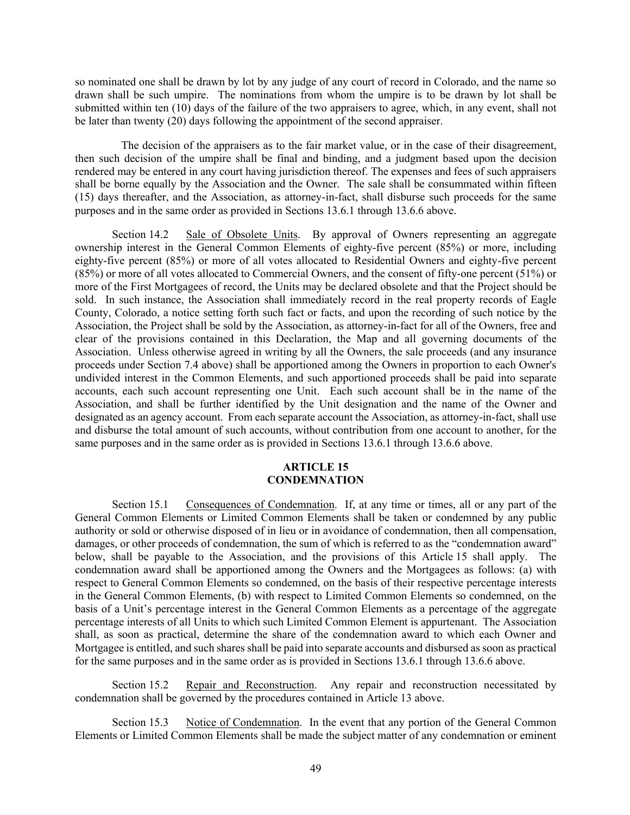so nominated one shall be drawn by lot by any judge of any court of record in Colorado, and the name so drawn shall be such umpire. The nominations from whom the umpire is to be drawn by lot shall be submitted within ten (10) days of the failure of the two appraisers to agree, which, in any event, shall not be later than twenty (20) days following the appointment of the second appraiser.

The decision of the appraisers as to the fair market value, or in the case of their disagreement, then such decision of the umpire shall be final and binding, and a judgment based upon the decision rendered may be entered in any court having jurisdiction thereof. The expenses and fees of such appraisers shall be borne equally by the Association and the Owner. The sale shall be consummated within fifteen (15) days thereafter, and the Association, as attorney-in-fact, shall disburse such proceeds for the same purposes and in the same order as provided in Sections 13.6.1 through 13.6.6 above.

Section 14.2 Sale of Obsolete Units. By approval of Owners representing an aggregate ownership interest in the General Common Elements of eighty-five percent (85%) or more, including eighty-five percent (85%) or more of all votes allocated to Residential Owners and eighty-five percent (85%) or more of all votes allocated to Commercial Owners, and the consent of fifty-one percent (51%) or more of the First Mortgagees of record, the Units may be declared obsolete and that the Project should be sold. In such instance, the Association shall immediately record in the real property records of Eagle County, Colorado, a notice setting forth such fact or facts, and upon the recording of such notice by the Association, the Project shall be sold by the Association, as attorney-in-fact for all of the Owners, free and clear of the provisions contained in this Declaration, the Map and all governing documents of the Association. Unless otherwise agreed in writing by all the Owners, the sale proceeds (and any insurance proceeds under Section 7.4 above) shall be apportioned among the Owners in proportion to each Owner's undivided interest in the Common Elements, and such apportioned proceeds shall be paid into separate accounts, each such account representing one Unit. Each such account shall be in the name of the Association, and shall be further identified by the Unit designation and the name of the Owner and designated as an agency account. From each separate account the Association, as attorney-in-fact, shall use and disburse the total amount of such accounts, without contribution from one account to another, for the same purposes and in the same order as is provided in Sections 13.6.1 through 13.6.6 above.

#### **ARTICLE 15 CONDEMNATION**

Section 15.1 Consequences of Condemnation. If, at any time or times, all or any part of the General Common Elements or Limited Common Elements shall be taken or condemned by any public authority or sold or otherwise disposed of in lieu or in avoidance of condemnation, then all compensation, damages, or other proceeds of condemnation, the sum of which is referred to as the "condemnation award" below, shall be payable to the Association, and the provisions of this Article 15 shall apply. The condemnation award shall be apportioned among the Owners and the Mortgagees as follows: (a) with respect to General Common Elements so condemned, on the basis of their respective percentage interests in the General Common Elements, (b) with respect to Limited Common Elements so condemned, on the basis of a Unit's percentage interest in the General Common Elements as a percentage of the aggregate percentage interests of all Units to which such Limited Common Element is appurtenant. The Association shall, as soon as practical, determine the share of the condemnation award to which each Owner and Mortgagee is entitled, and such shares shall be paid into separate accounts and disbursed as soon as practical for the same purposes and in the same order as is provided in Sections 13.6.1 through 13.6.6 above.

Section 15.2 Repair and Reconstruction. Any repair and reconstruction necessitated by condemnation shall be governed by the procedures contained in Article 13 above.

Section 15.3 Notice of Condemnation. In the event that any portion of the General Common Elements or Limited Common Elements shall be made the subject matter of any condemnation or eminent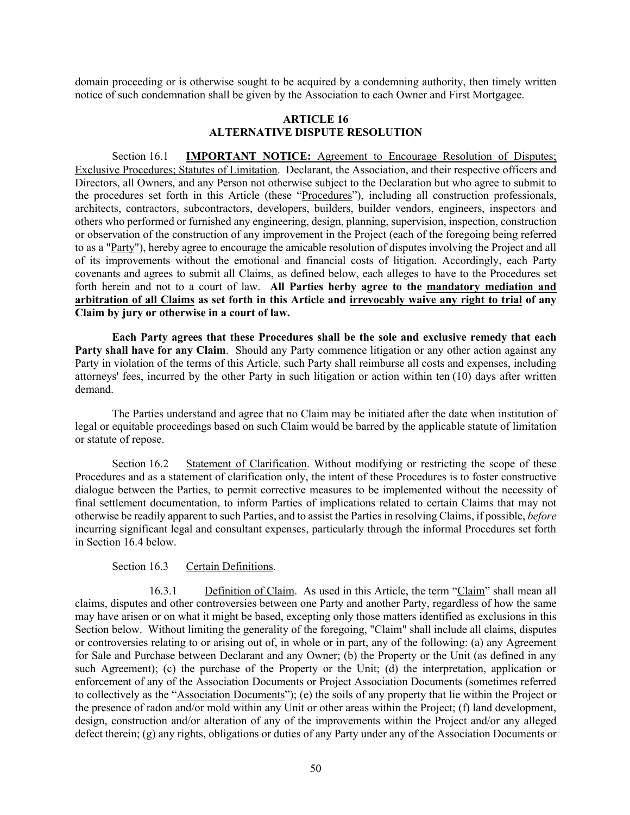domain proceeding or is otherwise sought to be acquired by a condemning authority, then timely written notice of such condemnation shall be given by the Association to each Owner and First Mortgagee.

### **ARTICLE 16 ALTERNATIVE DISPUTE RESOLUTION**

Section 16.1 **IMPORTANT NOTICE:** Agreement to Encourage Resolution of Disputes; Exclusive Procedures; Statutes of Limitation. Declarant, the Association, and their respective officers and Directors, all Owners, and any Person not otherwise subject to the Declaration but who agree to submit to the procedures set forth in this Article (these "Procedures"), including all construction professionals, architects, contractors, subcontractors, developers, builders, builder vendors, engineers, inspectors and others who performed or furnished any engineering, design, planning, supervision, inspection, construction or observation of the construction of any improvement in the Project (each of the foregoing being referred to as a "Party"), hereby agree to encourage the amicable resolution of disputes involving the Project and all of its improvements without the emotional and financial costs of litigation. Accordingly, each Party covenants and agrees to submit all Claims, as defined below, each alleges to have to the Procedures set forth herein and not to a court of law. **All Parties herby agree to the mandatory mediation and arbitration of all Claims as set forth in this Article and irrevocably waive any right to trial of any Claim by jury or otherwise in a court of law.**

**Each Party agrees that these Procedures shall be the sole and exclusive remedy that each Party shall have for any Claim**. Should any Party commence litigation or any other action against any Party in violation of the terms of this Article, such Party shall reimburse all costs and expenses, including attorneys' fees, incurred by the other Party in such litigation or action within ten (10) days after written demand.

The Parties understand and agree that no Claim may be initiated after the date when institution of legal or equitable proceedings based on such Claim would be barred by the applicable statute of limitation or statute of repose.

Section 16.2 Statement of Clarification. Without modifying or restricting the scope of these Procedures and as a statement of clarification only, the intent of these Procedures is to foster constructive dialogue between the Parties, to permit corrective measures to be implemented without the necessity of final settlement documentation, to inform Parties of implications related to certain Claims that may not otherwise be readily apparent to such Parties, and to assist the Parties in resolving Claims, if possible, *before* incurring significant legal and consultant expenses, particularly through the informal Procedures set forth in Section 16.4 below.

## Section 16.3 Certain Definitions.

16.3.1 Definition of Claim. As used in this Article, the term "Claim" shall mean all claims, disputes and other controversies between one Party and another Party, regardless of how the same may have arisen or on what it might be based, excepting only those matters identified as exclusions in this Section below. Without limiting the generality of the foregoing, "Claim" shall include all claims, disputes or controversies relating to or arising out of, in whole or in part, any of the following: (a) any Agreement for Sale and Purchase between Declarant and any Owner; (b) the Property or the Unit (as defined in any such Agreement); (c) the purchase of the Property or the Unit; (d) the interpretation, application or enforcement of any of the Association Documents or Project Association Documents (sometimes referred to collectively as the "Association Documents"); (e) the soils of any property that lie within the Project or the presence of radon and/or mold within any Unit or other areas within the Project; (f) land development, design, construction and/or alteration of any of the improvements within the Project and/or any alleged defect therein; (g) any rights, obligations or duties of any Party under any of the Association Documents or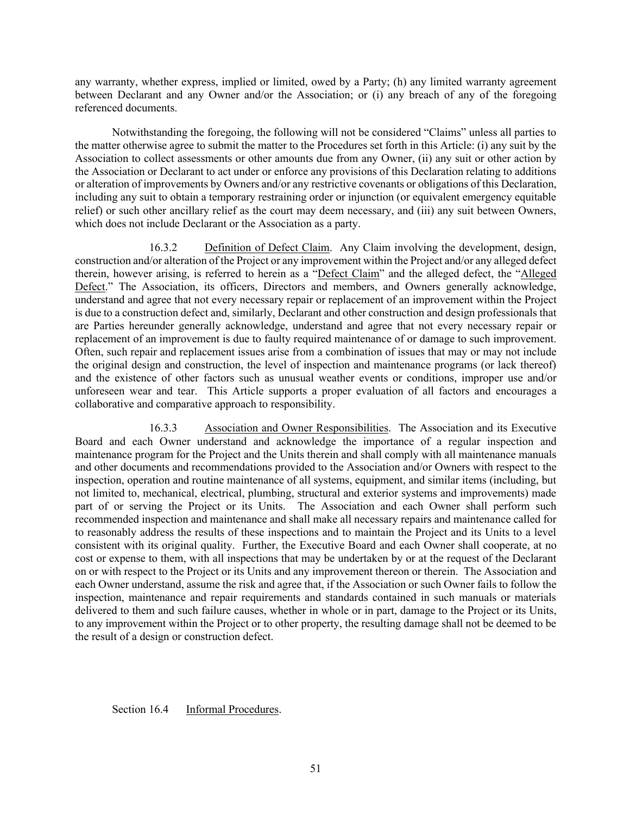any warranty, whether express, implied or limited, owed by a Party; (h) any limited warranty agreement between Declarant and any Owner and/or the Association; or (i) any breach of any of the foregoing referenced documents.

Notwithstanding the foregoing, the following will not be considered "Claims" unless all parties to the matter otherwise agree to submit the matter to the Procedures set forth in this Article: (i) any suit by the Association to collect assessments or other amounts due from any Owner, (ii) any suit or other action by the Association or Declarant to act under or enforce any provisions of this Declaration relating to additions or alteration of improvements by Owners and/or any restrictive covenants or obligations of this Declaration, including any suit to obtain a temporary restraining order or injunction (or equivalent emergency equitable relief) or such other ancillary relief as the court may deem necessary, and (iii) any suit between Owners, which does not include Declarant or the Association as a party.

16.3.2 Definition of Defect Claim. Any Claim involving the development, design, construction and/or alteration of the Project or any improvement within the Project and/or any alleged defect therein, however arising, is referred to herein as a "Defect Claim" and the alleged defect, the "Alleged Defect." The Association, its officers, Directors and members, and Owners generally acknowledge, understand and agree that not every necessary repair or replacement of an improvement within the Project is due to a construction defect and, similarly, Declarant and other construction and design professionals that are Parties hereunder generally acknowledge, understand and agree that not every necessary repair or replacement of an improvement is due to faulty required maintenance of or damage to such improvement. Often, such repair and replacement issues arise from a combination of issues that may or may not include the original design and construction, the level of inspection and maintenance programs (or lack thereof) and the existence of other factors such as unusual weather events or conditions, improper use and/or unforeseen wear and tear. This Article supports a proper evaluation of all factors and encourages a collaborative and comparative approach to responsibility.

16.3.3 Association and Owner Responsibilities. The Association and its Executive Board and each Owner understand and acknowledge the importance of a regular inspection and maintenance program for the Project and the Units therein and shall comply with all maintenance manuals and other documents and recommendations provided to the Association and/or Owners with respect to the inspection, operation and routine maintenance of all systems, equipment, and similar items (including, but not limited to, mechanical, electrical, plumbing, structural and exterior systems and improvements) made part of or serving the Project or its Units. The Association and each Owner shall perform such recommended inspection and maintenance and shall make all necessary repairs and maintenance called for to reasonably address the results of these inspections and to maintain the Project and its Units to a level consistent with its original quality. Further, the Executive Board and each Owner shall cooperate, at no cost or expense to them, with all inspections that may be undertaken by or at the request of the Declarant on or with respect to the Project or its Units and any improvement thereon or therein. The Association and each Owner understand, assume the risk and agree that, if the Association or such Owner fails to follow the inspection, maintenance and repair requirements and standards contained in such manuals or materials delivered to them and such failure causes, whether in whole or in part, damage to the Project or its Units, to any improvement within the Project or to other property, the resulting damage shall not be deemed to be the result of a design or construction defect.

Section 16.4 Informal Procedures.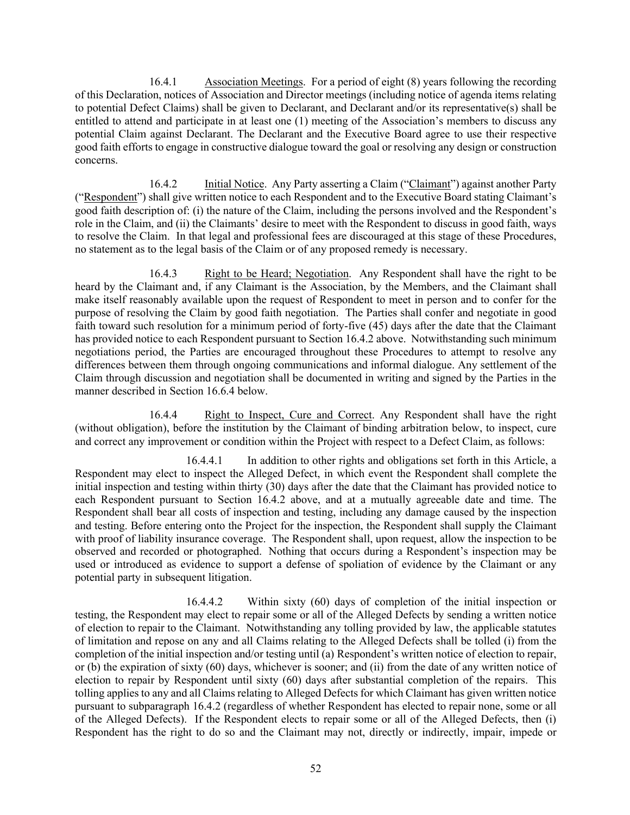16.4.1 Association Meetings. For a period of eight (8) years following the recording of this Declaration, notices of Association and Director meetings (including notice of agenda items relating to potential Defect Claims) shall be given to Declarant, and Declarant and/or its representative(s) shall be entitled to attend and participate in at least one (1) meeting of the Association's members to discuss any potential Claim against Declarant. The Declarant and the Executive Board agree to use their respective good faith efforts to engage in constructive dialogue toward the goal or resolving any design or construction concerns.

16.4.2 Initial Notice. Any Party asserting a Claim ("Claimant") against another Party ("Respondent") shall give written notice to each Respondent and to the Executive Board stating Claimant's good faith description of: (i) the nature of the Claim, including the persons involved and the Respondent's role in the Claim, and (ii) the Claimants' desire to meet with the Respondent to discuss in good faith, ways to resolve the Claim. In that legal and professional fees are discouraged at this stage of these Procedures, no statement as to the legal basis of the Claim or of any proposed remedy is necessary.

16.4.3 Right to be Heard; Negotiation. Any Respondent shall have the right to be heard by the Claimant and, if any Claimant is the Association, by the Members, and the Claimant shall make itself reasonably available upon the request of Respondent to meet in person and to confer for the purpose of resolving the Claim by good faith negotiation. The Parties shall confer and negotiate in good faith toward such resolution for a minimum period of forty-five (45) days after the date that the Claimant has provided notice to each Respondent pursuant to Section 16.4.2 above. Notwithstanding such minimum negotiations period, the Parties are encouraged throughout these Procedures to attempt to resolve any differences between them through ongoing communications and informal dialogue. Any settlement of the Claim through discussion and negotiation shall be documented in writing and signed by the Parties in the manner described in Section 16.6.4 below.

16.4.4 Right to Inspect, Cure and Correct. Any Respondent shall have the right (without obligation), before the institution by the Claimant of binding arbitration below, to inspect, cure and correct any improvement or condition within the Project with respect to a Defect Claim, as follows:

16.4.4.1 In addition to other rights and obligations set forth in this Article, a Respondent may elect to inspect the Alleged Defect, in which event the Respondent shall complete the initial inspection and testing within thirty (30) days after the date that the Claimant has provided notice to each Respondent pursuant to Section 16.4.2 above, and at a mutually agreeable date and time. The Respondent shall bear all costs of inspection and testing, including any damage caused by the inspection and testing. Before entering onto the Project for the inspection, the Respondent shall supply the Claimant with proof of liability insurance coverage. The Respondent shall, upon request, allow the inspection to be observed and recorded or photographed. Nothing that occurs during a Respondent's inspection may be used or introduced as evidence to support a defense of spoliation of evidence by the Claimant or any potential party in subsequent litigation.

16.4.4.2 Within sixty (60) days of completion of the initial inspection or testing, the Respondent may elect to repair some or all of the Alleged Defects by sending a written notice of election to repair to the Claimant. Notwithstanding any tolling provided by law, the applicable statutes of limitation and repose on any and all Claims relating to the Alleged Defects shall be tolled (i) from the completion of the initial inspection and/or testing until (a) Respondent's written notice of election to repair, or (b) the expiration of sixty (60) days, whichever is sooner; and (ii) from the date of any written notice of election to repair by Respondent until sixty (60) days after substantial completion of the repairs. This tolling applies to any and all Claims relating to Alleged Defects for which Claimant has given written notice pursuant to subparagraph 16.4.2 (regardless of whether Respondent has elected to repair none, some or all of the Alleged Defects). If the Respondent elects to repair some or all of the Alleged Defects, then (i) Respondent has the right to do so and the Claimant may not, directly or indirectly, impair, impede or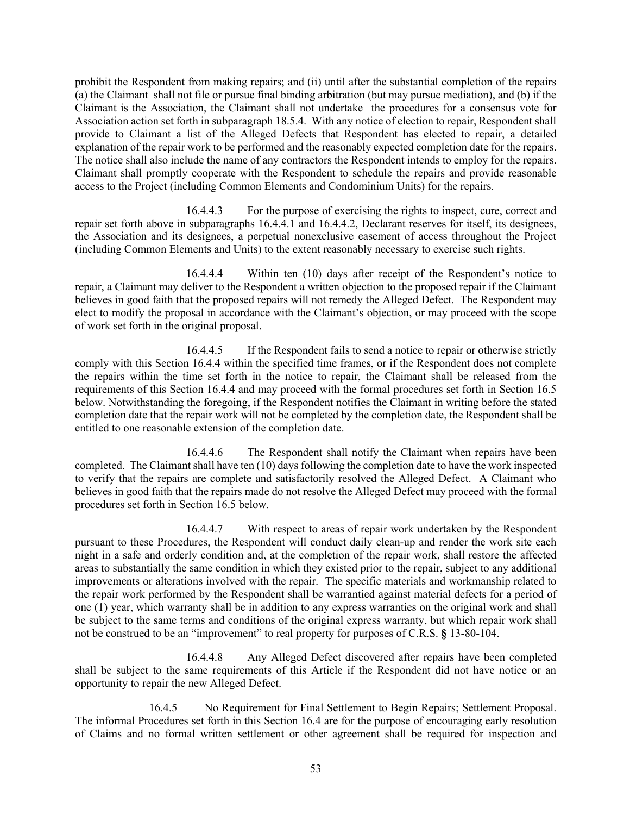prohibit the Respondent from making repairs; and (ii) until after the substantial completion of the repairs (a) the Claimant shall not file or pursue final binding arbitration (but may pursue mediation), and (b) if the Claimant is the Association, the Claimant shall not undertake the procedures for a consensus vote for Association action set forth in subparagraph 18.5.4. With any notice of election to repair, Respondent shall provide to Claimant a list of the Alleged Defects that Respondent has elected to repair, a detailed explanation of the repair work to be performed and the reasonably expected completion date for the repairs. The notice shall also include the name of any contractors the Respondent intends to employ for the repairs. Claimant shall promptly cooperate with the Respondent to schedule the repairs and provide reasonable access to the Project (including Common Elements and Condominium Units) for the repairs.

16.4.4.3 For the purpose of exercising the rights to inspect, cure, correct and repair set forth above in subparagraphs 16.4.4.1 and 16.4.4.2, Declarant reserves for itself, its designees, the Association and its designees, a perpetual nonexclusive easement of access throughout the Project (including Common Elements and Units) to the extent reasonably necessary to exercise such rights.

16.4.4.4 Within ten (10) days after receipt of the Respondent's notice to repair, a Claimant may deliver to the Respondent a written objection to the proposed repair if the Claimant believes in good faith that the proposed repairs will not remedy the Alleged Defect. The Respondent may elect to modify the proposal in accordance with the Claimant's objection, or may proceed with the scope of work set forth in the original proposal.

16.4.4.5 If the Respondent fails to send a notice to repair or otherwise strictly comply with this Section 16.4.4 within the specified time frames, or if the Respondent does not complete the repairs within the time set forth in the notice to repair, the Claimant shall be released from the requirements of this Section 16.4.4 and may proceed with the formal procedures set forth in Section 16.5 below. Notwithstanding the foregoing, if the Respondent notifies the Claimant in writing before the stated completion date that the repair work will not be completed by the completion date, the Respondent shall be entitled to one reasonable extension of the completion date.

16.4.4.6 The Respondent shall notify the Claimant when repairs have been completed. The Claimant shall have ten (10) days following the completion date to have the work inspected to verify that the repairs are complete and satisfactorily resolved the Alleged Defect. A Claimant who believes in good faith that the repairs made do not resolve the Alleged Defect may proceed with the formal procedures set forth in Section 16.5 below.

16.4.4.7 With respect to areas of repair work undertaken by the Respondent pursuant to these Procedures, the Respondent will conduct daily clean-up and render the work site each night in a safe and orderly condition and, at the completion of the repair work, shall restore the affected areas to substantially the same condition in which they existed prior to the repair, subject to any additional improvements or alterations involved with the repair. The specific materials and workmanship related to the repair work performed by the Respondent shall be warrantied against material defects for a period of one (1) year, which warranty shall be in addition to any express warranties on the original work and shall be subject to the same terms and conditions of the original express warranty, but which repair work shall not be construed to be an "improvement" to real property for purposes of C.R.S. **§** 13-80-104.

16.4.4.8 Any Alleged Defect discovered after repairs have been completed shall be subject to the same requirements of this Article if the Respondent did not have notice or an opportunity to repair the new Alleged Defect.

16.4.5 No Requirement for Final Settlement to Begin Repairs; Settlement Proposal. The informal Procedures set forth in this Section 16.4 are for the purpose of encouraging early resolution of Claims and no formal written settlement or other agreement shall be required for inspection and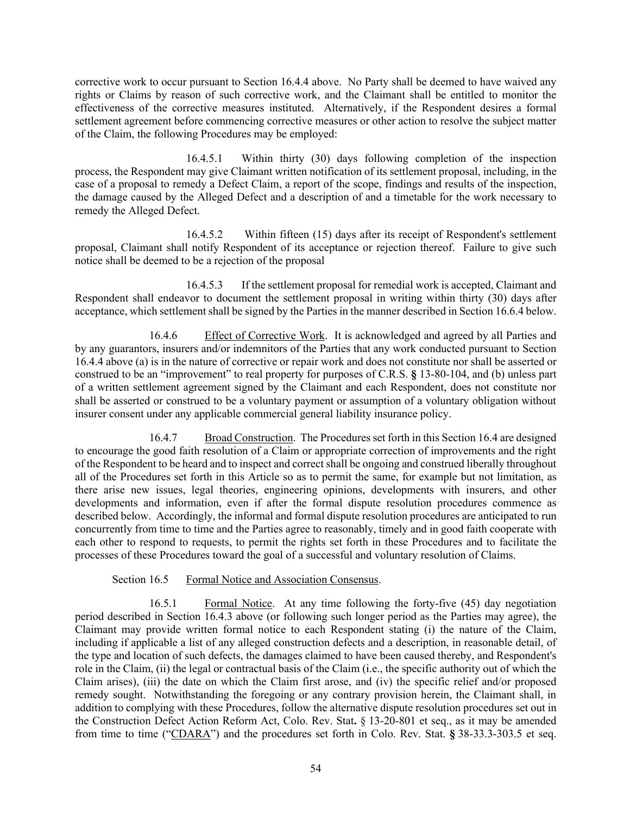corrective work to occur pursuant to Section 16.4.4 above. No Party shall be deemed to have waived any rights or Claims by reason of such corrective work, and the Claimant shall be entitled to monitor the effectiveness of the corrective measures instituted. Alternatively, if the Respondent desires a formal settlement agreement before commencing corrective measures or other action to resolve the subject matter of the Claim, the following Procedures may be employed:

16.4.5.1 Within thirty (30) days following completion of the inspection process, the Respondent may give Claimant written notification of its settlement proposal, including, in the case of a proposal to remedy a Defect Claim, a report of the scope, findings and results of the inspection, the damage caused by the Alleged Defect and a description of and a timetable for the work necessary to remedy the Alleged Defect.

16.4.5.2 Within fifteen (15) days after its receipt of Respondent's settlement proposal, Claimant shall notify Respondent of its acceptance or rejection thereof. Failure to give such notice shall be deemed to be a rejection of the proposal

16.4.5.3 If the settlement proposal for remedial work is accepted, Claimant and Respondent shall endeavor to document the settlement proposal in writing within thirty (30) days after acceptance, which settlement shall be signed by the Parties in the manner described in Section 16.6.4 below.

16.4.6 Effect of Corrective Work. It is acknowledged and agreed by all Parties and by any guarantors, insurers and/or indemnitors of the Parties that any work conducted pursuant to Section 16.4.4 above (a) is in the nature of corrective or repair work and does not constitute nor shall be asserted or construed to be an "improvement" to real property for purposes of C.R.S. **§** 13-80-104, and (b) unless part of a written settlement agreement signed by the Claimant and each Respondent, does not constitute nor shall be asserted or construed to be a voluntary payment or assumption of a voluntary obligation without insurer consent under any applicable commercial general liability insurance policy.

16.4.7 Broad Construction. The Procedures set forth in this Section 16.4 are designed to encourage the good faith resolution of a Claim or appropriate correction of improvements and the right of the Respondent to be heard and to inspect and correct shall be ongoing and construed liberally throughout all of the Procedures set forth in this Article so as to permit the same, for example but not limitation, as there arise new issues, legal theories, engineering opinions, developments with insurers, and other developments and information, even if after the formal dispute resolution procedures commence as described below. Accordingly, the informal and formal dispute resolution procedures are anticipated to run concurrently from time to time and the Parties agree to reasonably, timely and in good faith cooperate with each other to respond to requests, to permit the rights set forth in these Procedures and to facilitate the processes of these Procedures toward the goal of a successful and voluntary resolution of Claims.

# Section 16.5 Formal Notice and Association Consensus.

16.5.1 Formal Notice. At any time following the forty-five (45) day negotiation period described in Section 16.4.3 above (or following such longer period as the Parties may agree), the Claimant may provide written formal notice to each Respondent stating (i) the nature of the Claim, including if applicable a list of any alleged construction defects and a description, in reasonable detail, of the type and location of such defects, the damages claimed to have been caused thereby, and Respondent's role in the Claim, (ii) the legal or contractual basis of the Claim (i.e., the specific authority out of which the Claim arises), (iii) the date on which the Claim first arose, and (iv) the specific relief and/or proposed remedy sought. Notwithstanding the foregoing or any contrary provision herein, the Claimant shall, in addition to complying with these Procedures, follow the alternative dispute resolution procedures set out in the Construction Defect Action Reform Act, Colo. Rev. Stat**.** § 13-20-801 et seq., as it may be amended from time to time ("CDARA") and the procedures set forth in Colo. Rev. Stat. **§** 38-33.3-303.5 et seq.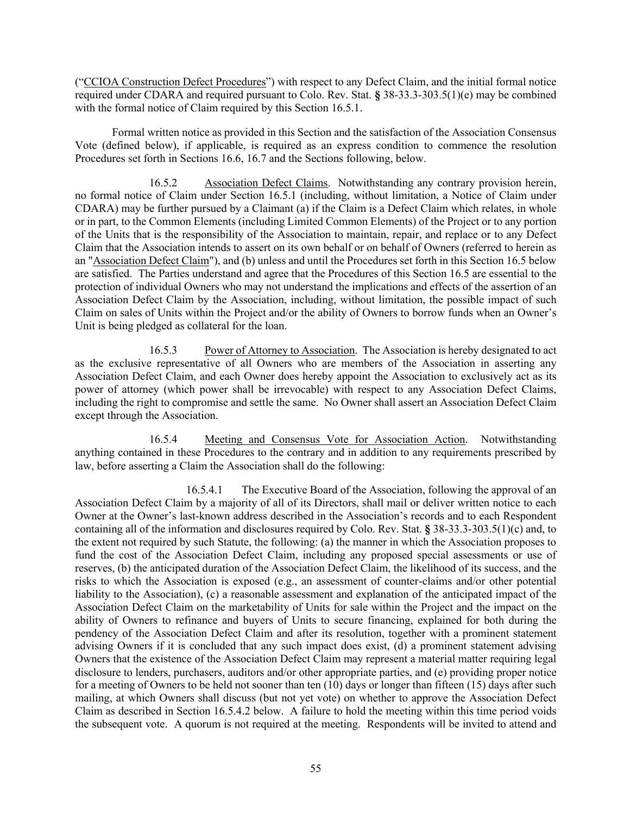("CCIOA Construction Defect Procedures") with respect to any Defect Claim, and the initial formal notice required under CDARA and required pursuant to Colo. Rev. Stat. **§** 38-33.3-303.5(1)(e) may be combined with the formal notice of Claim required by this Section 16.5.1.

Formal written notice as provided in this Section and the satisfaction of the Association Consensus Vote (defined below), if applicable, is required as an express condition to commence the resolution Procedures set forth in Sections 16.6, 16.7 and the Sections following, below.

16.5.2 Association Defect Claims. Notwithstanding any contrary provision herein, no formal notice of Claim under Section 16.5.1 (including, without limitation, a Notice of Claim under CDARA) may be further pursued by a Claimant (a) if the Claim is a Defect Claim which relates, in whole or in part, to the Common Elements (including Limited Common Elements) of the Project or to any portion of the Units that is the responsibility of the Association to maintain, repair, and replace or to any Defect Claim that the Association intends to assert on its own behalf or on behalf of Owners (referred to herein as an "Association Defect Claim"), and (b) unless and until the Procedures set forth in this Section 16.5 below are satisfied. The Parties understand and agree that the Procedures of this Section 16.5 are essential to the protection of individual Owners who may not understand the implications and effects of the assertion of an Association Defect Claim by the Association, including, without limitation, the possible impact of such Claim on sales of Units within the Project and/or the ability of Owners to borrow funds when an Owner's Unit is being pledged as collateral for the loan.

16.5.3 Power of Attorney to Association. The Association is hereby designated to act as the exclusive representative of all Owners who are members of the Association in asserting any Association Defect Claim, and each Owner does hereby appoint the Association to exclusively act as its power of attorney (which power shall be irrevocable) with respect to any Association Defect Claims, including the right to compromise and settle the same. No Owner shall assert an Association Defect Claim except through the Association.

16.5.4 Meeting and Consensus Vote for Association Action. Notwithstanding anything contained in these Procedures to the contrary and in addition to any requirements prescribed by law, before asserting a Claim the Association shall do the following:

16.5.4.1 The Executive Board of the Association, following the approval of an Association Defect Claim by a majority of all of its Directors, shall mail or deliver written notice to each Owner at the Owner's last-known address described in the Association's records and to each Respondent containing all of the information and disclosures required by Colo. Rev. Stat. **§** 38-33.3-303.5(1)(c) and, to the extent not required by such Statute, the following: (a) the manner in which the Association proposes to fund the cost of the Association Defect Claim, including any proposed special assessments or use of reserves, (b) the anticipated duration of the Association Defect Claim, the likelihood of its success, and the risks to which the Association is exposed (e.g., an assessment of counter-claims and/or other potential liability to the Association), (c) a reasonable assessment and explanation of the anticipated impact of the Association Defect Claim on the marketability of Units for sale within the Project and the impact on the ability of Owners to refinance and buyers of Units to secure financing, explained for both during the pendency of the Association Defect Claim and after its resolution, together with a prominent statement advising Owners if it is concluded that any such impact does exist, (d) a prominent statement advising Owners that the existence of the Association Defect Claim may represent a material matter requiring legal disclosure to lenders, purchasers, auditors and/or other appropriate parties, and (e) providing proper notice for a meeting of Owners to be held not sooner than ten (10) days or longer than fifteen (15) days after such mailing, at which Owners shall discuss (but not yet vote) on whether to approve the Association Defect Claim as described in Section 16.5.4.2 below. A failure to hold the meeting within this time period voids the subsequent vote. A quorum is not required at the meeting. Respondents will be invited to attend and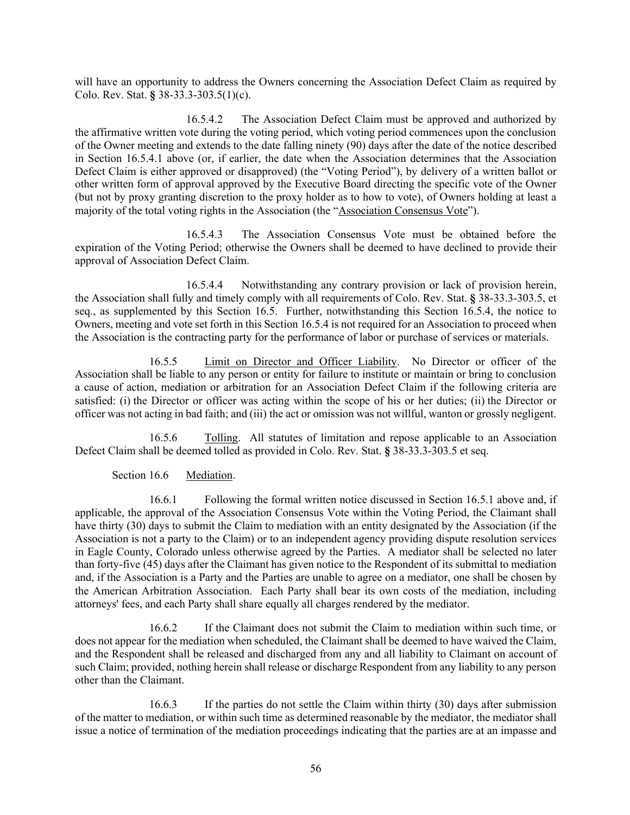will have an opportunity to address the Owners concerning the Association Defect Claim as required by Colo. Rev. Stat. **§** 38-33.3-303.5(1)(c).

16.5.4.2 The Association Defect Claim must be approved and authorized by the affirmative written vote during the voting period, which voting period commences upon the conclusion of the Owner meeting and extends to the date falling ninety (90) days after the date of the notice described in Section 16.5.4.1 above (or, if earlier, the date when the Association determines that the Association Defect Claim is either approved or disapproved) (the "Voting Period"), by delivery of a written ballot or other written form of approval approved by the Executive Board directing the specific vote of the Owner (but not by proxy granting discretion to the proxy holder as to how to vote), of Owners holding at least a majority of the total voting rights in the Association (the "Association Consensus Vote").

16.5.4.3 The Association Consensus Vote must be obtained before the expiration of the Voting Period; otherwise the Owners shall be deemed to have declined to provide their approval of Association Defect Claim.

16.5.4.4 Notwithstanding any contrary provision or lack of provision herein, the Association shall fully and timely comply with all requirements of Colo. Rev. Stat. **§** 38-33.3-303.5, et seq., as supplemented by this Section 16.5. Further, notwithstanding this Section 16.5.4, the notice to Owners, meeting and vote set forth in this Section 16.5.4 is not required for an Association to proceed when the Association is the contracting party for the performance of labor or purchase of services or materials.

16.5.5 Limit on Director and Officer Liability. No Director or officer of the Association shall be liable to any person or entity for failure to institute or maintain or bring to conclusion a cause of action, mediation or arbitration for an Association Defect Claim if the following criteria are satisfied: (i) the Director or officer was acting within the scope of his or her duties; (ii) the Director or officer was not acting in bad faith; and (iii) the act or omission was not willful, wanton or grossly negligent.

16.5.6 Tolling. All statutes of limitation and repose applicable to an Association Defect Claim shall be deemed tolled as provided in Colo. Rev. Stat. **§** 38-33.3-303.5 et seq.

Section 16.6 Mediation.

16.6.1 Following the formal written notice discussed in Section 16.5.1 above and, if applicable, the approval of the Association Consensus Vote within the Voting Period, the Claimant shall have thirty (30) days to submit the Claim to mediation with an entity designated by the Association (if the Association is not a party to the Claim) or to an independent agency providing dispute resolution services in Eagle County, Colorado unless otherwise agreed by the Parties. A mediator shall be selected no later than forty-five (45) days after the Claimant has given notice to the Respondent of its submittal to mediation and, if the Association is a Party and the Parties are unable to agree on a mediator, one shall be chosen by the American Arbitration Association. Each Party shall bear its own costs of the mediation, including attorneys' fees, and each Party shall share equally all charges rendered by the mediator.

16.6.2 If the Claimant does not submit the Claim to mediation within such time, or does not appear for the mediation when scheduled, the Claimant shall be deemed to have waived the Claim, and the Respondent shall be released and discharged from any and all liability to Claimant on account of such Claim; provided, nothing herein shall release or discharge Respondent from any liability to any person other than the Claimant.

16.6.3 If the parties do not settle the Claim within thirty (30) days after submission of the matter to mediation, or within such time as determined reasonable by the mediator, the mediator shall issue a notice of termination of the mediation proceedings indicating that the parties are at an impasse and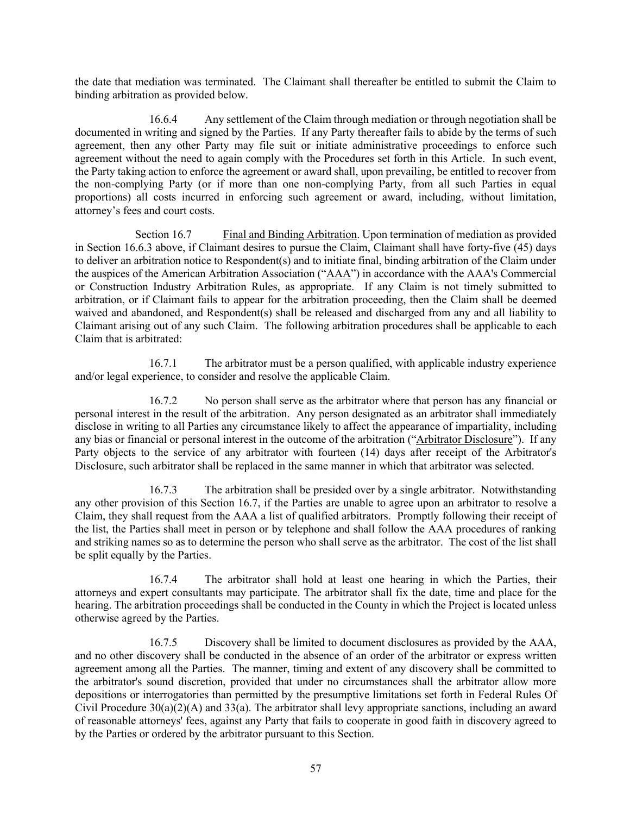the date that mediation was terminated. The Claimant shall thereafter be entitled to submit the Claim to binding arbitration as provided below.

16.6.4 Any settlement of the Claim through mediation or through negotiation shall be documented in writing and signed by the Parties. If any Party thereafter fails to abide by the terms of such agreement, then any other Party may file suit or initiate administrative proceedings to enforce such agreement without the need to again comply with the Procedures set forth in this Article. In such event, the Party taking action to enforce the agreement or award shall, upon prevailing, be entitled to recover from the non-complying Party (or if more than one non-complying Party, from all such Parties in equal proportions) all costs incurred in enforcing such agreement or award, including, without limitation, attorney's fees and court costs.

Section 16.7 Final and Binding Arbitration. Upon termination of mediation as provided in Section 16.6.3 above, if Claimant desires to pursue the Claim, Claimant shall have forty-five (45) days to deliver an arbitration notice to Respondent(s) and to initiate final, binding arbitration of the Claim under the auspices of the American Arbitration Association ("AAA") in accordance with the AAA's Commercial or Construction Industry Arbitration Rules, as appropriate. If any Claim is not timely submitted to arbitration, or if Claimant fails to appear for the arbitration proceeding, then the Claim shall be deemed waived and abandoned, and Respondent(s) shall be released and discharged from any and all liability to Claimant arising out of any such Claim. The following arbitration procedures shall be applicable to each Claim that is arbitrated:

16.7.1 The arbitrator must be a person qualified, with applicable industry experience and/or legal experience, to consider and resolve the applicable Claim.

16.7.2 No person shall serve as the arbitrator where that person has any financial or personal interest in the result of the arbitration. Any person designated as an arbitrator shall immediately disclose in writing to all Parties any circumstance likely to affect the appearance of impartiality, including any bias or financial or personal interest in the outcome of the arbitration ("Arbitrator Disclosure"). If any Party objects to the service of any arbitrator with fourteen (14) days after receipt of the Arbitrator's Disclosure, such arbitrator shall be replaced in the same manner in which that arbitrator was selected.

16.7.3 The arbitration shall be presided over by a single arbitrator. Notwithstanding any other provision of this Section 16.7, if the Parties are unable to agree upon an arbitrator to resolve a Claim, they shall request from the AAA a list of qualified arbitrators. Promptly following their receipt of the list, the Parties shall meet in person or by telephone and shall follow the AAA procedures of ranking and striking names so as to determine the person who shall serve as the arbitrator. The cost of the list shall be split equally by the Parties.

16.7.4 The arbitrator shall hold at least one hearing in which the Parties, their attorneys and expert consultants may participate. The arbitrator shall fix the date, time and place for the hearing. The arbitration proceedings shall be conducted in the County in which the Project is located unless otherwise agreed by the Parties.

16.7.5 Discovery shall be limited to document disclosures as provided by the AAA, and no other discovery shall be conducted in the absence of an order of the arbitrator or express written agreement among all the Parties. The manner, timing and extent of any discovery shall be committed to the arbitrator's sound discretion, provided that under no circumstances shall the arbitrator allow more depositions or interrogatories than permitted by the presumptive limitations set forth in Federal Rules Of Civil Procedure  $30(a)(2)(A)$  and  $33(a)$ . The arbitrator shall levy appropriate sanctions, including an award of reasonable attorneys' fees, against any Party that fails to cooperate in good faith in discovery agreed to by the Parties or ordered by the arbitrator pursuant to this Section.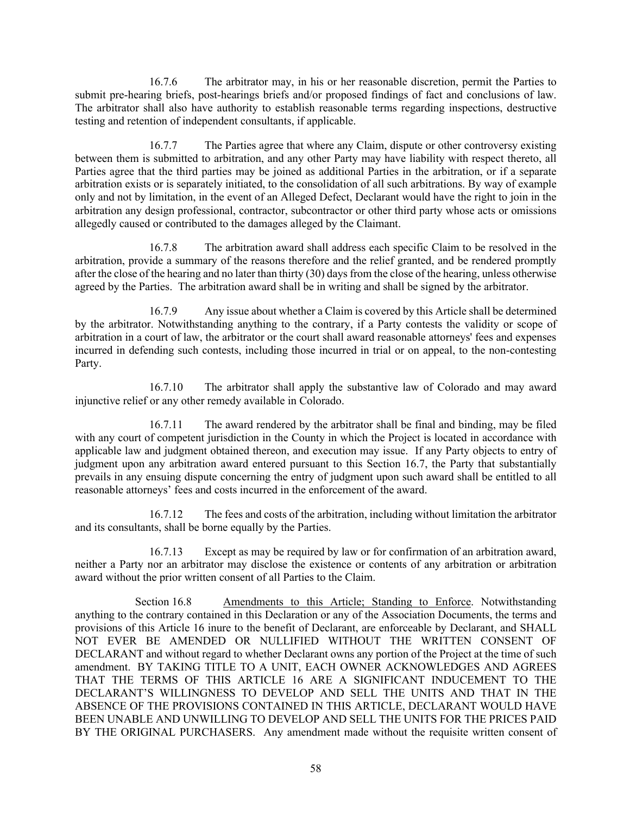16.7.6 The arbitrator may, in his or her reasonable discretion, permit the Parties to submit pre-hearing briefs, post-hearings briefs and/or proposed findings of fact and conclusions of law. The arbitrator shall also have authority to establish reasonable terms regarding inspections, destructive testing and retention of independent consultants, if applicable.

16.7.7 The Parties agree that where any Claim, dispute or other controversy existing between them is submitted to arbitration, and any other Party may have liability with respect thereto, all Parties agree that the third parties may be joined as additional Parties in the arbitration, or if a separate arbitration exists or is separately initiated, to the consolidation of all such arbitrations. By way of example only and not by limitation, in the event of an Alleged Defect, Declarant would have the right to join in the arbitration any design professional, contractor, subcontractor or other third party whose acts or omissions allegedly caused or contributed to the damages alleged by the Claimant.

16.7.8 The arbitration award shall address each specific Claim to be resolved in the arbitration, provide a summary of the reasons therefore and the relief granted, and be rendered promptly after the close of the hearing and no later than thirty (30) days from the close of the hearing, unless otherwise agreed by the Parties. The arbitration award shall be in writing and shall be signed by the arbitrator.

16.7.9 Any issue about whether a Claim is covered by this Article shall be determined by the arbitrator. Notwithstanding anything to the contrary, if a Party contests the validity or scope of arbitration in a court of law, the arbitrator or the court shall award reasonable attorneys' fees and expenses incurred in defending such contests, including those incurred in trial or on appeal, to the non-contesting Party.

16.7.10 The arbitrator shall apply the substantive law of Colorado and may award injunctive relief or any other remedy available in Colorado.

16.7.11 The award rendered by the arbitrator shall be final and binding, may be filed with any court of competent jurisdiction in the County in which the Project is located in accordance with applicable law and judgment obtained thereon, and execution may issue. If any Party objects to entry of judgment upon any arbitration award entered pursuant to this Section 16.7, the Party that substantially prevails in any ensuing dispute concerning the entry of judgment upon such award shall be entitled to all reasonable attorneys' fees and costs incurred in the enforcement of the award.

16.7.12 The fees and costs of the arbitration, including without limitation the arbitrator and its consultants, shall be borne equally by the Parties.

16.7.13 Except as may be required by law or for confirmation of an arbitration award, neither a Party nor an arbitrator may disclose the existence or contents of any arbitration or arbitration award without the prior written consent of all Parties to the Claim.

Section 16.8 Amendments to this Article; Standing to Enforce. Notwithstanding anything to the contrary contained in this Declaration or any of the Association Documents, the terms and provisions of this Article 16 inure to the benefit of Declarant, are enforceable by Declarant, and SHALL NOT EVER BE AMENDED OR NULLIFIED WITHOUT THE WRITTEN CONSENT OF DECLARANT and without regard to whether Declarant owns any portion of the Project at the time of such amendment. BY TAKING TITLE TO A UNIT, EACH OWNER ACKNOWLEDGES AND AGREES THAT THE TERMS OF THIS ARTICLE 16 ARE A SIGNIFICANT INDUCEMENT TO THE DECLARANT'S WILLINGNESS TO DEVELOP AND SELL THE UNITS AND THAT IN THE ABSENCE OF THE PROVISIONS CONTAINED IN THIS ARTICLE, DECLARANT WOULD HAVE BEEN UNABLE AND UNWILLING TO DEVELOP AND SELL THE UNITS FOR THE PRICES PAID BY THE ORIGINAL PURCHASERS. Any amendment made without the requisite written consent of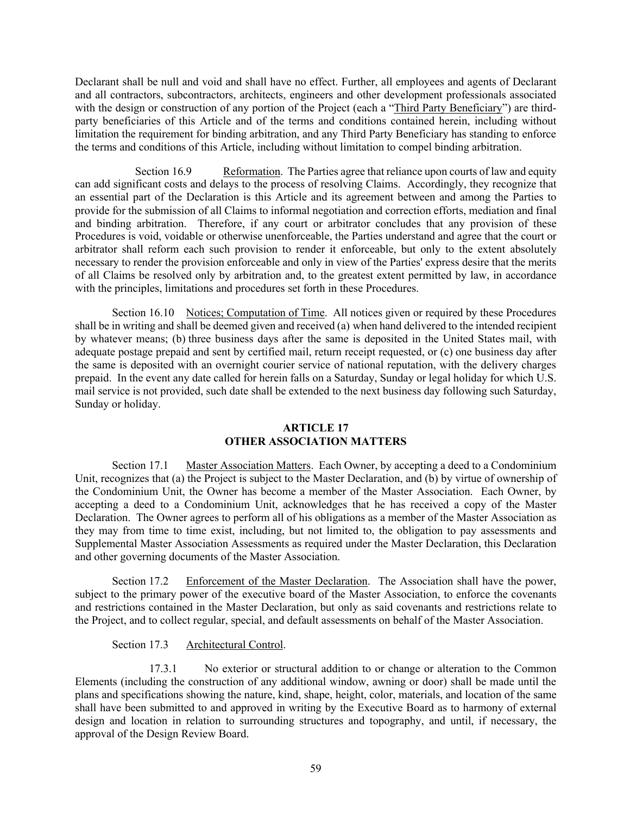Declarant shall be null and void and shall have no effect. Further, all employees and agents of Declarant and all contractors, subcontractors, architects, engineers and other development professionals associated with the design or construction of any portion of the Project (each a "Third Party Beneficiary") are thirdparty beneficiaries of this Article and of the terms and conditions contained herein, including without limitation the requirement for binding arbitration, and any Third Party Beneficiary has standing to enforce the terms and conditions of this Article, including without limitation to compel binding arbitration.

Section 16.9 Reformation. The Parties agree that reliance upon courts of law and equity can add significant costs and delays to the process of resolving Claims. Accordingly, they recognize that an essential part of the Declaration is this Article and its agreement between and among the Parties to provide for the submission of all Claims to informal negotiation and correction efforts, mediation and final and binding arbitration. Therefore, if any court or arbitrator concludes that any provision of these Procedures is void, voidable or otherwise unenforceable, the Parties understand and agree that the court or arbitrator shall reform each such provision to render it enforceable, but only to the extent absolutely necessary to render the provision enforceable and only in view of the Parties' express desire that the merits of all Claims be resolved only by arbitration and, to the greatest extent permitted by law, in accordance with the principles, limitations and procedures set forth in these Procedures.

Section 16.10 Notices; Computation of Time. All notices given or required by these Procedures shall be in writing and shall be deemed given and received (a) when hand delivered to the intended recipient by whatever means; (b) three business days after the same is deposited in the United States mail, with adequate postage prepaid and sent by certified mail, return receipt requested, or (c) one business day after the same is deposited with an overnight courier service of national reputation, with the delivery charges prepaid. In the event any date called for herein falls on a Saturday, Sunday or legal holiday for which U.S. mail service is not provided, such date shall be extended to the next business day following such Saturday, Sunday or holiday.

# **ARTICLE 17 OTHER ASSOCIATION MATTERS**

Section 17.1 Master Association Matters. Each Owner, by accepting a deed to a Condominium Unit, recognizes that (a) the Project is subject to the Master Declaration, and (b) by virtue of ownership of the Condominium Unit, the Owner has become a member of the Master Association. Each Owner, by accepting a deed to a Condominium Unit, acknowledges that he has received a copy of the Master Declaration. The Owner agrees to perform all of his obligations as a member of the Master Association as they may from time to time exist, including, but not limited to, the obligation to pay assessments and Supplemental Master Association Assessments as required under the Master Declaration, this Declaration and other governing documents of the Master Association.

Section 17.2 Enforcement of the Master Declaration. The Association shall have the power, subject to the primary power of the executive board of the Master Association, to enforce the covenants and restrictions contained in the Master Declaration, but only as said covenants and restrictions relate to the Project, and to collect regular, special, and default assessments on behalf of the Master Association.

Section 17.3 Architectural Control.

17.3.1 No exterior or structural addition to or change or alteration to the Common Elements (including the construction of any additional window, awning or door) shall be made until the plans and specifications showing the nature, kind, shape, height, color, materials, and location of the same shall have been submitted to and approved in writing by the Executive Board as to harmony of external design and location in relation to surrounding structures and topography, and until, if necessary, the approval of the Design Review Board.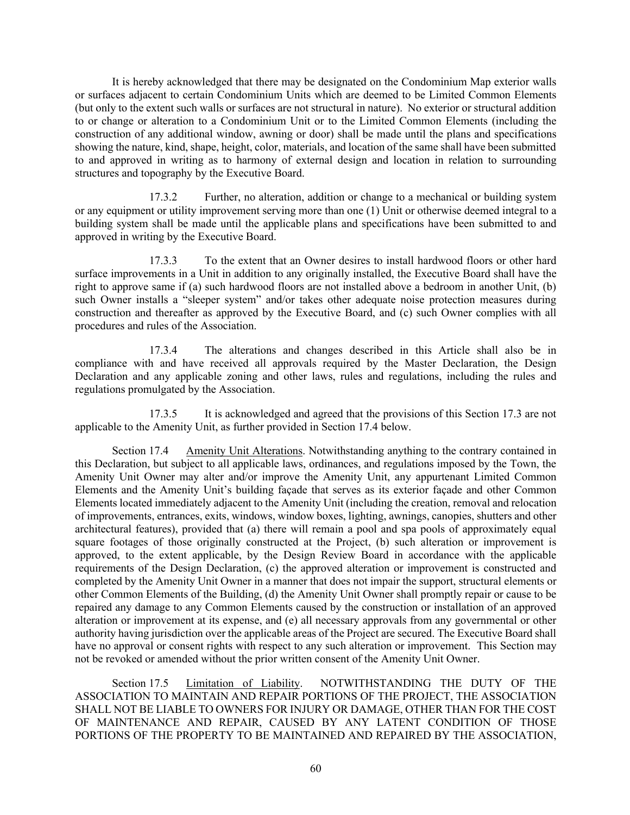It is hereby acknowledged that there may be designated on the Condominium Map exterior walls or surfaces adjacent to certain Condominium Units which are deemed to be Limited Common Elements (but only to the extent such walls or surfaces are not structural in nature). No exterior or structural addition to or change or alteration to a Condominium Unit or to the Limited Common Elements (including the construction of any additional window, awning or door) shall be made until the plans and specifications showing the nature, kind, shape, height, color, materials, and location of the same shall have been submitted to and approved in writing as to harmony of external design and location in relation to surrounding structures and topography by the Executive Board.

17.3.2 Further, no alteration, addition or change to a mechanical or building system or any equipment or utility improvement serving more than one (1) Unit or otherwise deemed integral to a building system shall be made until the applicable plans and specifications have been submitted to and approved in writing by the Executive Board.

17.3.3 To the extent that an Owner desires to install hardwood floors or other hard surface improvements in a Unit in addition to any originally installed, the Executive Board shall have the right to approve same if (a) such hardwood floors are not installed above a bedroom in another Unit, (b) such Owner installs a "sleeper system" and/or takes other adequate noise protection measures during construction and thereafter as approved by the Executive Board, and (c) such Owner complies with all procedures and rules of the Association.

17.3.4 The alterations and changes described in this Article shall also be in compliance with and have received all approvals required by the Master Declaration, the Design Declaration and any applicable zoning and other laws, rules and regulations, including the rules and regulations promulgated by the Association.

17.3.5 It is acknowledged and agreed that the provisions of this Section 17.3 are not applicable to the Amenity Unit, as further provided in Section 17.4 below.

Section 17.4 Amenity Unit Alterations. Notwithstanding anything to the contrary contained in this Declaration, but subject to all applicable laws, ordinances, and regulations imposed by the Town, the Amenity Unit Owner may alter and/or improve the Amenity Unit, any appurtenant Limited Common Elements and the Amenity Unit's building façade that serves as its exterior façade and other Common Elements located immediately adjacent to the Amenity Unit (including the creation, removal and relocation of improvements, entrances, exits, windows, window boxes, lighting, awnings, canopies, shutters and other architectural features), provided that (a) there will remain a pool and spa pools of approximately equal square footages of those originally constructed at the Project, (b) such alteration or improvement is approved, to the extent applicable, by the Design Review Board in accordance with the applicable requirements of the Design Declaration, (c) the approved alteration or improvement is constructed and completed by the Amenity Unit Owner in a manner that does not impair the support, structural elements or other Common Elements of the Building, (d) the Amenity Unit Owner shall promptly repair or cause to be repaired any damage to any Common Elements caused by the construction or installation of an approved alteration or improvement at its expense, and (e) all necessary approvals from any governmental or other authority having jurisdiction over the applicable areas of the Project are secured. The Executive Board shall have no approval or consent rights with respect to any such alteration or improvement. This Section may not be revoked or amended without the prior written consent of the Amenity Unit Owner.

Section 17.5 Limitation of Liability. NOTWITHSTANDING THE DUTY OF THE ASSOCIATION TO MAINTAIN AND REPAIR PORTIONS OF THE PROJECT, THE ASSOCIATION SHALL NOT BE LIABLE TO OWNERS FOR INJURY OR DAMAGE, OTHER THAN FOR THE COST OF MAINTENANCE AND REPAIR, CAUSED BY ANY LATENT CONDITION OF THOSE PORTIONS OF THE PROPERTY TO BE MAINTAINED AND REPAIRED BY THE ASSOCIATION,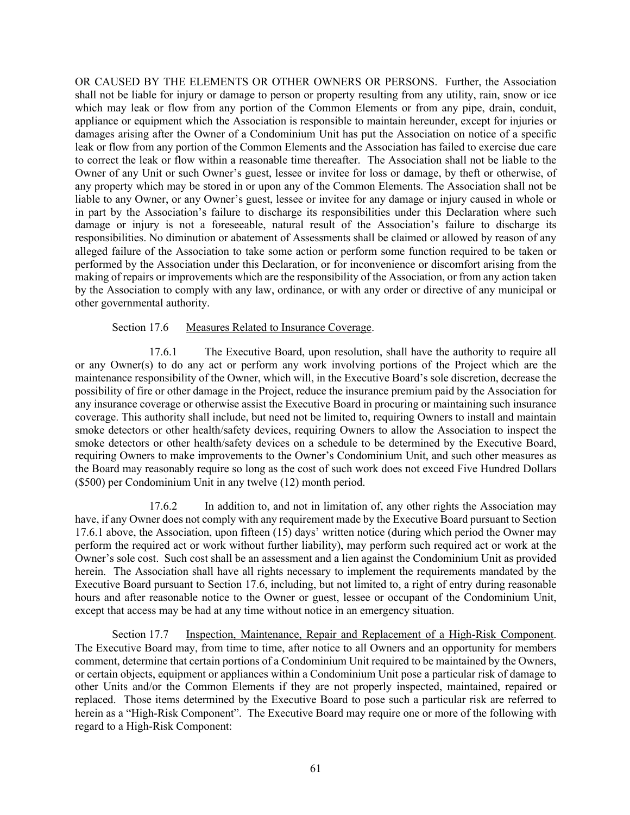OR CAUSED BY THE ELEMENTS OR OTHER OWNERS OR PERSONS. Further, the Association shall not be liable for injury or damage to person or property resulting from any utility, rain, snow or ice which may leak or flow from any portion of the Common Elements or from any pipe, drain, conduit, appliance or equipment which the Association is responsible to maintain hereunder, except for injuries or damages arising after the Owner of a Condominium Unit has put the Association on notice of a specific leak or flow from any portion of the Common Elements and the Association has failed to exercise due care to correct the leak or flow within a reasonable time thereafter. The Association shall not be liable to the Owner of any Unit or such Owner's guest, lessee or invitee for loss or damage, by theft or otherwise, of any property which may be stored in or upon any of the Common Elements. The Association shall not be liable to any Owner, or any Owner's guest, lessee or invitee for any damage or injury caused in whole or in part by the Association's failure to discharge its responsibilities under this Declaration where such damage or injury is not a foreseeable, natural result of the Association's failure to discharge its responsibilities. No diminution or abatement of Assessments shall be claimed or allowed by reason of any alleged failure of the Association to take some action or perform some function required to be taken or performed by the Association under this Declaration, or for inconvenience or discomfort arising from the making of repairs or improvements which are the responsibility of the Association, or from any action taken by the Association to comply with any law, ordinance, or with any order or directive of any municipal or other governmental authority.

## Section 17.6 Measures Related to Insurance Coverage.

17.6.1 The Executive Board, upon resolution, shall have the authority to require all or any Owner(s) to do any act or perform any work involving portions of the Project which are the maintenance responsibility of the Owner, which will, in the Executive Board's sole discretion, decrease the possibility of fire or other damage in the Project, reduce the insurance premium paid by the Association for any insurance coverage or otherwise assist the Executive Board in procuring or maintaining such insurance coverage. This authority shall include, but need not be limited to, requiring Owners to install and maintain smoke detectors or other health/safety devices, requiring Owners to allow the Association to inspect the smoke detectors or other health/safety devices on a schedule to be determined by the Executive Board, requiring Owners to make improvements to the Owner's Condominium Unit, and such other measures as the Board may reasonably require so long as the cost of such work does not exceed Five Hundred Dollars (\$500) per Condominium Unit in any twelve (12) month period.

17.6.2 In addition to, and not in limitation of, any other rights the Association may have, if any Owner does not comply with any requirement made by the Executive Board pursuant to Section 17.6.1 above, the Association, upon fifteen (15) days' written notice (during which period the Owner may perform the required act or work without further liability), may perform such required act or work at the Owner's sole cost. Such cost shall be an assessment and a lien against the Condominium Unit as provided herein. The Association shall have all rights necessary to implement the requirements mandated by the Executive Board pursuant to Section 17.6, including, but not limited to, a right of entry during reasonable hours and after reasonable notice to the Owner or guest, lessee or occupant of the Condominium Unit, except that access may be had at any time without notice in an emergency situation.

Section 17.7 Inspection, Maintenance, Repair and Replacement of a High-Risk Component. The Executive Board may, from time to time, after notice to all Owners and an opportunity for members comment, determine that certain portions of a Condominium Unit required to be maintained by the Owners, or certain objects, equipment or appliances within a Condominium Unit pose a particular risk of damage to other Units and/or the Common Elements if they are not properly inspected, maintained, repaired or replaced. Those items determined by the Executive Board to pose such a particular risk are referred to herein as a "High-Risk Component". The Executive Board may require one or more of the following with regard to a High-Risk Component: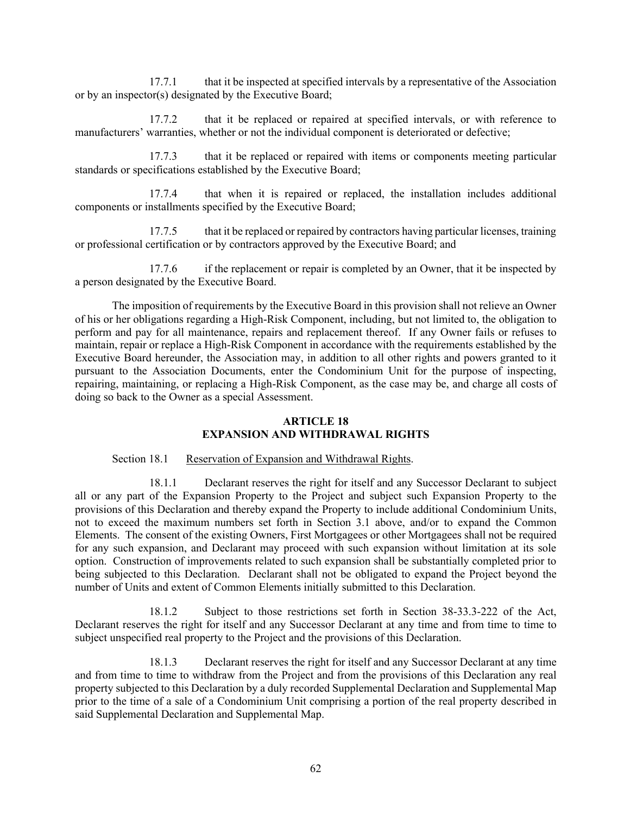17.7.1 that it be inspected at specified intervals by a representative of the Association or by an inspector(s) designated by the Executive Board;

17.7.2 that it be replaced or repaired at specified intervals, or with reference to manufacturers' warranties, whether or not the individual component is deteriorated or defective;

17.7.3 that it be replaced or repaired with items or components meeting particular standards or specifications established by the Executive Board;

17.7.4 that when it is repaired or replaced, the installation includes additional components or installments specified by the Executive Board;

17.7.5 that it be replaced or repaired by contractors having particular licenses, training or professional certification or by contractors approved by the Executive Board; and

17.7.6 if the replacement or repair is completed by an Owner, that it be inspected by a person designated by the Executive Board.

The imposition of requirements by the Executive Board in this provision shall not relieve an Owner of his or her obligations regarding a High-Risk Component, including, but not limited to, the obligation to perform and pay for all maintenance, repairs and replacement thereof. If any Owner fails or refuses to maintain, repair or replace a High-Risk Component in accordance with the requirements established by the Executive Board hereunder, the Association may, in addition to all other rights and powers granted to it pursuant to the Association Documents, enter the Condominium Unit for the purpose of inspecting, repairing, maintaining, or replacing a High-Risk Component, as the case may be, and charge all costs of doing so back to the Owner as a special Assessment.

## **ARTICLE 18 EXPANSION AND WITHDRAWAL RIGHTS**

### Section 18.1 Reservation of Expansion and Withdrawal Rights.

18.1.1 Declarant reserves the right for itself and any Successor Declarant to subject all or any part of the Expansion Property to the Project and subject such Expansion Property to the provisions of this Declaration and thereby expand the Property to include additional Condominium Units, not to exceed the maximum numbers set forth in Section 3.1 above, and/or to expand the Common Elements. The consent of the existing Owners, First Mortgagees or other Mortgagees shall not be required for any such expansion, and Declarant may proceed with such expansion without limitation at its sole option. Construction of improvements related to such expansion shall be substantially completed prior to being subjected to this Declaration. Declarant shall not be obligated to expand the Project beyond the number of Units and extent of Common Elements initially submitted to this Declaration.

18.1.2 Subject to those restrictions set forth in Section 38-33.3-222 of the Act, Declarant reserves the right for itself and any Successor Declarant at any time and from time to time to subject unspecified real property to the Project and the provisions of this Declaration.

18.1.3 Declarant reserves the right for itself and any Successor Declarant at any time and from time to time to withdraw from the Project and from the provisions of this Declaration any real property subjected to this Declaration by a duly recorded Supplemental Declaration and Supplemental Map prior to the time of a sale of a Condominium Unit comprising a portion of the real property described in said Supplemental Declaration and Supplemental Map.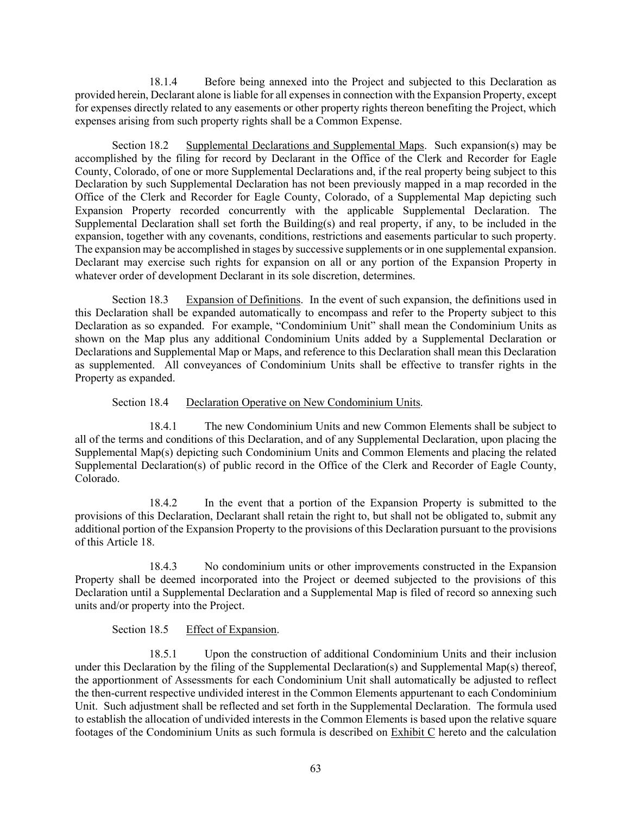18.1.4 Before being annexed into the Project and subjected to this Declaration as provided herein, Declarant alone is liable for all expenses in connection with the Expansion Property, except for expenses directly related to any easements or other property rights thereon benefiting the Project, which expenses arising from such property rights shall be a Common Expense.

Section 18.2 Supplemental Declarations and Supplemental Maps. Such expansion(s) may be accomplished by the filing for record by Declarant in the Office of the Clerk and Recorder for Eagle County, Colorado, of one or more Supplemental Declarations and, if the real property being subject to this Declaration by such Supplemental Declaration has not been previously mapped in a map recorded in the Office of the Clerk and Recorder for Eagle County, Colorado, of a Supplemental Map depicting such Expansion Property recorded concurrently with the applicable Supplemental Declaration. The Supplemental Declaration shall set forth the Building(s) and real property, if any, to be included in the expansion, together with any covenants, conditions, restrictions and easements particular to such property. The expansion may be accomplished in stages by successive supplements or in one supplemental expansion. Declarant may exercise such rights for expansion on all or any portion of the Expansion Property in whatever order of development Declarant in its sole discretion, determines.

Section 18.3 Expansion of Definitions. In the event of such expansion, the definitions used in this Declaration shall be expanded automatically to encompass and refer to the Property subject to this Declaration as so expanded. For example, "Condominium Unit" shall mean the Condominium Units as shown on the Map plus any additional Condominium Units added by a Supplemental Declaration or Declarations and Supplemental Map or Maps, and reference to this Declaration shall mean this Declaration as supplemented. All conveyances of Condominium Units shall be effective to transfer rights in the Property as expanded.

## Section 18.4 Declaration Operative on New Condominium Units.

18.4.1 The new Condominium Units and new Common Elements shall be subject to all of the terms and conditions of this Declaration, and of any Supplemental Declaration, upon placing the Supplemental Map(s) depicting such Condominium Units and Common Elements and placing the related Supplemental Declaration(s) of public record in the Office of the Clerk and Recorder of Eagle County, Colorado.

18.4.2 In the event that a portion of the Expansion Property is submitted to the provisions of this Declaration, Declarant shall retain the right to, but shall not be obligated to, submit any additional portion of the Expansion Property to the provisions of this Declaration pursuant to the provisions of this Article 18.

18.4.3 No condominium units or other improvements constructed in the Expansion Property shall be deemed incorporated into the Project or deemed subjected to the provisions of this Declaration until a Supplemental Declaration and a Supplemental Map is filed of record so annexing such units and/or property into the Project.

# Section 18.5 Effect of Expansion.

18.5.1 Upon the construction of additional Condominium Units and their inclusion under this Declaration by the filing of the Supplemental Declaration(s) and Supplemental Map(s) thereof, the apportionment of Assessments for each Condominium Unit shall automatically be adjusted to reflect the then-current respective undivided interest in the Common Elements appurtenant to each Condominium Unit. Such adjustment shall be reflected and set forth in the Supplemental Declaration. The formula used to establish the allocation of undivided interests in the Common Elements is based upon the relative square footages of the Condominium Units as such formula is described on Exhibit C hereto and the calculation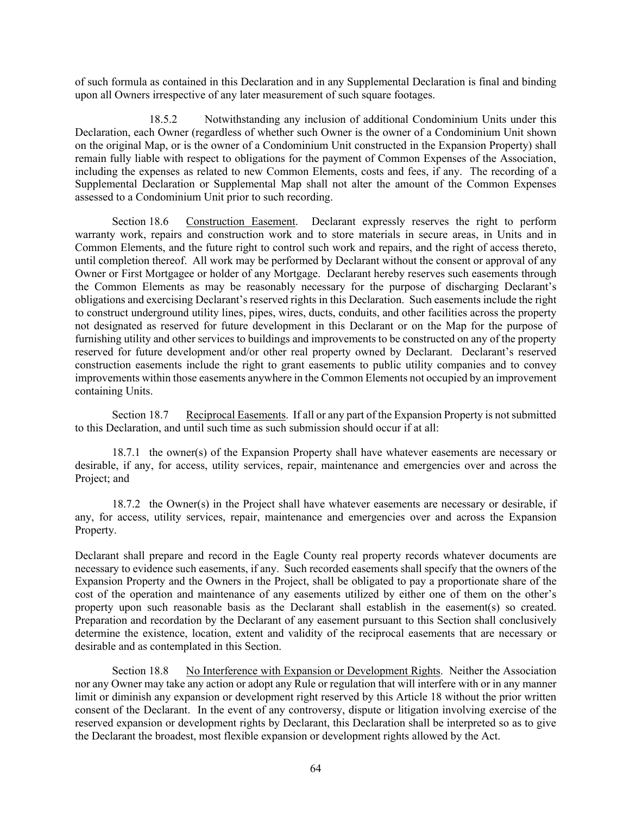of such formula as contained in this Declaration and in any Supplemental Declaration is final and binding upon all Owners irrespective of any later measurement of such square footages.

18.5.2 Notwithstanding any inclusion of additional Condominium Units under this Declaration, each Owner (regardless of whether such Owner is the owner of a Condominium Unit shown on the original Map, or is the owner of a Condominium Unit constructed in the Expansion Property) shall remain fully liable with respect to obligations for the payment of Common Expenses of the Association, including the expenses as related to new Common Elements, costs and fees, if any. The recording of a Supplemental Declaration or Supplemental Map shall not alter the amount of the Common Expenses assessed to a Condominium Unit prior to such recording.

Section 18.6 Construction Easement. Declarant expressly reserves the right to perform warranty work, repairs and construction work and to store materials in secure areas, in Units and in Common Elements, and the future right to control such work and repairs, and the right of access thereto, until completion thereof. All work may be performed by Declarant without the consent or approval of any Owner or First Mortgagee or holder of any Mortgage. Declarant hereby reserves such easements through the Common Elements as may be reasonably necessary for the purpose of discharging Declarant's obligations and exercising Declarant's reserved rights in this Declaration. Such easements include the right to construct underground utility lines, pipes, wires, ducts, conduits, and other facilities across the property not designated as reserved for future development in this Declarant or on the Map for the purpose of furnishing utility and other services to buildings and improvements to be constructed on any of the property reserved for future development and/or other real property owned by Declarant. Declarant's reserved construction easements include the right to grant easements to public utility companies and to convey improvements within those easements anywhere in the Common Elements not occupied by an improvement containing Units.

Section 18.7 Reciprocal Easements. If all or any part of the Expansion Property is not submitted to this Declaration, and until such time as such submission should occur if at all:

18.7.1 the owner(s) of the Expansion Property shall have whatever easements are necessary or desirable, if any, for access, utility services, repair, maintenance and emergencies over and across the Project; and

18.7.2 the Owner(s) in the Project shall have whatever easements are necessary or desirable, if any, for access, utility services, repair, maintenance and emergencies over and across the Expansion Property.

Declarant shall prepare and record in the Eagle County real property records whatever documents are necessary to evidence such easements, if any. Such recorded easements shall specify that the owners of the Expansion Property and the Owners in the Project, shall be obligated to pay a proportionate share of the cost of the operation and maintenance of any easements utilized by either one of them on the other's property upon such reasonable basis as the Declarant shall establish in the easement(s) so created. Preparation and recordation by the Declarant of any easement pursuant to this Section shall conclusively determine the existence, location, extent and validity of the reciprocal easements that are necessary or desirable and as contemplated in this Section.

Section 18.8 No Interference with Expansion or Development Rights. Neither the Association nor any Owner may take any action or adopt any Rule or regulation that will interfere with or in any manner limit or diminish any expansion or development right reserved by this Article 18 without the prior written consent of the Declarant. In the event of any controversy, dispute or litigation involving exercise of the reserved expansion or development rights by Declarant, this Declaration shall be interpreted so as to give the Declarant the broadest, most flexible expansion or development rights allowed by the Act.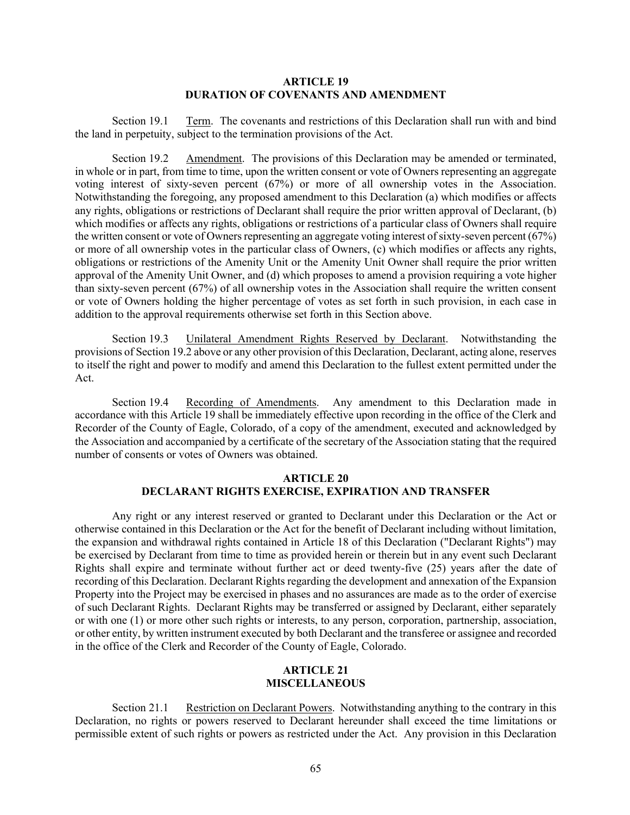#### **ARTICLE 19 DURATION OF COVENANTS AND AMENDMENT**

Section 19.1 Term. The covenants and restrictions of this Declaration shall run with and bind the land in perpetuity, subject to the termination provisions of the Act.

Section 19.2 Amendment. The provisions of this Declaration may be amended or terminated, in whole or in part, from time to time, upon the written consent or vote of Owners representing an aggregate voting interest of sixty-seven percent (67%) or more of all ownership votes in the Association. Notwithstanding the foregoing, any proposed amendment to this Declaration (a) which modifies or affects any rights, obligations or restrictions of Declarant shall require the prior written approval of Declarant, (b) which modifies or affects any rights, obligations or restrictions of a particular class of Owners shall require the written consent or vote of Owners representing an aggregate voting interest of sixty-seven percent (67%) or more of all ownership votes in the particular class of Owners, (c) which modifies or affects any rights, obligations or restrictions of the Amenity Unit or the Amenity Unit Owner shall require the prior written approval of the Amenity Unit Owner, and (d) which proposes to amend a provision requiring a vote higher than sixty-seven percent (67%) of all ownership votes in the Association shall require the written consent or vote of Owners holding the higher percentage of votes as set forth in such provision, in each case in addition to the approval requirements otherwise set forth in this Section above.

Section 19.3 Unilateral Amendment Rights Reserved by Declarant. Notwithstanding the provisions of Section 19.2 above or any other provision of this Declaration, Declarant, acting alone, reserves to itself the right and power to modify and amend this Declaration to the fullest extent permitted under the Act.

Section 19.4 Recording of Amendments. Any amendment to this Declaration made in accordance with this Article 19 shall be immediately effective upon recording in the office of the Clerk and Recorder of the County of Eagle, Colorado, of a copy of the amendment, executed and acknowledged by the Association and accompanied by a certificate of the secretary of the Association stating that the required number of consents or votes of Owners was obtained.

# **ARTICLE 20 DECLARANT RIGHTS EXERCISE, EXPIRATION AND TRANSFER**

Any right or any interest reserved or granted to Declarant under this Declaration or the Act or otherwise contained in this Declaration or the Act for the benefit of Declarant including without limitation, the expansion and withdrawal rights contained in Article 18 of this Declaration ("Declarant Rights") may be exercised by Declarant from time to time as provided herein or therein but in any event such Declarant Rights shall expire and terminate without further act or deed twenty-five (25) years after the date of recording of this Declaration. Declarant Rights regarding the development and annexation of the Expansion Property into the Project may be exercised in phases and no assurances are made as to the order of exercise of such Declarant Rights. Declarant Rights may be transferred or assigned by Declarant, either separately or with one (1) or more other such rights or interests, to any person, corporation, partnership, association, or other entity, by written instrument executed by both Declarant and the transferee or assignee and recorded in the office of the Clerk and Recorder of the County of Eagle, Colorado.

# **ARTICLE 21 MISCELLANEOUS**

Section 21.1 Restriction on Declarant Powers. Notwithstanding anything to the contrary in this Declaration, no rights or powers reserved to Declarant hereunder shall exceed the time limitations or permissible extent of such rights or powers as restricted under the Act. Any provision in this Declaration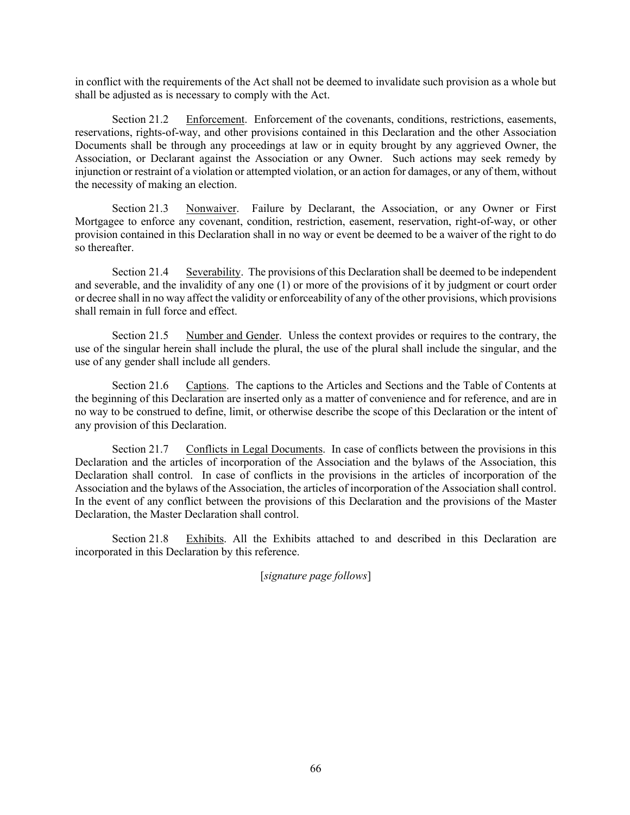in conflict with the requirements of the Act shall not be deemed to invalidate such provision as a whole but shall be adjusted as is necessary to comply with the Act.

Section 21.2 Enforcement. Enforcement of the covenants, conditions, restrictions, easements, reservations, rights-of-way, and other provisions contained in this Declaration and the other Association Documents shall be through any proceedings at law or in equity brought by any aggrieved Owner, the Association, or Declarant against the Association or any Owner. Such actions may seek remedy by injunction or restraint of a violation or attempted violation, or an action for damages, or any of them, without the necessity of making an election.

Section 21.3 Nonwaiver. Failure by Declarant, the Association, or any Owner or First Mortgagee to enforce any covenant, condition, restriction, easement, reservation, right-of-way, or other provision contained in this Declaration shall in no way or event be deemed to be a waiver of the right to do so thereafter.

Section 21.4 Severability. The provisions of this Declaration shall be deemed to be independent and severable, and the invalidity of any one (1) or more of the provisions of it by judgment or court order or decree shall in no way affect the validity or enforceability of any of the other provisions, which provisions shall remain in full force and effect.

Section 21.5 Number and Gender. Unless the context provides or requires to the contrary, the use of the singular herein shall include the plural, the use of the plural shall include the singular, and the use of any gender shall include all genders.

Section 21.6 Captions. The captions to the Articles and Sections and the Table of Contents at the beginning of this Declaration are inserted only as a matter of convenience and for reference, and are in no way to be construed to define, limit, or otherwise describe the scope of this Declaration or the intent of any provision of this Declaration.

Section 21.7 Conflicts in Legal Documents. In case of conflicts between the provisions in this Declaration and the articles of incorporation of the Association and the bylaws of the Association, this Declaration shall control. In case of conflicts in the provisions in the articles of incorporation of the Association and the bylaws of the Association, the articles of incorporation of the Association shall control. In the event of any conflict between the provisions of this Declaration and the provisions of the Master Declaration, the Master Declaration shall control.

Section 21.8 Exhibits. All the Exhibits attached to and described in this Declaration are incorporated in this Declaration by this reference.

[*signature page follows*]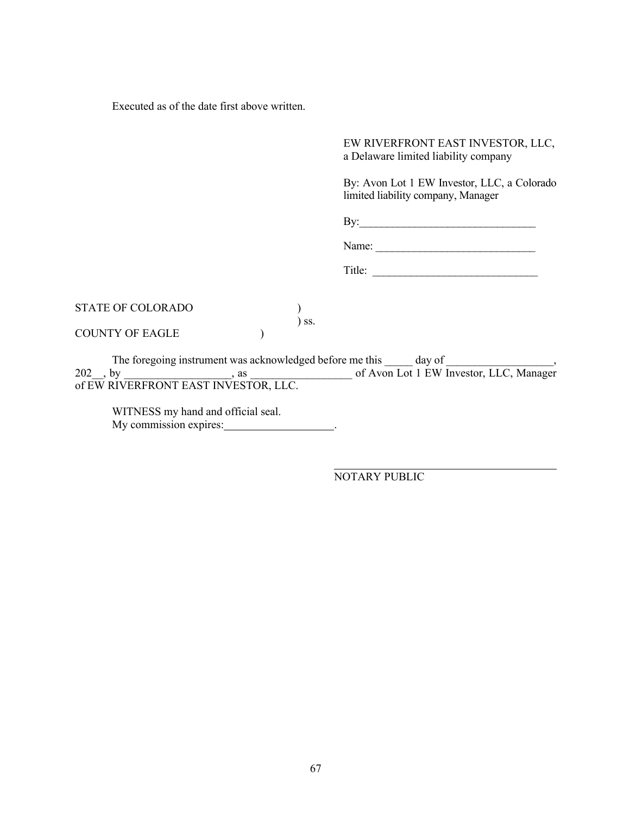Executed as of the date first above written.

EW RIVERFRONT EAST INVESTOR, LLC, a Delaware limited liability company

By: Avon Lot 1 EW Investor, LLC, a Colorado limited liability company, Manager

By:\_\_\_\_\_\_\_\_\_\_\_\_\_\_\_\_\_\_\_\_\_\_\_\_\_\_\_\_\_\_\_\_

Name: \_\_\_\_\_\_\_\_\_\_\_\_\_\_\_\_\_\_\_\_\_\_\_\_\_\_\_\_\_

Title: \_\_\_\_\_\_\_\_\_\_\_\_\_\_\_\_\_\_\_\_\_\_\_\_\_\_\_\_\_\_

| STATE OF COLORADO |                              |
|-------------------|------------------------------|
|                   | $\overline{\phantom{a}}$ SS. |
| COUNTY OF EAGLE   |                              |

The foregoing instrument was acknowledged before me this \_\_\_\_\_\_\_ day of \_\_\_\_\_\_\_\_\_ 202\_\_, by \_\_\_\_\_\_\_\_\_\_\_\_\_\_\_\_\_\_\_, as \_\_\_\_\_\_\_\_\_\_\_\_\_\_\_\_\_\_ of Avon Lot 1 EW Investor, LLC, Manager of EW RIVERFRONT EAST INVESTOR, LLC.

WITNESS my hand and official seal. My commission expires:

NOTARY PUBLIC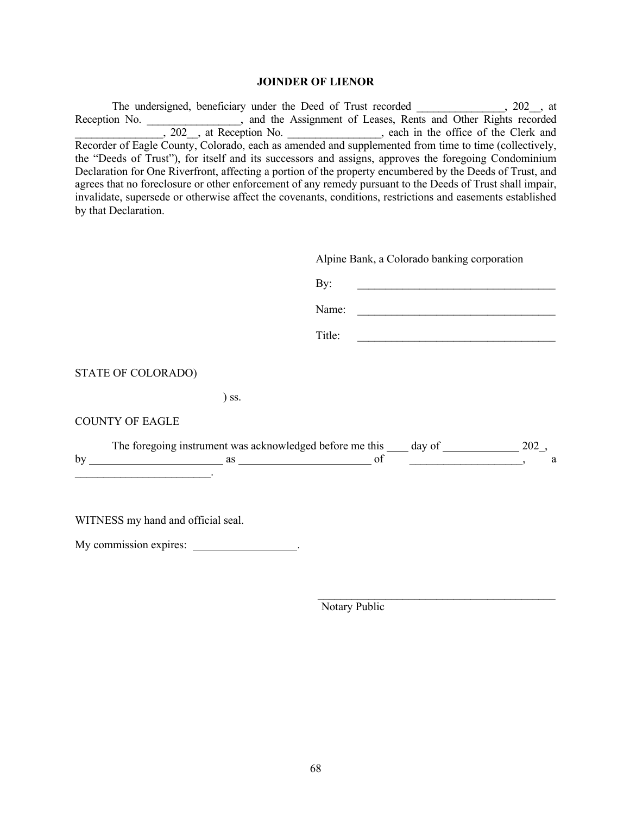#### **JOINDER OF LIENOR**

The undersigned, beneficiary under the Deed of Trust recorded \_\_\_\_\_\_\_\_\_\_\_\_, 202\_, at Reception No.  $\qquad \qquad$ , and the Assignment of Leases, Rents and Other Rights recorded , 202 , at Reception No.  $\qquad \qquad$ , each in the office of the Clerk and Recorder of Eagle County, Colorado, each as amended and supplemented from time to time (collectively, the "Deeds of Trust"), for itself and its successors and assigns, approves the foregoing Condominium Declaration for One Riverfront, affecting a portion of the property encumbered by the Deeds of Trust, and agrees that no foreclosure or other enforcement of any remedy pursuant to the Deeds of Trust shall impair, invalidate, supersede or otherwise affect the covenants, conditions, restrictions and easements established by that Declaration.

|                                                                                           |         | Alpine Bank, a Colorado banking corporation                                                  |   |  |
|-------------------------------------------------------------------------------------------|---------|----------------------------------------------------------------------------------------------|---|--|
|                                                                                           |         | By:                                                                                          |   |  |
|                                                                                           |         | Name:                                                                                        |   |  |
|                                                                                           |         | Title:                                                                                       |   |  |
| STATE OF COLORADO)                                                                        |         |                                                                                              |   |  |
|                                                                                           | $)$ ss. |                                                                                              |   |  |
| <b>COUNTY OF EAGLE</b>                                                                    |         |                                                                                              |   |  |
| the control of the control of the control of the control of the control of the control of |         | The foregoing instrument was acknowledged before me this _____ day of ________________ 202_, | a |  |
| WITNESS my hand and official seal.<br>My commission expires: ______________________.      |         |                                                                                              |   |  |

Notary Public

 $\mathcal{L}_\text{max}$  , and the contract of the contract of the contract of the contract of the contract of the contract of the contract of the contract of the contract of the contract of the contract of the contract of the contr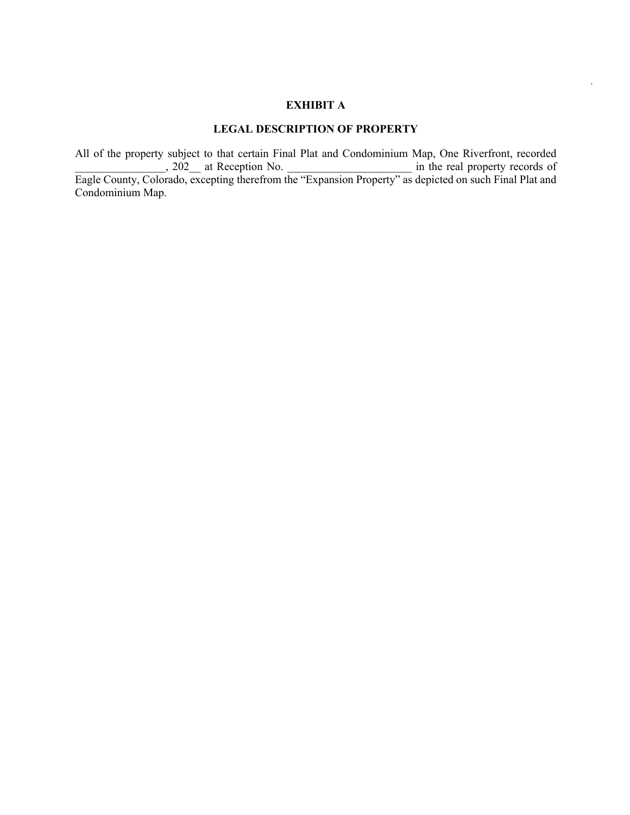# **EXHIBIT A**

*.*

# **LEGAL DESCRIPTION OF PROPERTY**

All of the property subject to that certain Final Plat and Condominium Map, One Riverfront, recorded , 202 at Reception No.  $\qquad \qquad$  in the real property records of Eagle County, Colorado, excepting therefrom the "Expansion Property" as depicted on such Final Plat and Condominium Map.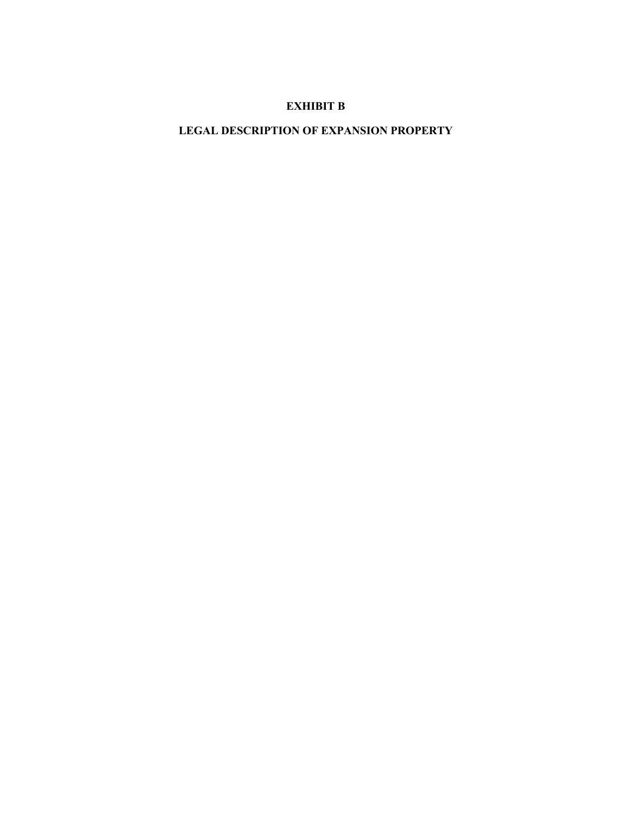# **EXHIBIT B**

# **LEGAL DESCRIPTION OF EXPANSION PROPERTY**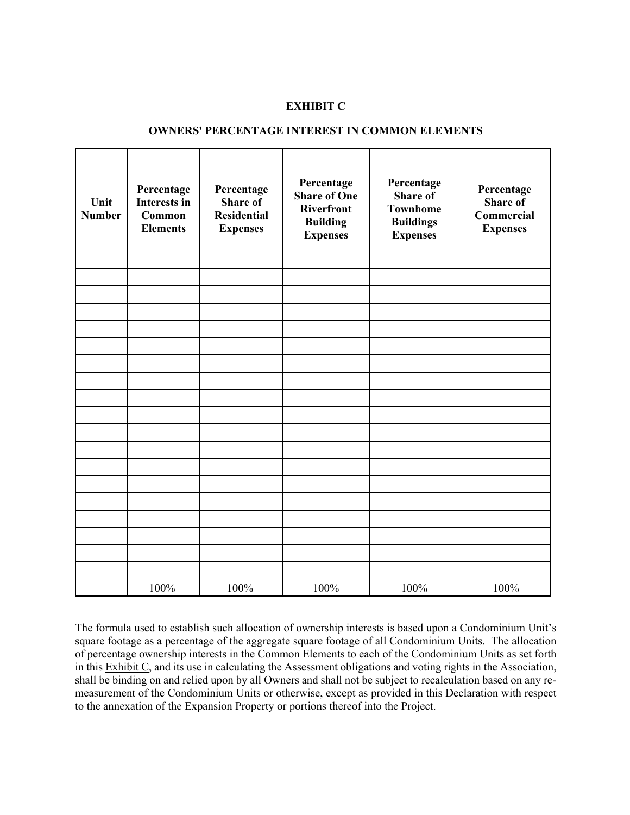### **EXHIBIT C**

# **OWNERS' PERCENTAGE INTEREST IN COMMON ELEMENTS**

| Unit<br><b>Number</b> | Percentage<br><b>Interests in</b><br><b>Common</b><br><b>Elements</b> | Percentage<br><b>Share of</b><br><b>Residential</b><br><b>Expenses</b> | Percentage<br><b>Share of One</b><br><b>Riverfront</b><br><b>Building</b><br><b>Expenses</b> | Percentage<br><b>Share of</b><br><b>Townhome</b><br><b>Buildings</b><br><b>Expenses</b> | Percentage<br><b>Share of</b><br>Commercial<br><b>Expenses</b> |
|-----------------------|-----------------------------------------------------------------------|------------------------------------------------------------------------|----------------------------------------------------------------------------------------------|-----------------------------------------------------------------------------------------|----------------------------------------------------------------|
|                       |                                                                       |                                                                        |                                                                                              |                                                                                         |                                                                |
|                       |                                                                       |                                                                        |                                                                                              |                                                                                         |                                                                |
|                       |                                                                       |                                                                        |                                                                                              |                                                                                         |                                                                |
|                       |                                                                       |                                                                        |                                                                                              |                                                                                         |                                                                |
|                       |                                                                       |                                                                        |                                                                                              |                                                                                         |                                                                |
|                       |                                                                       |                                                                        |                                                                                              |                                                                                         |                                                                |
|                       |                                                                       |                                                                        |                                                                                              |                                                                                         |                                                                |
|                       |                                                                       |                                                                        |                                                                                              |                                                                                         |                                                                |
|                       |                                                                       |                                                                        |                                                                                              |                                                                                         |                                                                |
|                       |                                                                       |                                                                        |                                                                                              |                                                                                         |                                                                |
|                       |                                                                       |                                                                        |                                                                                              |                                                                                         |                                                                |
|                       |                                                                       |                                                                        |                                                                                              |                                                                                         |                                                                |
|                       |                                                                       |                                                                        |                                                                                              |                                                                                         |                                                                |
|                       |                                                                       |                                                                        |                                                                                              |                                                                                         |                                                                |
|                       |                                                                       |                                                                        |                                                                                              |                                                                                         |                                                                |
|                       |                                                                       |                                                                        |                                                                                              |                                                                                         |                                                                |
|                       |                                                                       |                                                                        |                                                                                              |                                                                                         |                                                                |
|                       | 100%                                                                  | 100%                                                                   | 100%                                                                                         | 100%                                                                                    | 100%                                                           |

The formula used to establish such allocation of ownership interests is based upon a Condominium Unit's square footage as a percentage of the aggregate square footage of all Condominium Units. The allocation of percentage ownership interests in the Common Elements to each of the Condominium Units as set forth in this Exhibit C, and its use in calculating the Assessment obligations and voting rights in the Association, shall be binding on and relied upon by all Owners and shall not be subject to recalculation based on any remeasurement of the Condominium Units or otherwise, except as provided in this Declaration with respect to the annexation of the Expansion Property or portions thereof into the Project.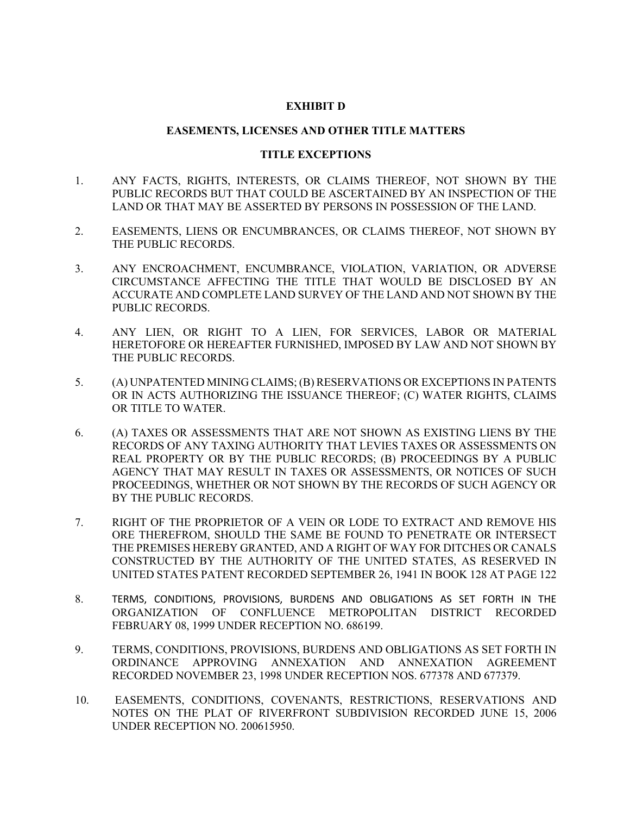## **EXHIBIT D**

## **EASEMENTS, LICENSES AND OTHER TITLE MATTERS**

## **TITLE EXCEPTIONS**

- 1. ANY FACTS, RIGHTS, INTERESTS, OR CLAIMS THEREOF, NOT SHOWN BY THE PUBLIC RECORDS BUT THAT COULD BE ASCERTAINED BY AN INSPECTION OF THE LAND OR THAT MAY BE ASSERTED BY PERSONS IN POSSESSION OF THE LAND.
- 2. EASEMENTS, LIENS OR ENCUMBRANCES, OR CLAIMS THEREOF, NOT SHOWN BY THE PUBLIC RECORDS.
- 3. ANY ENCROACHMENT, ENCUMBRANCE, VIOLATION, VARIATION, OR ADVERSE CIRCUMSTANCE AFFECTING THE TITLE THAT WOULD BE DISCLOSED BY AN ACCURATE AND COMPLETE LAND SURVEY OF THE LAND AND NOT SHOWN BY THE PUBLIC RECORDS.
- 4. ANY LIEN, OR RIGHT TO A LIEN, FOR SERVICES, LABOR OR MATERIAL HERETOFORE OR HEREAFTER FURNISHED, IMPOSED BY LAW AND NOT SHOWN BY THE PUBLIC RECORDS.
- 5. (A) UNPATENTED MINING CLAIMS; (B) RESERVATIONS OR EXCEPTIONS IN PATENTS OR IN ACTS AUTHORIZING THE ISSUANCE THEREOF; (C) WATER RIGHTS, CLAIMS OR TITLE TO WATER.
- 6. (A) TAXES OR ASSESSMENTS THAT ARE NOT SHOWN AS EXISTING LIENS BY THE RECORDS OF ANY TAXING AUTHORITY THAT LEVIES TAXES OR ASSESSMENTS ON REAL PROPERTY OR BY THE PUBLIC RECORDS; (B) PROCEEDINGS BY A PUBLIC AGENCY THAT MAY RESULT IN TAXES OR ASSESSMENTS, OR NOTICES OF SUCH PROCEEDINGS, WHETHER OR NOT SHOWN BY THE RECORDS OF SUCH AGENCY OR BY THE PUBLIC RECORDS.
- 7. RIGHT OF THE PROPRIETOR OF A VEIN OR LODE TO EXTRACT AND REMOVE HIS ORE THEREFROM, SHOULD THE SAME BE FOUND TO PENETRATE OR INTERSECT THE PREMISES HEREBY GRANTED, AND A RIGHT OF WAY FOR DITCHES OR CANALS CONSTRUCTED BY THE AUTHORITY OF THE UNITED STATES, AS RESERVED IN UNITED STATES PATENT RECORDED SEPTEMBER 26, 1941 IN BOOK 128 AT PAGE 122
- 8. TERMS, CONDITIONS, PROVISIONS, BURDENS AND OBLIGATIONS AS SET FORTH IN THE ORGANIZATION OF CONFLUENCE METROPOLITAN DISTRICT RECORDED FEBRUARY 08, 1999 UNDER RECEPTION NO. 686199.
- 9. TERMS, CONDITIONS, PROVISIONS, BURDENS AND OBLIGATIONS AS SET FORTH IN ORDINANCE APPROVING ANNEXATION AND ANNEXATION AGREEMENT RECORDED NOVEMBER 23, 1998 UNDER RECEPTION NOS. 677378 AND 677379.
- 10. EASEMENTS, CONDITIONS, COVENANTS, RESTRICTIONS, RESERVATIONS AND NOTES ON THE PLAT OF RIVERFRONT SUBDIVISION RECORDED JUNE 15, 2006 UNDER RECEPTION NO. 200615950.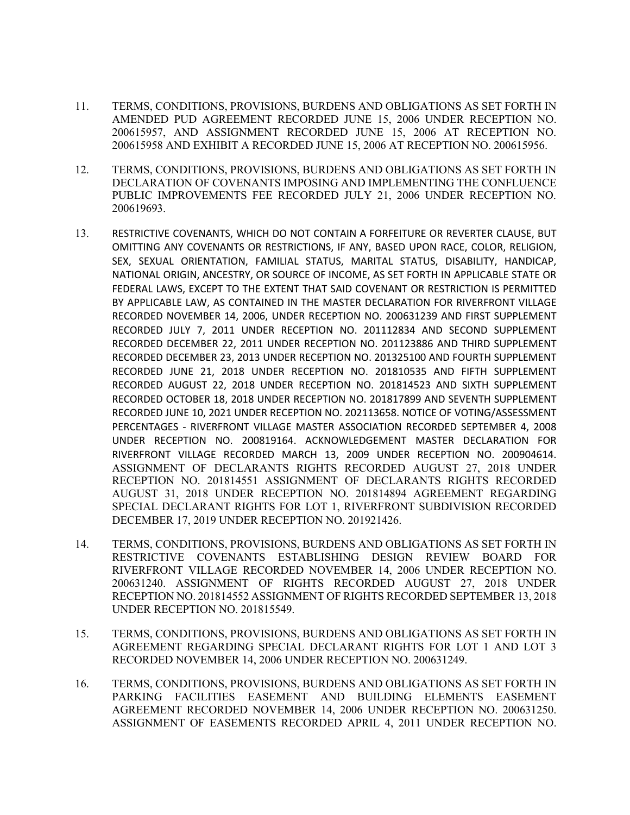- 11. TERMS, CONDITIONS, PROVISIONS, BURDENS AND OBLIGATIONS AS SET FORTH IN AMENDED PUD AGREEMENT RECORDED JUNE 15, 2006 UNDER RECEPTION NO. 200615957, AND ASSIGNMENT RECORDED JUNE 15, 2006 AT RECEPTION NO. 200615958 AND EXHIBIT A RECORDED JUNE 15, 2006 AT RECEPTION NO. 200615956.
- 12. TERMS, CONDITIONS, PROVISIONS, BURDENS AND OBLIGATIONS AS SET FORTH IN DECLARATION OF COVENANTS IMPOSING AND IMPLEMENTING THE CONFLUENCE PUBLIC IMPROVEMENTS FEE RECORDED JULY 21, 2006 UNDER RECEPTION NO. 200619693.
- 13. RESTRICTIVE COVENANTS, WHICH DO NOT CONTAIN A FORFEITURE OR REVERTER CLAUSE, BUT OMITTING ANY COVENANTS OR RESTRICTIONS, IF ANY, BASED UPON RACE, COLOR, RELIGION, SEX, SEXUAL ORIENTATION, FAMILIAL STATUS, MARITAL STATUS, DISABILITY, HANDICAP, NATIONAL ORIGIN, ANCESTRY, OR SOURCE OF INCOME, AS SET FORTH IN APPLICABLE STATE OR FEDERAL LAWS, EXCEPT TO THE EXTENT THAT SAID COVENANT OR RESTRICTION IS PERMITTED BY APPLICABLE LAW, AS CONTAINED IN THE MASTER DECLARATION FOR RIVERFRONT VILLAGE RECORDED NOVEMBER 14, 2006, UNDER RECEPTION NO. 200631239 AND FIRST SUPPLEMENT RECORDED JULY 7, 2011 UNDER RECEPTION NO. 201112834 AND SECOND SUPPLEMENT RECORDED DECEMBER 22, 2011 UNDER RECEPTION NO. 201123886 AND THIRD SUPPLEMENT RECORDED DECEMBER 23, 2013 UNDER RECEPTION NO. 201325100 AND FOURTH SUPPLEMENT RECORDED JUNE 21, 2018 UNDER RECEPTION NO. 201810535 AND FIFTH SUPPLEMENT RECORDED AUGUST 22, 2018 UNDER RECEPTION NO. 201814523 AND SIXTH SUPPLEMENT RECORDED OCTOBER 18, 2018 UNDER RECEPTION NO. 201817899 AND SEVENTH SUPPLEMENT RECORDED JUNE 10, 2021 UNDER RECEPTION NO. 202113658. NOTICE OF VOTING/ASSESSMENT PERCENTAGES - RIVERFRONT VILLAGE MASTER ASSOCIATION RECORDED SEPTEMBER 4, 2008 UNDER RECEPTION NO. 200819164. ACKNOWLEDGEMENT MASTER DECLARATION FOR RIVERFRONT VILLAGE RECORDED MARCH 13, 2009 UNDER RECEPTION NO. 200904614. ASSIGNMENT OF DECLARANTS RIGHTS RECORDED AUGUST 27, 2018 UNDER RECEPTION NO. 201814551 ASSIGNMENT OF DECLARANTS RIGHTS RECORDED AUGUST 31, 2018 UNDER RECEPTION NO. 201814894 AGREEMENT REGARDING SPECIAL DECLARANT RIGHTS FOR LOT 1, RIVERFRONT SUBDIVISION RECORDED DECEMBER 17, 2019 UNDER RECEPTION NO. 201921426.
- 14. TERMS, CONDITIONS, PROVISIONS, BURDENS AND OBLIGATIONS AS SET FORTH IN RESTRICTIVE COVENANTS ESTABLISHING DESIGN REVIEW BOARD FOR RIVERFRONT VILLAGE RECORDED NOVEMBER 14, 2006 UNDER RECEPTION NO. 200631240. ASSIGNMENT OF RIGHTS RECORDED AUGUST 27, 2018 UNDER RECEPTION NO. 201814552 ASSIGNMENT OF RIGHTS RECORDED SEPTEMBER 13, 2018 UNDER RECEPTION NO. 201815549.
- 15. TERMS, CONDITIONS, PROVISIONS, BURDENS AND OBLIGATIONS AS SET FORTH IN AGREEMENT REGARDING SPECIAL DECLARANT RIGHTS FOR LOT 1 AND LOT 3 RECORDED NOVEMBER 14, 2006 UNDER RECEPTION NO. 200631249.
- 16. TERMS, CONDITIONS, PROVISIONS, BURDENS AND OBLIGATIONS AS SET FORTH IN PARKING FACILITIES EASEMENT AND BUILDING ELEMENTS EASEMENT AGREEMENT RECORDED NOVEMBER 14, 2006 UNDER RECEPTION NO. 200631250. ASSIGNMENT OF EASEMENTS RECORDED APRIL 4, 2011 UNDER RECEPTION NO.